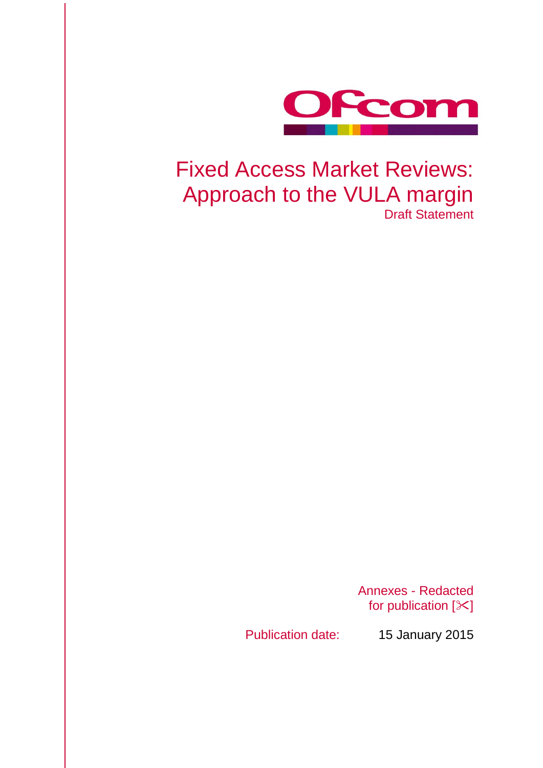

# Fixed Access Market Reviews: Approach to the VULA margin Draft Statement

Annexes - Redacted for publication  $[\times]$ 

Publication date: 15 January 2015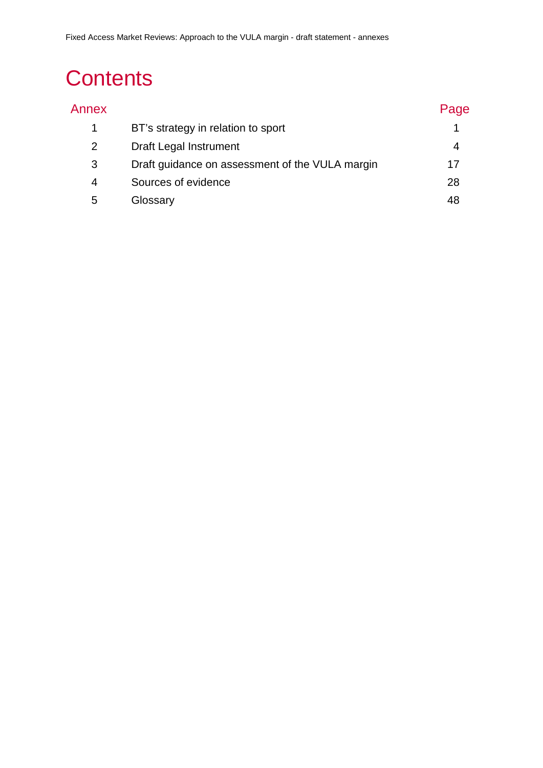# **Contents**

| Annex |                                                 | Page |
|-------|-------------------------------------------------|------|
|       | BT's strategy in relation to sport              |      |
| 2     | Draft Legal Instrument                          |      |
| 3     | Draft guidance on assessment of the VULA margin | 17   |
| 4     | Sources of evidence                             | 28   |
| 5     | Glossary                                        | 48   |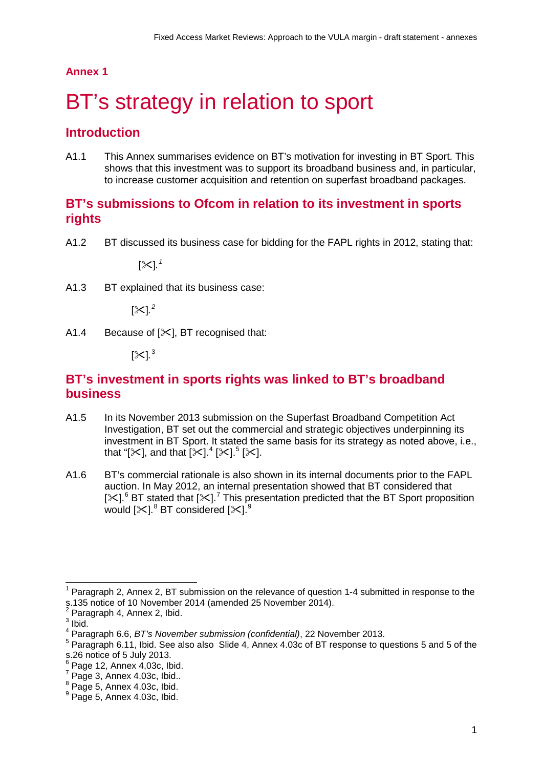## **Annex 1**

# <span id="page-2-0"></span>BT's strategy in relation to sport

# **Introduction**

A1.1 This Annex summarises evidence on BT's motivation for investing in BT Sport. This shows that this investment was to support its broadband business and, in particular, to increase customer acquisition and retention on superfast broadband packages.

# **BT's submissions to Ofcom in relation to its investment in sports rights**

A1.2 BT discussed its business case for bidding for the FAPL rights in 2012, stating that:

[ $^{\times}$ ].  $^{\prime}$ 

A1.3 BT explained that its business case:

[ $\times$ ].<sup>[2](#page-2-2)</sup>

A1.4 Because of  $[\times]$ , BT recognised that:

[≻].<sup>[3](#page-2-3)</sup>

# **BT's investment in sports rights was linked to BT's broadband business**

- A1.5 In its November 2013 submission on the Superfast Broadband Competition Act Investigation, BT set out the commercial and strategic objectives underpinning its investment in BT Sport. It stated the same basis for its strategy as noted above, i.e., that "[ $\ll$ ], and that [ $\ll$ ]. $^{4}$  $^{4}$  $^{4}$  [ $\ll$ ]. $^{5}$  $^{5}$  $^{5}$  [ $\ll$ ].
- A1.6 BT's commercial rationale is also shown in its internal documents prior to the FAPL auction. In May 2012, an internal presentation showed that BT considered that [ $\times$ ].<sup>[6](#page-2-6)</sup> BT stated that [ $\times$ ].<sup>[7](#page-2-7)</sup> This presentation predicted that the BT Sport proposition would [ $\ll$ ]. $^8$  $^8$  BT considered [ $\ll$ ]. $^9$  $^9$

 $\overline{a}$ 

<span id="page-2-1"></span>Paragraph 2, Annex 2, BT submission on the relevance of question 1-4 submitted in response to the s.135 notice of 10 November 2014 (amended 25 November 2014).

Paragraph 4, Annex 2, Ibid.

<span id="page-2-3"></span><span id="page-2-2"></span> $3$  Ibid.

<span id="page-2-4"></span><sup>4</sup> Paragraph 6.6, *BT's November submission (confidential)*, 22 November 2013.

<span id="page-2-5"></span><sup>&</sup>lt;sup>5</sup> Paragraph 6.11, Ibid. See also also Slide 4, Annex 4.03c of BT response to questions 5 and 5 of the s.26 notice of 5 July 2013.<br>  $\frac{6}{7}$  Page 12, Annex 4,03c, Ibid.<br>  $\frac{7}{7}$  Page 3, Annex 4.03c, Ibid.

<span id="page-2-6"></span>

<span id="page-2-8"></span><span id="page-2-7"></span> $8$  Page 5, Annex 4.03c, Ibid.

<span id="page-2-9"></span> $9$  Page 5, Annex 4.03c, Ibid.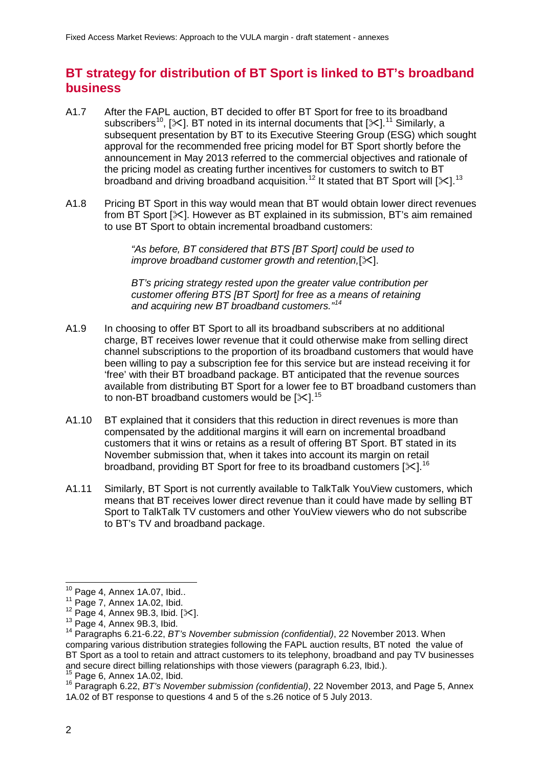# **BT strategy for distribution of BT Sport is linked to BT's broadband business**

- A1.7 After the FAPL auction, BT decided to offer BT Sport for free to its broadband subscribers<sup>[10](#page-3-0)</sup>, [ $\ll$ ]. BT noted in its internal documents that [ $\ll$ ].<sup>[11](#page-3-1)</sup> Similarly, a subsequent presentation by BT to its Executive Steering Group (ESG) which sought approval for the recommended free pricing model for BT Sport shortly before the announcement in May 2013 referred to the commercial objectives and rationale of the pricing model as creating further incentives for customers to switch to BT broadband and driving broadband acquisition.<sup>[12](#page-3-2)</sup> It stated that BT Sport will [ $\ll$ ].<sup>[13](#page-3-3)</sup>
- A1.8 Pricing BT Sport in this way would mean that BT would obtain lower direct revenues from BT Sport  $[\times]$ . However as BT explained in its submission. BT's aim remained to use BT Sport to obtain incremental broadband customers:

*"As before, BT considered that BTS [BT Sport] could be used to improve broadband customer growth and retention,[* $\angle$ *].* 

*BT's pricing strategy rested upon the greater value contribution per customer offering BTS [BT Sport] for free as a means of retaining and acquiring new BT broadband customers."[14](#page-3-4)*

- A1.9 In choosing to offer BT Sport to all its broadband subscribers at no additional charge, BT receives lower revenue that it could otherwise make from selling direct channel subscriptions to the proportion of its broadband customers that would have been willing to pay a subscription fee for this service but are instead receiving it for 'free' with their BT broadband package. BT anticipated that the revenue sources available from distributing BT Sport for a lower fee to BT broadband customers than to non-BT broadband customers would be [ $\ll$ ].<sup>[15](#page-3-5)</sup>
- A1.10 BT explained that it considers that this reduction in direct revenues is more than compensated by the additional margins it will earn on incremental broadband customers that it wins or retains as a result of offering BT Sport. BT stated in its November submission that, when it takes into account its margin on retail broadband, providing BT Sport for free to its broadband customers [ $\ll$ ].<sup>[16](#page-3-6)</sup>
- A1.11 Similarly, BT Sport is not currently available to TalkTalk YouView customers, which means that BT receives lower direct revenue than it could have made by selling BT Sport to TalkTalk TV customers and other YouView viewers who do not subscribe to BT's TV and broadband package.

<span id="page-3-0"></span> $^{10}$  Page 4, Annex 1A.07, Ibid..

<span id="page-3-2"></span>

<span id="page-3-4"></span><span id="page-3-3"></span>

<span id="page-3-1"></span><sup>11</sup> Page 7, Annex 1A.02, Ibid.<br><sup>11</sup> Page 7, Annex 9B.3, Ibid. [ $\times$ ].<br><sup>12</sup> Page 4, Annex 9B.3, Ibid. 14 Paragraphs 6.21-6.22, *BT's November submission (confidential)*, 22 November 2013. When comparing various distribution strategies following the FAPL auction results, BT noted the value of BT Sport as a tool to retain and attract customers to its telephony, broadband and pay TV businesses and secure direct billing relationships with those viewers (paragraph 6.23, lbid.).

<span id="page-3-6"></span><span id="page-3-5"></span><sup>&</sup>lt;sup>15</sup> Page 6, Annex 1A.02, Ibid.<br><sup>16</sup> Paragraph 6.22, *BT's November submission (confidential)*, 22 November 2013, and Page 5, Annex 1A.02 of BT response to questions 4 and 5 of the s.26 notice of 5 July 2013.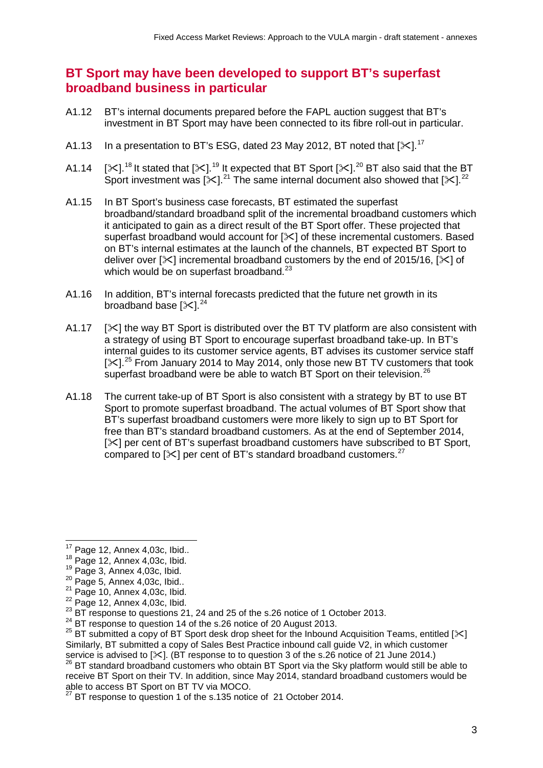# **BT Sport may have been developed to support BT's superfast broadband business in particular**

- A1.12 BT's internal documents prepared before the FAPL auction suggest that BT's investment in BT Sport may have been connected to its fibre roll-out in particular.
- A1.13 In a presentation to BT's ESG, dated 23 May 2012, BT noted that [ $\ll$ ].<sup>[17](#page-4-0)</sup>
- A1.14 [ $\ll$ ].<sup>[18](#page-4-1)</sup> It stated that [ $\ll$ ].<sup>[19](#page-4-2)</sup> It expected that BT Sport [ $\ll$ ].<sup>[20](#page-4-3)</sup> BT also said that the BT Sport investment was [ $\ll$ ].<sup>[21](#page-4-4)</sup> The same internal document also showed that [ $\ll$ ].<sup>[22](#page-4-5)</sup>
- A1.15 In BT Sport's business case forecasts, BT estimated the superfast broadband/standard broadband split of the incremental broadband customers which it anticipated to gain as a direct result of the BT Sport offer. These projected that superfast broadband would account for [ $\angle$ ] of these incremental customers. Based on BT's internal estimates at the launch of the channels, BT expected BT Sport to deliver over  $[\times]$  incremental broadband customers by the end of 2015/16,  $[\times]$  of which would be on superfast broadband. $^{23}$  $^{23}$  $^{23}$
- A1.16 In addition, BT's internal forecasts predicted that the future net growth in its broadband base  $[\times]^{24}$  $[\times]^{24}$  $[\times]^{24}$
- A1.17  $[\times]$  the way BT Sport is distributed over the BT TV platform are also consistent with a strategy of using BT Sport to encourage superfast broadband take-up. In BT's internal guides to its customer service agents, BT advises its customer service staff  $[\times]$ <sup>[25](#page-4-8)</sup> From January 2014 to May 2014, only those new BT TV customers that took superfast broadband were be able to watch BT Sport on their television.<sup>[26](#page-4-9)</sup>
- A1.18 The current take-up of BT Sport is also consistent with a strategy by BT to use BT Sport to promote superfast broadband. The actual volumes of BT Sport show that BT's superfast broadband customers were more likely to sign up to BT Sport for free than BT's standard broadband customers. As at the end of September 2014, [ $\ge$ ] per cent of BT's superfast broadband customers have subscribed to BT Sport, compared to  $[\times]$  per cent of BT's standard broadband customers.<sup>[27](#page-4-10)</sup>

<span id="page-4-9"></span>service is advised to [ $\times$ ]. (BT response to to question 3 of the s.26 notice of 21 June 2014.)<br><sup>26</sup> BT standard broadband customers who obtain BT Sport via the Sky platform would still be able to receive BT Sport on their TV. In addition, since May 2014, standard broadband customers would be able to access BT Sport on BT TV via MOCO.

 $17$  Page 12, Annex 4,03c, Ibid..  $\overline{a}$ 

<span id="page-4-3"></span>

<span id="page-4-4"></span>

<span id="page-4-5"></span>

<span id="page-4-2"></span><span id="page-4-1"></span><span id="page-4-0"></span><sup>&</sup>lt;sup>18</sup> Page 12, Annex 4,03c, Ibid.<br><sup>19</sup> Page 3, Annex 4,03c, Ibid.<br><sup>20</sup> Page 5, Annex 4,03c, Ibid.<br><sup>21</sup> Page 10, Annex 4,03c, Ibid.<br><sup>22</sup> Page 12, Annex 4,03c, Ibid.<br><sup>23</sup> BT response to questions 21, 24 and 25 of the s.26 no

<span id="page-4-6"></span>

<span id="page-4-8"></span><span id="page-4-7"></span><sup>&</sup>lt;sup>25</sup> BT submitted a copy of BT Sport desk drop sheet for the Inbound Acquisition Teams, entitled [ $\ll$ ] Similarly, BT submitted a copy of Sales Best Practice inbound call guide V2, in which customer

<span id="page-4-10"></span>BT response to question 1 of the s.135 notice of 21 October 2014.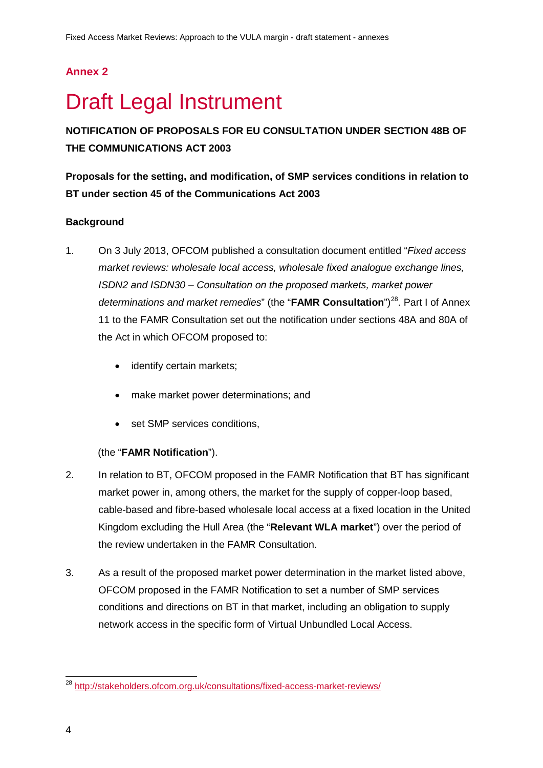# **Annex 2**

# <span id="page-5-0"></span>**Draft Legal Instrument**

**NOTIFICATION OF PROPOSALS FOR EU CONSULTATION UNDER SECTION 48B OF THE COMMUNICATIONS ACT 2003**

**Proposals for the setting, and modification, of SMP services conditions in relation to BT under section 45 of the Communications Act 2003**

## **Background**

- 1. On 3 July 2013, OFCOM published a consultation document entitled "*Fixed access market reviews: wholesale local access, wholesale fixed analogue exchange lines, ISDN2 and ISDN30 – Consultation on the proposed markets, market power determinations and market remedies*" (the "**FAMR Consultation**")[28.](#page-5-1) Part I of Annex 11 to the FAMR Consultation set out the notification under sections 48A and 80A of the Act in which OFCOM proposed to:
	- identify certain markets;
	- make market power determinations; and
	- set SMP services conditions,

## (the "**FAMR Notification**").

- 2. In relation to BT, OFCOM proposed in the FAMR Notification that BT has significant market power in, among others, the market for the supply of copper-loop based, cable-based and fibre-based wholesale local access at a fixed location in the United Kingdom excluding the Hull Area (the "**Relevant WLA market**") over the period of the review undertaken in the FAMR Consultation.
- 3. As a result of the proposed market power determination in the market listed above, OFCOM proposed in the FAMR Notification to set a number of SMP services conditions and directions on BT in that market, including an obligation to supply network access in the specific form of Virtual Unbundled Local Access.

<span id="page-5-1"></span><sup>&</sup>lt;sup>28</sup> <http://stakeholders.ofcom.org.uk/consultations/fixed-access-market-reviews/>  $\overline{a}$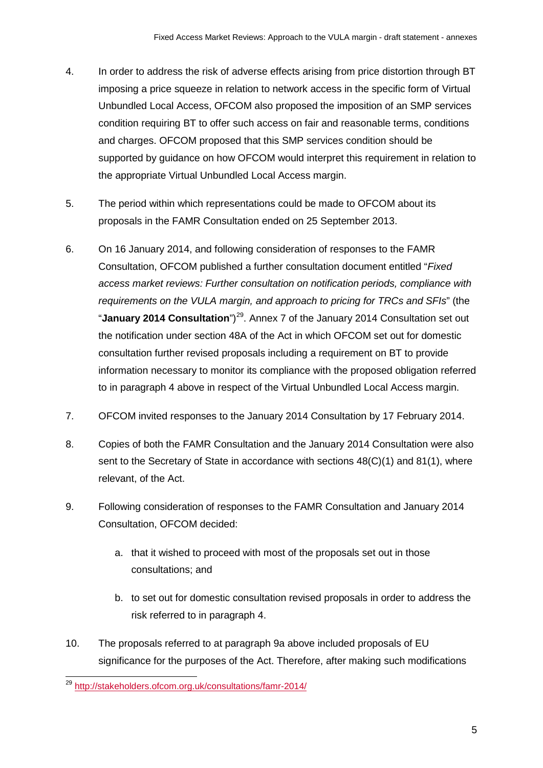- 4. In order to address the risk of adverse effects arising from price distortion through BT imposing a price squeeze in relation to network access in the specific form of Virtual Unbundled Local Access, OFCOM also proposed the imposition of an SMP services condition requiring BT to offer such access on fair and reasonable terms, conditions and charges. OFCOM proposed that this SMP services condition should be supported by guidance on how OFCOM would interpret this requirement in relation to the appropriate Virtual Unbundled Local Access margin.
- 5. The period within which representations could be made to OFCOM about its proposals in the FAMR Consultation ended on 25 September 2013.
- 6. On 16 January 2014, and following consideration of responses to the FAMR Consultation, OFCOM published a further consultation document entitled "*Fixed access market reviews: Further consultation on notification periods, compliance with requirements on the VULA margin, and approach to pricing for TRCs and SFIs*" (the "January 2014 Consultation")<sup>[29](#page-6-0)</sup>. Annex 7 of the January 2014 Consultation set out the notification under section 48A of the Act in which OFCOM set out for domestic consultation further revised proposals including a requirement on BT to provide information necessary to monitor its compliance with the proposed obligation referred to in paragraph 4 above in respect of the Virtual Unbundled Local Access margin.
- 7. OFCOM invited responses to the January 2014 Consultation by 17 February 2014.
- 8. Copies of both the FAMR Consultation and the January 2014 Consultation were also sent to the Secretary of State in accordance with sections  $48(C)(1)$  and  $81(1)$ , where relevant, of the Act.
- 9. Following consideration of responses to the FAMR Consultation and January 2014 Consultation, OFCOM decided:
	- a. that it wished to proceed with most of the proposals set out in those consultations; and
	- b. to set out for domestic consultation revised proposals in order to address the risk referred to in paragraph 4.
- 10. The proposals referred to at paragraph 9a above included proposals of EU significance for the purposes of the Act. Therefore, after making such modifications

<span id="page-6-0"></span><sup>&</sup>lt;sup>29</sup> <http://stakeholders.ofcom.org.uk/consultations/famr-2014/>  $\overline{a}$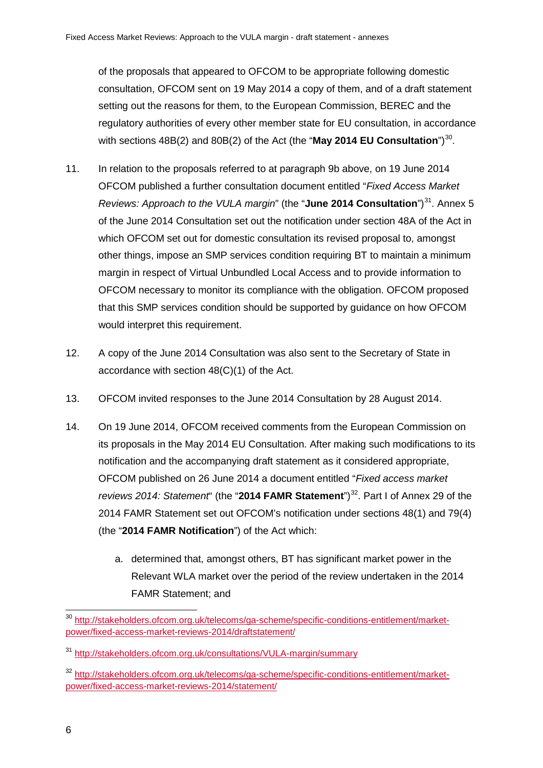of the proposals that appeared to OFCOM to be appropriate following domestic consultation, OFCOM sent on 19 May 2014 a copy of them, and of a draft statement setting out the reasons for them, to the European Commission, BEREC and the regulatory authorities of every other member state for EU consultation, in accordance with sections 48B(2) and 80B(2) of the Act (the "**May 2014 EU Consultation**")<sup>30</sup>.

- 11. In relation to the proposals referred to at paragraph 9b above, on 19 June 2014 OFCOM published a further consultation document entitled "*Fixed Access Market Reviews: Approach to the VULA margin*" (the "June 2014 Consultation")<sup>[31](#page-7-1)</sup>. Annex 5 of the June 2014 Consultation set out the notification under section 48A of the Act in which OFCOM set out for domestic consultation its revised proposal to, amongst other things, impose an SMP services condition requiring BT to maintain a minimum margin in respect of Virtual Unbundled Local Access and to provide information to OFCOM necessary to monitor its compliance with the obligation. OFCOM proposed that this SMP services condition should be supported by guidance on how OFCOM would interpret this requirement.
- 12. A copy of the June 2014 Consultation was also sent to the Secretary of State in accordance with section 48(C)(1) of the Act.
- 13. OFCOM invited responses to the June 2014 Consultation by 28 August 2014.
- 14. On 19 June 2014, OFCOM received comments from the European Commission on its proposals in the May 2014 EU Consultation. After making such modifications to its notification and the accompanying draft statement as it considered appropriate, OFCOM published on 26 June 2014 a document entitled "*Fixed access market reviews 2014: Statement*" (the "2014 FAMR Statement")<sup>32</sup>. Part I of Annex 29 of the 2014 FAMR Statement set out OFCOM's notification under sections 48(1) and 79(4) (the "**2014 FAMR Notification**") of the Act which:
	- a. determined that, amongst others, BT has significant market power in the Relevant WLA market over the period of the review undertaken in the 2014 FAMR Statement; and

<span id="page-7-0"></span><sup>&</sup>lt;sup>30</sup> [http://stakeholders.ofcom.org.uk/telecoms/ga-scheme/specific-conditions-entitlement/market](http://stakeholders.ofcom.org.uk/telecoms/ga-scheme/specific-conditions-entitlement/market-power/fixed-access-market-reviews-2014/draftstatement/)[power/fixed-access-market-reviews-2014/draftstatement/](http://stakeholders.ofcom.org.uk/telecoms/ga-scheme/specific-conditions-entitlement/market-power/fixed-access-market-reviews-2014/draftstatement/)  $\overline{a}$ 

<span id="page-7-1"></span><sup>31</sup> <http://stakeholders.ofcom.org.uk/consultations/VULA-margin/summary>

<span id="page-7-2"></span><sup>32</sup> [http://stakeholders.ofcom.org.uk/telecoms/ga-scheme/specific-conditions-entitlement/market](http://stakeholders.ofcom.org.uk/telecoms/ga-scheme/specific-conditions-entitlement/market-power/fixed-access-market-reviews-2014/statement/)[power/fixed-access-market-reviews-2014/statement/](http://stakeholders.ofcom.org.uk/telecoms/ga-scheme/specific-conditions-entitlement/market-power/fixed-access-market-reviews-2014/statement/)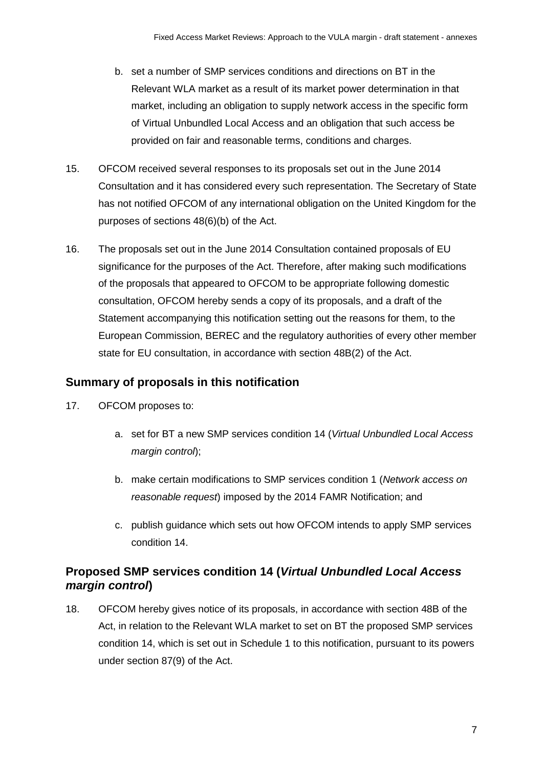- b. set a number of SMP services conditions and directions on BT in the Relevant WLA market as a result of its market power determination in that market, including an obligation to supply network access in the specific form of Virtual Unbundled Local Access and an obligation that such access be provided on fair and reasonable terms, conditions and charges.
- 15. OFCOM received several responses to its proposals set out in the June 2014 Consultation and it has considered every such representation. The Secretary of State has not notified OFCOM of any international obligation on the United Kingdom for the purposes of sections 48(6)(b) of the Act.
- 16. The proposals set out in the June 2014 Consultation contained proposals of EU significance for the purposes of the Act. Therefore, after making such modifications of the proposals that appeared to OFCOM to be appropriate following domestic consultation, OFCOM hereby sends a copy of its proposals, and a draft of the Statement accompanying this notification setting out the reasons for them, to the European Commission, BEREC and the regulatory authorities of every other member state for EU consultation, in accordance with section 48B(2) of the Act.

# **Summary of proposals in this notification**

- 17. OFCOM proposes to:
	- a. set for BT a new SMP services condition 14 (*Virtual Unbundled Local Access margin control*);
	- b. make certain modifications to SMP services condition 1 (*Network access on reasonable request*) imposed by the 2014 FAMR Notification; and
	- c. publish guidance which sets out how OFCOM intends to apply SMP services condition 14.

# **Proposed SMP services condition 14 (***Virtual Unbundled Local Access margin control***)**

18. OFCOM hereby gives notice of its proposals, in accordance with section 48B of the Act, in relation to the Relevant WLA market to set on BT the proposed SMP services condition 14, which is set out in Schedule 1 to this notification, pursuant to its powers under section 87(9) of the Act.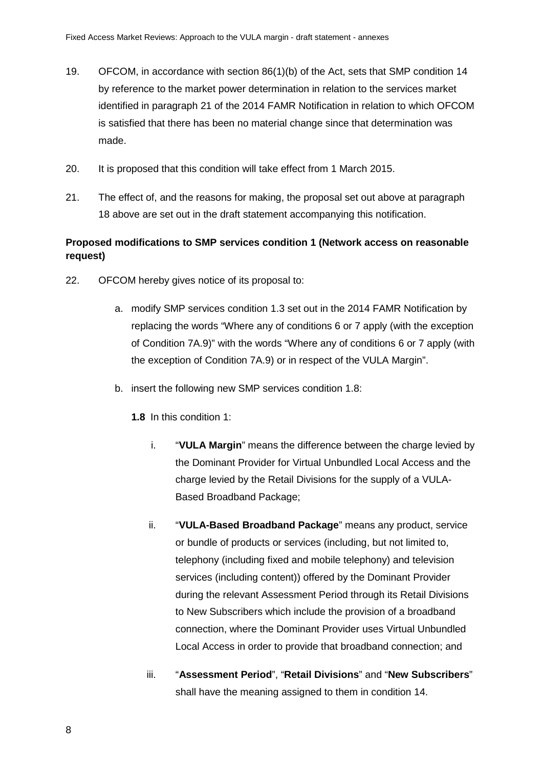- 19. OFCOM, in accordance with section 86(1)(b) of the Act, sets that SMP condition 14 by reference to the market power determination in relation to the services market identified in paragraph 21 of the 2014 FAMR Notification in relation to which OFCOM is satisfied that there has been no material change since that determination was made.
- 20. It is proposed that this condition will take effect from 1 March 2015.
- 21. The effect of, and the reasons for making, the proposal set out above at paragraph 18 above are set out in the draft statement accompanying this notification.

## **Proposed modifications to SMP services condition 1 (Network access on reasonable request)**

- 22. OFCOM hereby gives notice of its proposal to:
	- a. modify SMP services condition 1.3 set out in the 2014 FAMR Notification by replacing the words "Where any of conditions 6 or 7 apply (with the exception of Condition 7A.9)" with the words "Where any of conditions 6 or 7 apply (with the exception of Condition 7A.9) or in respect of the VULA Margin".
	- b. insert the following new SMP services condition 1.8:
		- **1.8** In this condition 1:
			- i. "**VULA Margin**" means the difference between the charge levied by the Dominant Provider for Virtual Unbundled Local Access and the charge levied by the Retail Divisions for the supply of a VULA-Based Broadband Package;
			- ii. "**VULA-Based Broadband Package**" means any product, service or bundle of products or services (including, but not limited to, telephony (including fixed and mobile telephony) and television services (including content)) offered by the Dominant Provider during the relevant Assessment Period through its Retail Divisions to New Subscribers which include the provision of a broadband connection, where the Dominant Provider uses Virtual Unbundled Local Access in order to provide that broadband connection; and
			- iii. "**Assessment Period**", "**Retail Divisions**" and "**New Subscribers**" shall have the meaning assigned to them in condition 14.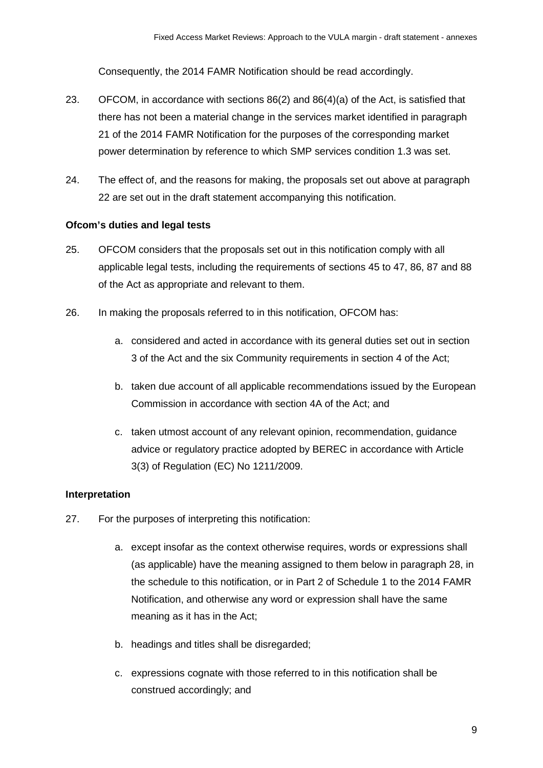Consequently, the 2014 FAMR Notification should be read accordingly.

- 23. OFCOM, in accordance with sections 86(2) and 86(4)(a) of the Act, is satisfied that there has not been a material change in the services market identified in paragraph 21 of the 2014 FAMR Notification for the purposes of the corresponding market power determination by reference to which SMP services condition 1.3 was set.
- 24. The effect of, and the reasons for making, the proposals set out above at paragraph 22 are set out in the draft statement accompanying this notification.

#### **Ofcom's duties and legal tests**

- 25. OFCOM considers that the proposals set out in this notification comply with all applicable legal tests, including the requirements of sections 45 to 47, 86, 87 and 88 of the Act as appropriate and relevant to them.
- 26. In making the proposals referred to in this notification, OFCOM has:
	- a. considered and acted in accordance with its general duties set out in section 3 of the Act and the six Community requirements in section 4 of the Act;
	- b. taken due account of all applicable recommendations issued by the European Commission in accordance with section 4A of the Act; and
	- c. taken utmost account of any relevant opinion, recommendation, guidance advice or regulatory practice adopted by BEREC in accordance with Article 3(3) of Regulation (EC) No 1211/2009.

## **Interpretation**

- 27. For the purposes of interpreting this notification:
	- a. except insofar as the context otherwise requires, words or expressions shall (as applicable) have the meaning assigned to them below in paragraph 28, in the schedule to this notification, or in Part 2 of Schedule 1 to the 2014 FAMR Notification, and otherwise any word or expression shall have the same meaning as it has in the Act;
	- b. headings and titles shall be disregarded;
	- c. expressions cognate with those referred to in this notification shall be construed accordingly; and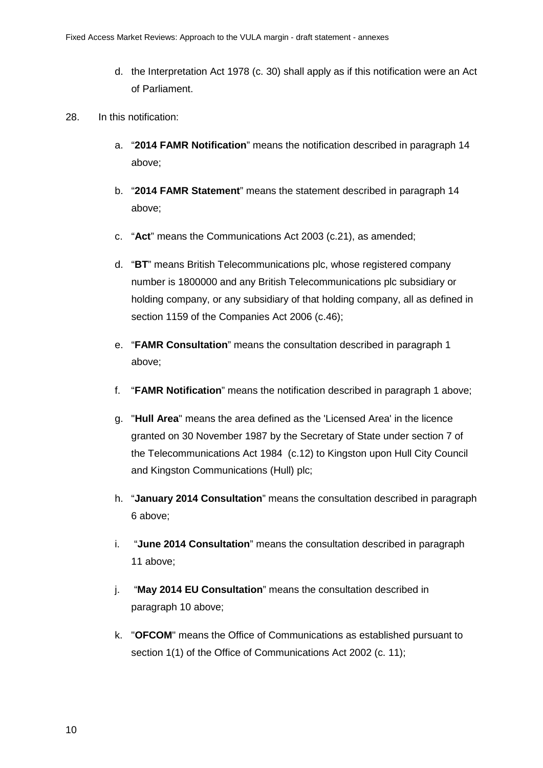- d. the Interpretation Act 1978 (c. 30) shall apply as if this notification were an Act of Parliament.
- 28. In this notification:
	- a. "**2014 FAMR Notification**" means the notification described in paragraph 14 above;
	- b. "**2014 FAMR Statement**" means the statement described in paragraph 14 above;
	- c. "**Act**" means the Communications Act 2003 (c.21), as amended;
	- d. "**BT**" means British Telecommunications plc, whose registered company number is 1800000 and any British Telecommunications plc subsidiary or holding company, or any subsidiary of that holding company, all as defined in section 1159 of the Companies Act 2006 (c.46);
	- e. "**FAMR Consultation**" means the consultation described in paragraph 1 above;
	- f. "**FAMR Notification**" means the notification described in paragraph 1 above;
	- g. "**Hull Area**" means the area defined as the 'Licensed Area' in the licence granted on 30 November 1987 by the Secretary of State under section 7 of the Telecommunications Act 1984 (c.12) to Kingston upon Hull City Council and Kingston Communications (Hull) plc;
	- h. "**January 2014 Consultation**" means the consultation described in paragraph 6 above;
	- i. "**June 2014 Consultation**" means the consultation described in paragraph 11 above;
	- j. "**May 2014 EU Consultation**" means the consultation described in paragraph 10 above;
	- k. "**OFCOM**" means the Office of Communications as established pursuant to section 1(1) of the Office of Communications Act 2002 (c. 11);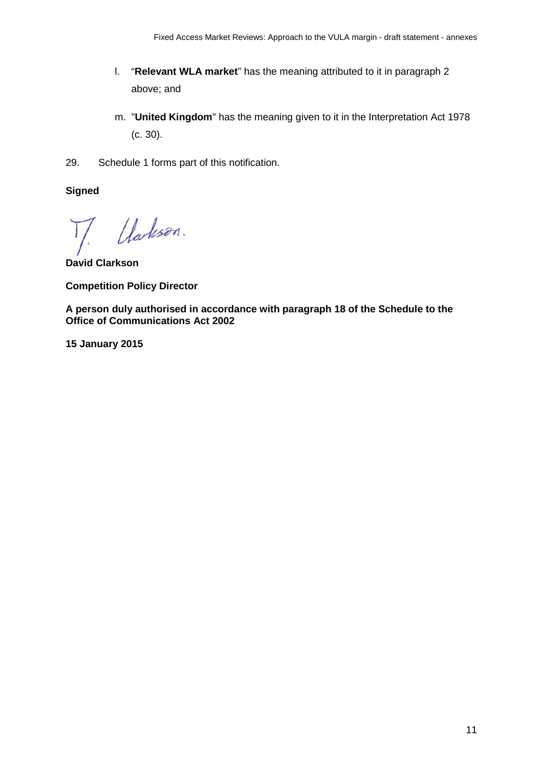- l. "**Relevant WLA market**" has the meaning attributed to it in paragraph 2 above; and
- m. "**United Kingdom**" has the meaning given to it in the Interpretation Act 1978 (c. 30).
- 29. Schedule 1 forms part of this notification.

**Signed**

Uarlison.

**David Clarkson**

**Competition Policy Director**

**A person duly authorised in accordance with paragraph 18 of the Schedule to the Office of Communications Act 2002**

**15 January 2015**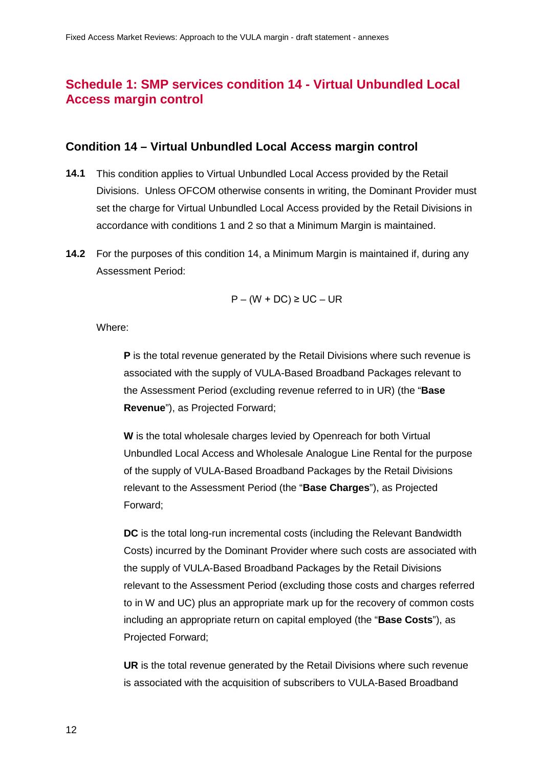# **Schedule 1: SMP services condition 14 - Virtual Unbundled Local Access margin control**

#### **Condition 14 – Virtual Unbundled Local Access margin control**

- **14.1** This condition applies to Virtual Unbundled Local Access provided by the Retail Divisions. Unless OFCOM otherwise consents in writing, the Dominant Provider must set the charge for Virtual Unbundled Local Access provided by the Retail Divisions in accordance with conditions 1 and 2 so that a Minimum Margin is maintained.
- **14.2** For the purposes of this condition 14, a Minimum Margin is maintained if, during any Assessment Period:

$$
P - (W + DC) \ge UC - UR
$$

Where:

**P** is the total revenue generated by the Retail Divisions where such revenue is associated with the supply of VULA-Based Broadband Packages relevant to the Assessment Period (excluding revenue referred to in UR) (the "**Base Revenue**"), as Projected Forward;

**W** is the total wholesale charges levied by Openreach for both Virtual Unbundled Local Access and Wholesale Analogue Line Rental for the purpose of the supply of VULA-Based Broadband Packages by the Retail Divisions relevant to the Assessment Period (the "**Base Charges**"), as Projected Forward;

**DC** is the total long-run incremental costs (including the Relevant Bandwidth Costs) incurred by the Dominant Provider where such costs are associated with the supply of VULA-Based Broadband Packages by the Retail Divisions relevant to the Assessment Period (excluding those costs and charges referred to in W and UC) plus an appropriate mark up for the recovery of common costs including an appropriate return on capital employed (the "**Base Costs**"), as Projected Forward;

**UR** is the total revenue generated by the Retail Divisions where such revenue is associated with the acquisition of subscribers to VULA-Based Broadband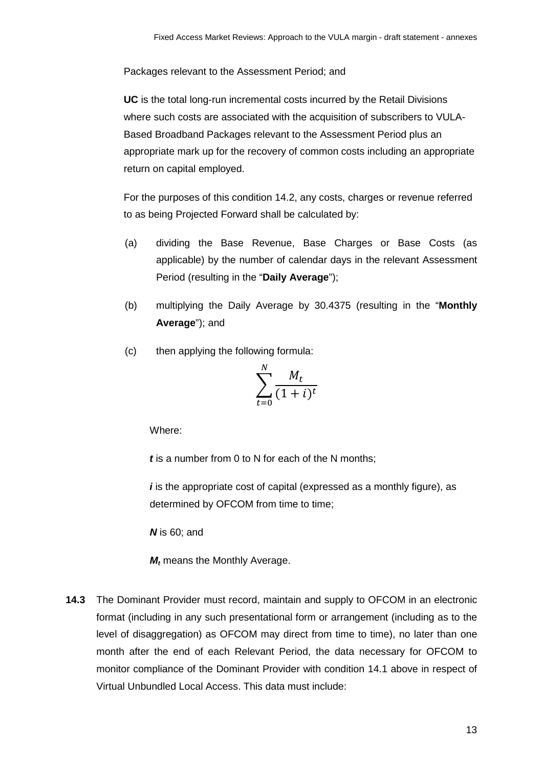Packages relevant to the Assessment Period; and

**UC** is the total long-run incremental costs incurred by the Retail Divisions where such costs are associated with the acquisition of subscribers to VULA-Based Broadband Packages relevant to the Assessment Period plus an appropriate mark up for the recovery of common costs including an appropriate return on capital employed.

For the purposes of this condition 14.2, any costs, charges or revenue referred to as being Projected Forward shall be calculated by:

- (a) dividing the Base Revenue, Base Charges or Base Costs (as applicable) by the number of calendar days in the relevant Assessment Period (resulting in the "**Daily Average**");
- (b) multiplying the Daily Average by 30.4375 (resulting in the "**Monthly Average**"); and
- (c) then applying the following formula:

$$
\sum_{t=0}^{N} \frac{M_t}{(1+i)^t}
$$

Where:

*t* is a number from 0 to N for each of the N months;

*i* is the appropriate cost of capital (expressed as a monthly figure), as determined by OFCOM from time to time;

*N* is 60; and

*M<sub>t</sub>* means the Monthly Average.

**14.3** The Dominant Provider must record, maintain and supply to OFCOM in an electronic format (including in any such presentational form or arrangement (including as to the level of disaggregation) as OFCOM may direct from time to time), no later than one month after the end of each Relevant Period, the data necessary for OFCOM to monitor compliance of the Dominant Provider with condition 14.1 above in respect of Virtual Unbundled Local Access. This data must include: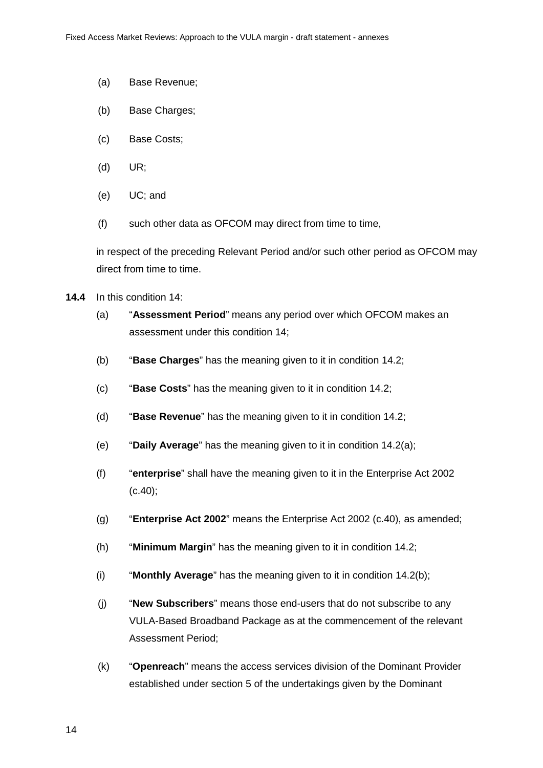- (a) Base Revenue;
- (b) Base Charges;
- (c) Base Costs;
- (d) UR;
- (e) UC; and
- (f) such other data as OFCOM may direct from time to time,

in respect of the preceding Relevant Period and/or such other period as OFCOM may direct from time to time.

- **14.4** In this condition 14:
	- (a) "**Assessment Period**" means any period over which OFCOM makes an assessment under this condition 14;
	- (b) "**Base Charges**" has the meaning given to it in condition 14.2;
	- (c) "**Base Costs**" has the meaning given to it in condition 14.2;
	- (d) "**Base Revenue**" has the meaning given to it in condition 14.2;
	- (e) "**Daily Average**" has the meaning given to it in condition 14.2(a);
	- (f) "**enterprise**" shall have the meaning given to it in the Enterprise Act 2002  $(c.40);$
	- (g) "**Enterprise Act 2002**" means the Enterprise Act 2002 (c.40), as amended;
	- (h) "**Minimum Margin**" has the meaning given to it in condition 14.2;
	- (i) "**Monthly Average**" has the meaning given to it in condition 14.2(b);
	- (j) "**New Subscribers**" means those end-users that do not subscribe to any VULA-Based Broadband Package as at the commencement of the relevant Assessment Period;
	- (k) "**Openreach**" means the access services division of the Dominant Provider established under section 5 of the undertakings given by the Dominant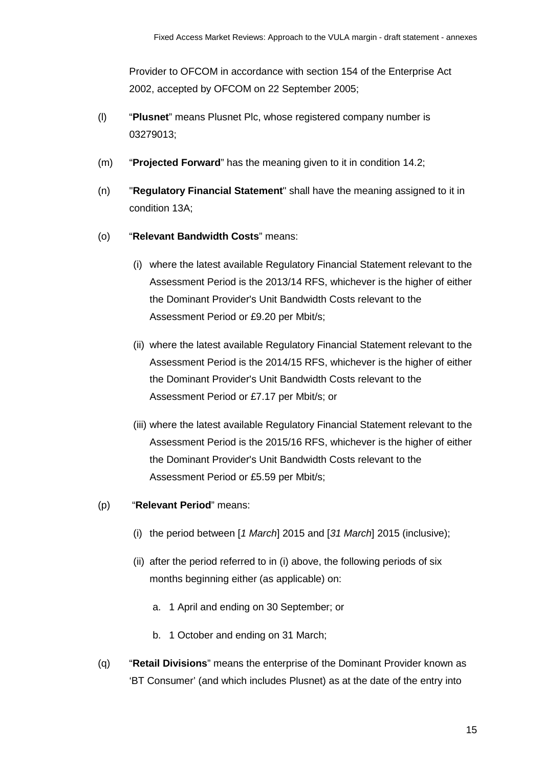Provider to OFCOM in accordance with section 154 of the Enterprise Act 2002, accepted by OFCOM on 22 September 2005;

- (l) "**Plusnet**" means Plusnet Plc, whose registered company number is 03279013;
- (m) "**Projected Forward**" has the meaning given to it in condition 14.2;
- (n) "**Regulatory Financial Statement**" shall have the meaning assigned to it in condition 13A;
- (o) "**Relevant Bandwidth Costs**" means:
	- (i) where the latest available Regulatory Financial Statement relevant to the Assessment Period is the 2013/14 RFS, whichever is the higher of either the Dominant Provider's Unit Bandwidth Costs relevant to the Assessment Period or £9.20 per Mbit/s;
	- (ii) where the latest available Regulatory Financial Statement relevant to the Assessment Period is the 2014/15 RFS, whichever is the higher of either the Dominant Provider's Unit Bandwidth Costs relevant to the Assessment Period or £7.17 per Mbit/s; or
	- (iii) where the latest available Regulatory Financial Statement relevant to the Assessment Period is the 2015/16 RFS, whichever is the higher of either the Dominant Provider's Unit Bandwidth Costs relevant to the Assessment Period or £5.59 per Mbit/s;
- (p) "**Relevant Period**" means:
	- (i) the period between [*1 March*] 2015 and [*31 March*] 2015 (inclusive);
	- (ii) after the period referred to in (i) above, the following periods of six months beginning either (as applicable) on:
		- a. 1 April and ending on 30 September; or
		- b. 1 October and ending on 31 March;
- (q) "**Retail Divisions**" means the enterprise of the Dominant Provider known as 'BT Consumer' (and which includes Plusnet) as at the date of the entry into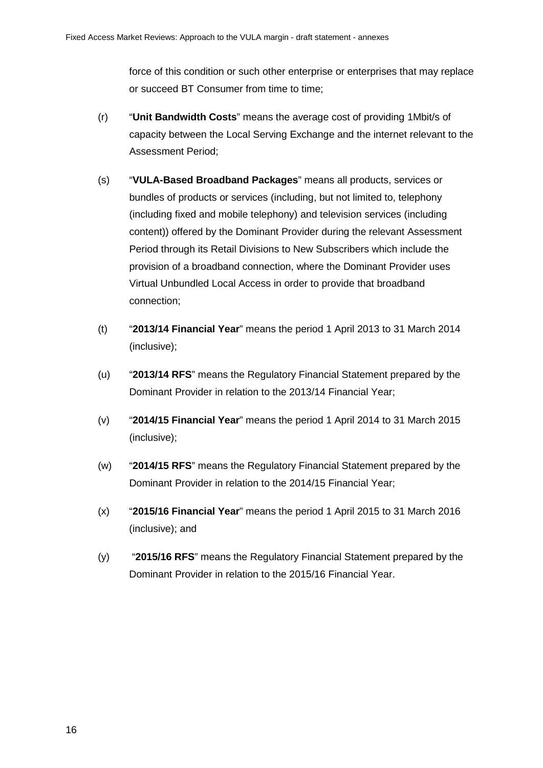force of this condition or such other enterprise or enterprises that may replace or succeed BT Consumer from time to time;

- (r) "**Unit Bandwidth Costs**" means the average cost of providing 1Mbit/s of capacity between the Local Serving Exchange and the internet relevant to the Assessment Period;
- (s) "**VULA-Based Broadband Packages**" means all products, services or bundles of products or services (including, but not limited to, telephony (including fixed and mobile telephony) and television services (including content)) offered by the Dominant Provider during the relevant Assessment Period through its Retail Divisions to New Subscribers which include the provision of a broadband connection, where the Dominant Provider uses Virtual Unbundled Local Access in order to provide that broadband connection;
- (t) "**2013/14 Financial Year**" means the period 1 April 2013 to 31 March 2014 (inclusive);
- (u) "**2013/14 RFS**" means the Regulatory Financial Statement prepared by the Dominant Provider in relation to the 2013/14 Financial Year;
- (v) "**2014/15 Financial Year**" means the period 1 April 2014 to 31 March 2015 (inclusive);
- (w) "**2014/15 RFS**" means the Regulatory Financial Statement prepared by the Dominant Provider in relation to the 2014/15 Financial Year;
- (x) "**2015/16 Financial Year**" means the period 1 April 2015 to 31 March 2016 (inclusive); and
- (y) "**2015/16 RFS**" means the Regulatory Financial Statement prepared by the Dominant Provider in relation to the 2015/16 Financial Year.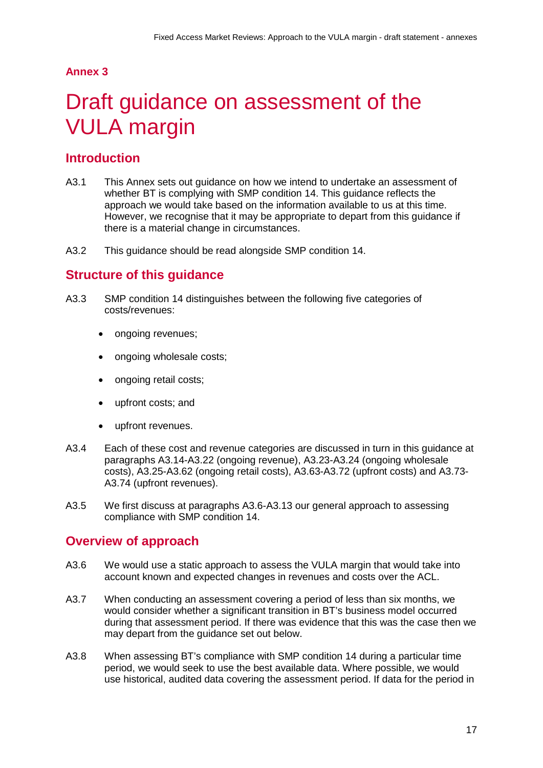## **Annex 3**

# <span id="page-18-0"></span>Draft guidance on assessment of the VULA margin

# **Introduction**

- A3.1 This Annex sets out guidance on how we intend to undertake an assessment of whether BT is complying with SMP condition 14. This guidance reflects the approach we would take based on the information available to us at this time. However, we recognise that it may be appropriate to depart from this guidance if there is a material change in circumstances.
- A3.2 This guidance should be read alongside SMP condition 14.

# **Structure of this guidance**

- A3.3 SMP condition 14 distinguishes between the following five categories of costs/revenues:
	- ongoing revenues;
	- ongoing wholesale costs;
	- ongoing retail costs;
	- upfront costs; and
	- upfront revenues.
- A3.4 Each of these cost and revenue categories are discussed in turn in this guidance at paragraphs A3.14-A3.22 (ongoing revenue), A3.23-A3.24 (ongoing wholesale costs), A3.25-A3.62 (ongoing retail costs), A3.63-A3.72 (upfront costs) and A3.73- A3.74 (upfront revenues).
- A3.5 We first discuss at paragraphs A3.6-A3.13 our general approach to assessing compliance with SMP condition 14.

# **Overview of approach**

- A3.6 We would use a static approach to assess the VULA margin that would take into account known and expected changes in revenues and costs over the ACL.
- A3.7 When conducting an assessment covering a period of less than six months, we would consider whether a significant transition in BT's business model occurred during that assessment period. If there was evidence that this was the case then we may depart from the guidance set out below.
- A3.8 When assessing BT's compliance with SMP condition 14 during a particular time period, we would seek to use the best available data. Where possible, we would use historical, audited data covering the assessment period. If data for the period in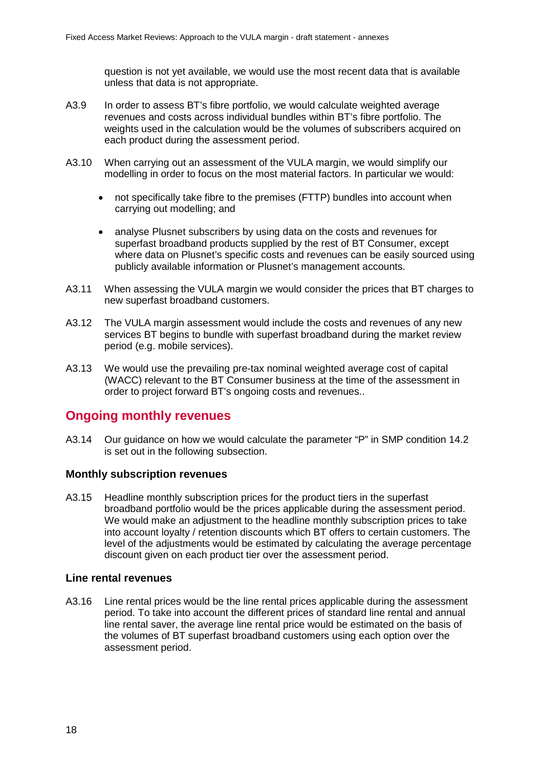question is not yet available, we would use the most recent data that is available unless that data is not appropriate.

- A3.9 In order to assess BT's fibre portfolio, we would calculate weighted average revenues and costs across individual bundles within BT's fibre portfolio. The weights used in the calculation would be the volumes of subscribers acquired on each product during the assessment period.
- A3.10 When carrying out an assessment of the VULA margin, we would simplify our modelling in order to focus on the most material factors. In particular we would:
	- not specifically take fibre to the premises (FTTP) bundles into account when carrying out modelling; and
	- analyse Plusnet subscribers by using data on the costs and revenues for superfast broadband products supplied by the rest of BT Consumer, except where data on Plusnet's specific costs and revenues can be easily sourced using publicly available information or Plusnet's management accounts.
- A3.11 When assessing the VULA margin we would consider the prices that BT charges to new superfast broadband customers.
- A3.12 The VULA margin assessment would include the costs and revenues of any new services BT begins to bundle with superfast broadband during the market review period (e.g. mobile services).
- A3.13 We would use the prevailing pre-tax nominal weighted average cost of capital (WACC) relevant to the BT Consumer business at the time of the assessment in order to project forward BT's ongoing costs and revenues..

# **Ongoing monthly revenues**

A3.14 Our guidance on how we would calculate the parameter "P" in SMP condition 14.2 is set out in the following subsection.

#### **Monthly subscription revenues**

A3.15 Headline monthly subscription prices for the product tiers in the superfast broadband portfolio would be the prices applicable during the assessment period. We would make an adjustment to the headline monthly subscription prices to take into account loyalty / retention discounts which BT offers to certain customers. The level of the adjustments would be estimated by calculating the average percentage discount given on each product tier over the assessment period.

#### **Line rental revenues**

A3.16 Line rental prices would be the line rental prices applicable during the assessment period. To take into account the different prices of standard line rental and annual line rental saver, the average line rental price would be estimated on the basis of the volumes of BT superfast broadband customers using each option over the assessment period.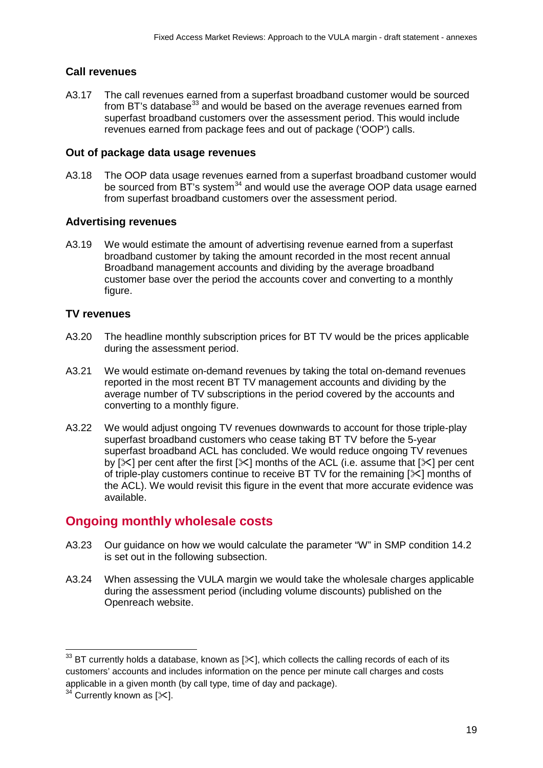# **Call revenues**

A3.17 The call revenues earned from a superfast broadband customer would be sourced from BT's database $^{33}$  $^{33}$  $^{33}$  and would be based on the average revenues earned from superfast broadband customers over the assessment period. This would include revenues earned from package fees and out of package ('OOP') calls.

## **Out of package data usage revenues**

A3.18 The OOP data usage revenues earned from a superfast broadband customer would be sourced from BT's system<sup>[34](#page-20-1)</sup> and would use the average OOP data usage earned from superfast broadband customers over the assessment period.

# **Advertising revenues**

A3.19 We would estimate the amount of advertising revenue earned from a superfast broadband customer by taking the amount recorded in the most recent annual Broadband management accounts and dividing by the average broadband customer base over the period the accounts cover and converting to a monthly figure.

# **TV revenues**

- A3.20 The headline monthly subscription prices for BT TV would be the prices applicable during the assessment period.
- A3.21 We would estimate on-demand revenues by taking the total on-demand revenues reported in the most recent BT TV management accounts and dividing by the average number of TV subscriptions in the period covered by the accounts and converting to a monthly figure.
- A3.22 We would adjust ongoing TV revenues downwards to account for those triple-play superfast broadband customers who cease taking BT TV before the 5-year superfast broadband ACL has concluded. We would reduce ongoing TV revenues by  $[\times]$  per cent after the first  $[\times]$  months of the ACL (i.e. assume that  $[\times]$  per cent of triple-play customers continue to receive BT TV for the remaining  $[\times]$  months of the ACL). We would revisit this figure in the event that more accurate evidence was available.

# **Ongoing monthly wholesale costs**

- A3.23 Our guidance on how we would calculate the parameter "W" in SMP condition 14.2 is set out in the following subsection.
- A3.24 When assessing the VULA margin we would take the wholesale charges applicable during the assessment period (including volume discounts) published on the Openreach website.

<span id="page-20-0"></span> $^{33}$  BT currently holds a database, known as [ $\ll$ ], which collects the calling records of each of its customers' accounts and includes information on the pence per minute call charges and costs applicable in a given month (by call type, time of day and package).  $\overline{a}$ 

<span id="page-20-1"></span> $34$  Currently known as [ $\ll$ ].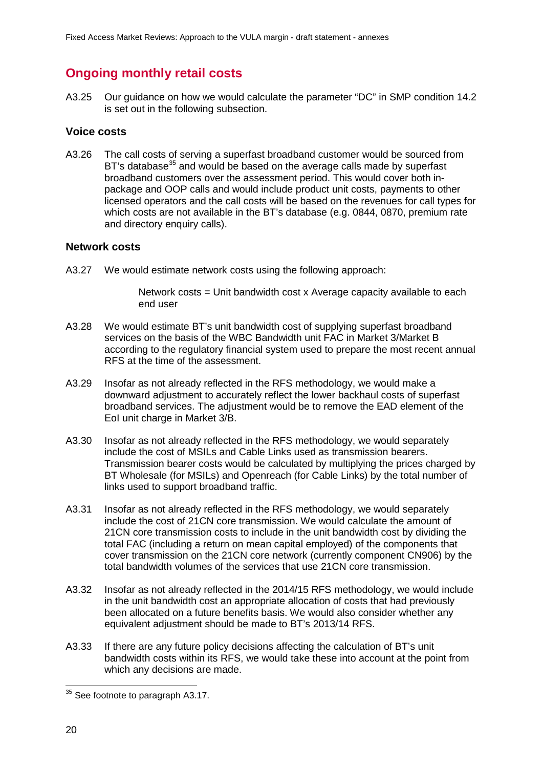# **Ongoing monthly retail costs**

A3.25 Our guidance on how we would calculate the parameter "DC" in SMP condition 14.2 is set out in the following subsection.

### **Voice costs**

A3.26 The call costs of serving a superfast broadband customer would be sourced from BT's database<sup>[35](#page-21-0)</sup> and would be based on the average calls made by superfast broadband customers over the assessment period. This would cover both inpackage and OOP calls and would include product unit costs, payments to other licensed operators and the call costs will be based on the revenues for call types for which costs are not available in the BT's database (e.g. 0844, 0870, premium rate and directory enquiry calls).

#### **Network costs**

A3.27 We would estimate network costs using the following approach:

Network costs = Unit bandwidth cost x Average capacity available to each end user

- A3.28 We would estimate BT's unit bandwidth cost of supplying superfast broadband services on the basis of the WBC Bandwidth unit FAC in Market 3/Market B according to the regulatory financial system used to prepare the most recent annual RFS at the time of the assessment.
- A3.29 Insofar as not already reflected in the RFS methodology, we would make a downward adjustment to accurately reflect the lower backhaul costs of superfast broadband services. The adjustment would be to remove the EAD element of the EoI unit charge in Market 3/B.
- A3.30 Insofar as not already reflected in the RFS methodology, we would separately include the cost of MSILs and Cable Links used as transmission bearers. Transmission bearer costs would be calculated by multiplying the prices charged by BT Wholesale (for MSILs) and Openreach (for Cable Links) by the total number of links used to support broadband traffic.
- A3.31 Insofar as not already reflected in the RFS methodology, we would separately include the cost of 21CN core transmission. We would calculate the amount of 21CN core transmission costs to include in the unit bandwidth cost by dividing the total FAC (including a return on mean capital employed) of the components that cover transmission on the 21CN core network (currently component CN906) by the total bandwidth volumes of the services that use 21CN core transmission.
- A3.32 Insofar as not already reflected in the 2014/15 RFS methodology, we would include in the unit bandwidth cost an appropriate allocation of costs that had previously been allocated on a future benefits basis. We would also consider whether any equivalent adjustment should be made to BT's 2013/14 RFS.
- A3.33 If there are any future policy decisions affecting the calculation of BT's unit bandwidth costs within its RFS, we would take these into account at the point from which any decisions are made.

<span id="page-21-0"></span> $35$  See footnote to paragraph A3.17.  $\overline{a}$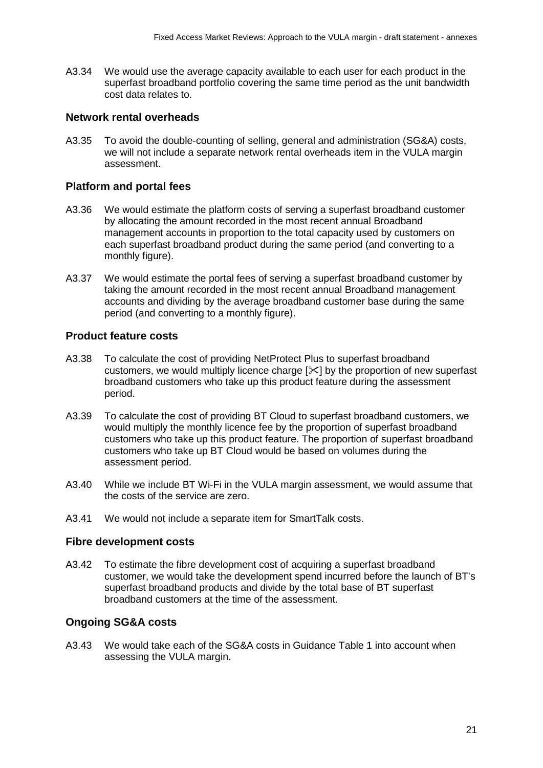A3.34 We would use the average capacity available to each user for each product in the superfast broadband portfolio covering the same time period as the unit bandwidth cost data relates to.

#### **Network rental overheads**

A3.35 To avoid the double-counting of selling, general and administration (SG&A) costs, we will not include a separate network rental overheads item in the VULA margin assessment.

#### **Platform and portal fees**

- A3.36 We would estimate the platform costs of serving a superfast broadband customer by allocating the amount recorded in the most recent annual Broadband management accounts in proportion to the total capacity used by customers on each superfast broadband product during the same period (and converting to a monthly figure).
- A3.37 We would estimate the portal fees of serving a superfast broadband customer by taking the amount recorded in the most recent annual Broadband management accounts and dividing by the average broadband customer base during the same period (and converting to a monthly figure).

#### **Product feature costs**

- A3.38 To calculate the cost of providing NetProtect Plus to superfast broadband customers, we would multiply licence charge  $[\times]$  by the proportion of new superfast broadband customers who take up this product feature during the assessment period.
- A3.39 To calculate the cost of providing BT Cloud to superfast broadband customers, we would multiply the monthly licence fee by the proportion of superfast broadband customers who take up this product feature. The proportion of superfast broadband customers who take up BT Cloud would be based on volumes during the assessment period.
- A3.40 While we include BT Wi-Fi in the VULA margin assessment, we would assume that the costs of the service are zero.
- A3.41 We would not include a separate item for SmartTalk costs.

#### **Fibre development costs**

A3.42 To estimate the fibre development cost of acquiring a superfast broadband customer, we would take the development spend incurred before the launch of BT's superfast broadband products and divide by the total base of BT superfast broadband customers at the time of the assessment.

#### **Ongoing SG&A costs**

A3.43 We would take each of the SG&A costs in Guidance Table 1 into account when assessing the VULA margin.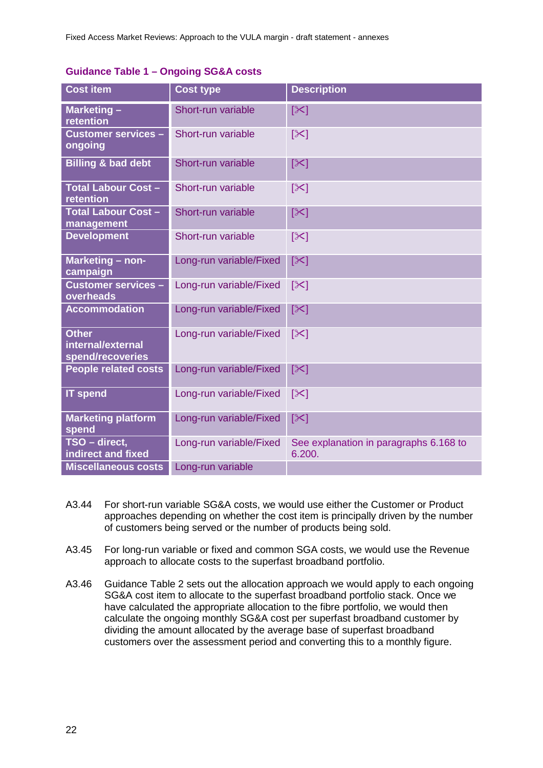| <b>Cost item</b>                                      | <b>Cost type</b>        | <b>Description</b>                               |
|-------------------------------------------------------|-------------------------|--------------------------------------------------|
| Marketing-<br>retention                               | Short-run variable      | $[\times]$                                       |
| <b>Customer services -</b><br>ongoing                 | Short-run variable      | $\left[\infty\right]$                            |
| <b>Billing &amp; bad debt</b>                         | Short-run variable      | $[\times]$                                       |
| <b>Total Labour Cost -</b><br>retention               | Short-run variable      | $\left[\infty\right]$                            |
| <b>Total Labour Cost -</b><br>management              | Short-run variable      | $[\times]$                                       |
| <b>Development</b>                                    | Short-run variable      | $ \mathcal{X} $                                  |
| Marketing - non-<br>campaign                          | Long-run variable/Fixed | $[\times]$                                       |
| <b>Customer services -</b><br>overheads               | Long-run variable/Fixed | $ \mathcal{X} $                                  |
| <b>Accommodation</b>                                  | Long-run variable/Fixed | $[\infty]$                                       |
| <b>Other</b><br>internal/external<br>spend/recoveries | Long-run variable/Fixed | $\left[\infty\right]$                            |
| <b>People related costs</b>                           | Long-run variable/Fixed | $[\infty]$                                       |
| <b>IT spend</b>                                       | Long-run variable/Fixed | $[\times]$                                       |
| <b>Marketing platform</b><br>spend                    | Long-run variable/Fixed | $[\times]$                                       |
| TSO - direct,<br>indirect and fixed                   | Long-run variable/Fixed | See explanation in paragraphs 6.168 to<br>6.200. |
| <b>Miscellaneous costs</b>                            | Long-run variable       |                                                  |

# **Guidance Table 1 – Ongoing SG&A costs**

- A3.44 For short-run variable SG&A costs, we would use either the Customer or Product approaches depending on whether the cost item is principally driven by the number of customers being served or the number of products being sold.
- A3.45 For long-run variable or fixed and common SGA costs, we would use the Revenue approach to allocate costs to the superfast broadband portfolio.
- A3.46 Guidance Table 2 sets out the allocation approach we would apply to each ongoing SG&A cost item to allocate to the superfast broadband portfolio stack. Once we have calculated the appropriate allocation to the fibre portfolio, we would then calculate the ongoing monthly SG&A cost per superfast broadband customer by dividing the amount allocated by the average base of superfast broadband customers over the assessment period and converting this to a monthly figure.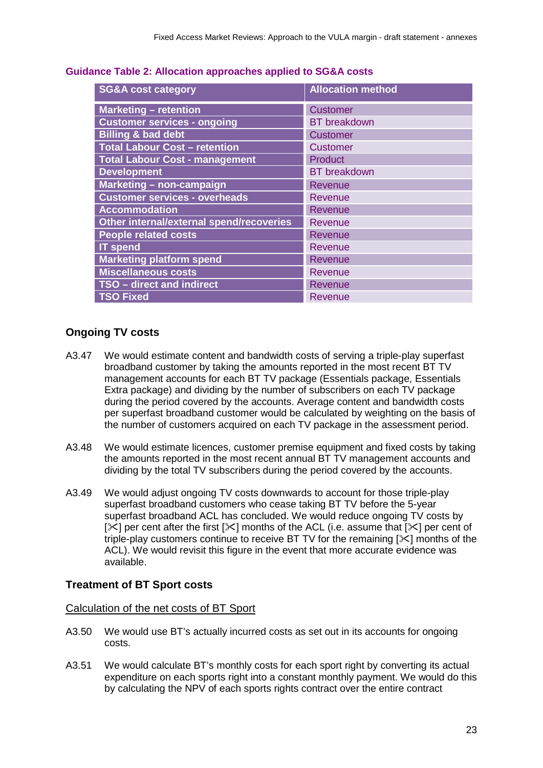| <b>SG&amp;A cost category</b>            | <b>Allocation method</b> |
|------------------------------------------|--------------------------|
| <b>Marketing - retention</b>             | <b>Customer</b>          |
| <b>Customer services - ongoing</b>       | <b>BT</b> breakdown      |
| <b>Billing &amp; bad debt</b>            | <b>Customer</b>          |
| <b>Total Labour Cost - retention</b>     | <b>Customer</b>          |
| <b>Total Labour Cost - management</b>    | Product                  |
| <b>Development</b>                       | <b>BT</b> breakdown      |
| Marketing - non-campaign                 | Revenue                  |
| <b>Customer services - overheads</b>     | Revenue                  |
| <b>Accommodation</b>                     | Revenue                  |
| Other internal/external spend/recoveries | Revenue                  |
| <b>People related costs</b>              | Revenue                  |
| <b>IT spend</b>                          | Revenue                  |
| <b>Marketing platform spend</b>          | Revenue                  |
| <b>Miscellaneous costs</b>               | Revenue                  |
| TSO - direct and indirect                | <b>Revenue</b>           |
| <b>TSO Fixed</b>                         | Revenue                  |

#### **Guidance Table 2: Allocation approaches applied to SG&A costs**

## **Ongoing TV costs**

- A3.47 We would estimate content and bandwidth costs of serving a triple-play superfast broadband customer by taking the amounts reported in the most recent BT TV management accounts for each BT TV package (Essentials package, Essentials Extra package) and dividing by the number of subscribers on each TV package during the period covered by the accounts. Average content and bandwidth costs per superfast broadband customer would be calculated by weighting on the basis of the number of customers acquired on each TV package in the assessment period.
- A3.48 We would estimate licences, customer premise equipment and fixed costs by taking the amounts reported in the most recent annual BT TV management accounts and dividing by the total TV subscribers during the period covered by the accounts.
- A3.49 We would adjust ongoing TV costs downwards to account for those triple-play superfast broadband customers who cease taking BT TV before the 5-year superfast broadband ACL has concluded. We would reduce ongoing TV costs by  $[\times]$  per cent after the first  $[\times]$  months of the ACL (i.e. assume that  $[\times]$  per cent of triple-play customers continue to receive BT TV for the remaining  $[\times]$  months of the ACL). We would revisit this figure in the event that more accurate evidence was available.

#### **Treatment of BT Sport costs**

Calculation of the net costs of BT Sport

- A3.50 We would use BT's actually incurred costs as set out in its accounts for ongoing costs.
- A3.51 We would calculate BT's monthly costs for each sport right by converting its actual expenditure on each sports right into a constant monthly payment. We would do this by calculating the NPV of each sports rights contract over the entire contract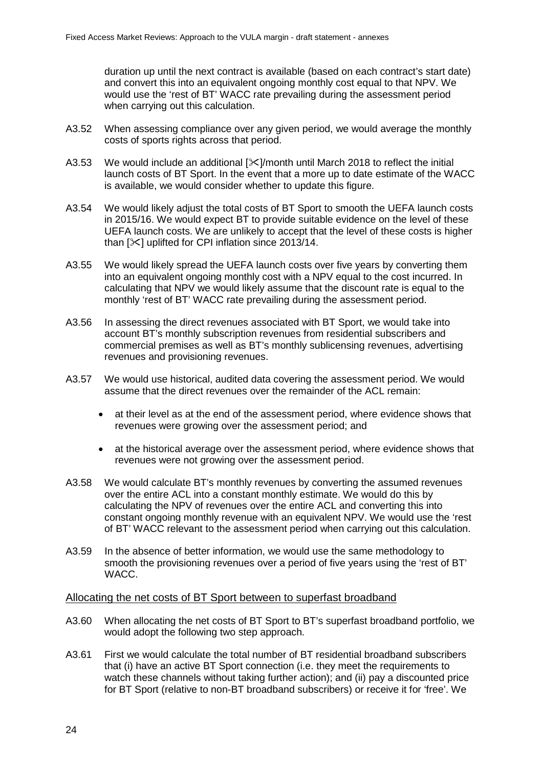duration up until the next contract is available (based on each contract's start date) and convert this into an equivalent ongoing monthly cost equal to that NPV. We would use the 'rest of BT' WACC rate prevailing during the assessment period when carrying out this calculation.

- A3.52 When assessing compliance over any given period, we would average the monthly costs of sports rights across that period.
- A3.53 We would include an additional  $[\times]$ /month until March 2018 to reflect the initial launch costs of BT Sport. In the event that a more up to date estimate of the WACC is available, we would consider whether to update this figure.
- A3.54 We would likely adjust the total costs of BT Sport to smooth the UEFA launch costs in 2015/16. We would expect BT to provide suitable evidence on the level of these UEFA launch costs. We are unlikely to accept that the level of these costs is higher than  $[\times]$  uplifted for CPI inflation since 2013/14.
- A3.55 We would likely spread the UEFA launch costs over five years by converting them into an equivalent ongoing monthly cost with a NPV equal to the cost incurred. In calculating that NPV we would likely assume that the discount rate is equal to the monthly 'rest of BT' WACC rate prevailing during the assessment period.
- A3.56 In assessing the direct revenues associated with BT Sport, we would take into account BT's monthly subscription revenues from residential subscribers and commercial premises as well as BT's monthly sublicensing revenues, advertising revenues and provisioning revenues.
- A3.57 We would use historical, audited data covering the assessment period. We would assume that the direct revenues over the remainder of the ACL remain:
	- at their level as at the end of the assessment period, where evidence shows that revenues were growing over the assessment period; and
	- at the historical average over the assessment period, where evidence shows that revenues were not growing over the assessment period.
- A3.58 We would calculate BT's monthly revenues by converting the assumed revenues over the entire ACL into a constant monthly estimate. We would do this by calculating the NPV of revenues over the entire ACL and converting this into constant ongoing monthly revenue with an equivalent NPV. We would use the 'rest of BT' WACC relevant to the assessment period when carrying out this calculation.
- A3.59 In the absence of better information, we would use the same methodology to smooth the provisioning revenues over a period of five years using the 'rest of BT' WACC.

#### Allocating the net costs of BT Sport between to superfast broadband

- A3.60 When allocating the net costs of BT Sport to BT's superfast broadband portfolio, we would adopt the following two step approach.
- A3.61 First we would calculate the total number of BT residential broadband subscribers that (i) have an active BT Sport connection (i.e. they meet the requirements to watch these channels without taking further action); and (ii) pay a discounted price for BT Sport (relative to non-BT broadband subscribers) or receive it for 'free'. We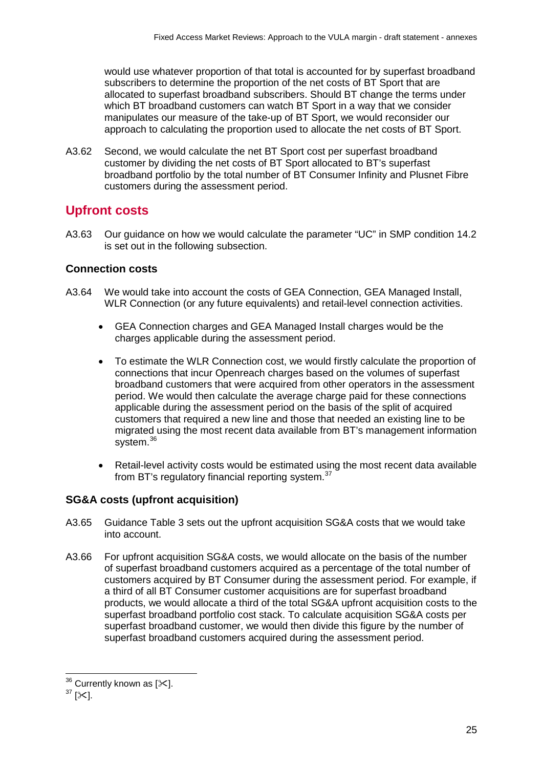would use whatever proportion of that total is accounted for by superfast broadband subscribers to determine the proportion of the net costs of BT Sport that are allocated to superfast broadband subscribers. Should BT change the terms under which BT broadband customers can watch BT Sport in a way that we consider manipulates our measure of the take-up of BT Sport, we would reconsider our approach to calculating the proportion used to allocate the net costs of BT Sport.

A3.62 Second, we would calculate the net BT Sport cost per superfast broadband customer by dividing the net costs of BT Sport allocated to BT's superfast broadband portfolio by the total number of BT Consumer Infinity and Plusnet Fibre customers during the assessment period.

# **Upfront costs**

A3.63 Our guidance on how we would calculate the parameter "UC" in SMP condition 14.2 is set out in the following subsection.

# **Connection costs**

- A3.64 We would take into account the costs of GEA Connection, GEA Managed Install, WLR Connection (or any future equivalents) and retail-level connection activities.
	- GEA Connection charges and GEA Managed Install charges would be the charges applicable during the assessment period.
	- To estimate the WLR Connection cost, we would firstly calculate the proportion of connections that incur Openreach charges based on the volumes of superfast broadband customers that were acquired from other operators in the assessment period. We would then calculate the average charge paid for these connections applicable during the assessment period on the basis of the split of acquired customers that required a new line and those that needed an existing line to be migrated using the most recent data available from BT's management information system.<sup>[36](#page-26-0)</sup>
	- Retail-level activity costs would be estimated using the most recent data available from BT's regulatory financial reporting system.<sup>[37](#page-26-1)</sup>

# **SG&A costs (upfront acquisition)**

- A3.65 Guidance Table 3 sets out the upfront acquisition SG&A costs that we would take into account.
- A3.66 For upfront acquisition SG&A costs, we would allocate on the basis of the number of superfast broadband customers acquired as a percentage of the total number of customers acquired by BT Consumer during the assessment period. For example, if a third of all BT Consumer customer acquisitions are for superfast broadband products, we would allocate a third of the total SG&A upfront acquisition costs to the superfast broadband portfolio cost stack. To calculate acquisition SG&A costs per superfast broadband customer, we would then divide this figure by the number of superfast broadband customers acquired during the assessment period.

 $36$  Currently known as [ $\ll$ ].  $\overline{\phantom{a}}$ 

<span id="page-26-1"></span><span id="page-26-0"></span> $37$  [ $\times$ ].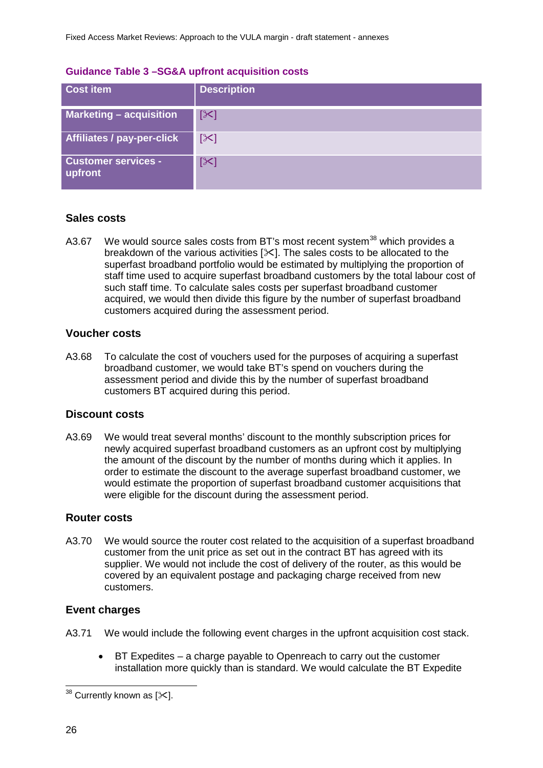#### **Guidance Table 3 –SG&A upfront acquisition costs**

| <b>Cost item</b>                      | <b>Description</b> |
|---------------------------------------|--------------------|
| <b>Marketing - acquisition</b>        | $\mathbb{K}$       |
| Affiliates / pay-per-click            | $[\times]$         |
| <b>Customer services -</b><br>upfront | $[\times]$         |

## **Sales costs**

A3.67 We would source sales costs from BT's most recent system<sup>[38](#page-27-0)</sup> which provides a breakdown of the various activities [ $\times$ ]. The sales costs to be allocated to the superfast broadband portfolio would be estimated by multiplying the proportion of staff time used to acquire superfast broadband customers by the total labour cost of such staff time. To calculate sales costs per superfast broadband customer acquired, we would then divide this figure by the number of superfast broadband customers acquired during the assessment period.

#### **Voucher costs**

A3.68 To calculate the cost of vouchers used for the purposes of acquiring a superfast broadband customer, we would take BT's spend on vouchers during the assessment period and divide this by the number of superfast broadband customers BT acquired during this period.

#### **Discount costs**

A3.69 We would treat several months' discount to the monthly subscription prices for newly acquired superfast broadband customers as an upfront cost by multiplying the amount of the discount by the number of months during which it applies. In order to estimate the discount to the average superfast broadband customer, we would estimate the proportion of superfast broadband customer acquisitions that were eligible for the discount during the assessment period.

#### **Router costs**

A3.70 We would source the router cost related to the acquisition of a superfast broadband customer from the unit price as set out in the contract BT has agreed with its supplier. We would not include the cost of delivery of the router, as this would be covered by an equivalent postage and packaging charge received from new customers.

#### **Event charges**

- A3.71 We would include the following event charges in the upfront acquisition cost stack.
	- BT Expedites a charge payable to Openreach to carry out the customer installation more quickly than is standard. We would calculate the BT Expedite

<span id="page-27-0"></span> $^{38}$  Currently known as [ $\Join$ ].  $\overline{a}$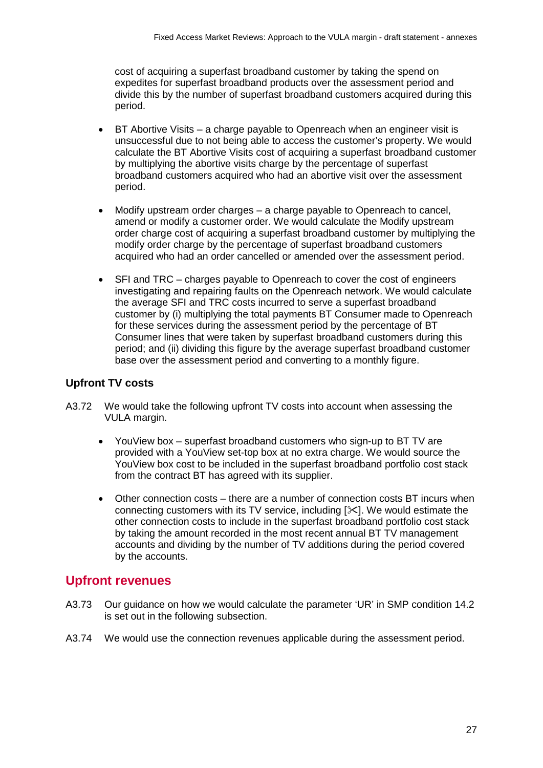cost of acquiring a superfast broadband customer by taking the spend on expedites for superfast broadband products over the assessment period and divide this by the number of superfast broadband customers acquired during this period.

- BT Abortive Visits a charge payable to Openreach when an engineer visit is unsuccessful due to not being able to access the customer's property. We would calculate the BT Abortive Visits cost of acquiring a superfast broadband customer by multiplying the abortive visits charge by the percentage of superfast broadband customers acquired who had an abortive visit over the assessment period.
- Modify upstream order charges a charge payable to Openreach to cancel, amend or modify a customer order. We would calculate the Modify upstream order charge cost of acquiring a superfast broadband customer by multiplying the modify order charge by the percentage of superfast broadband customers acquired who had an order cancelled or amended over the assessment period.
- SFI and TRC charges payable to Openreach to cover the cost of engineers investigating and repairing faults on the Openreach network. We would calculate the average SFI and TRC costs incurred to serve a superfast broadband customer by (i) multiplying the total payments BT Consumer made to Openreach for these services during the assessment period by the percentage of BT Consumer lines that were taken by superfast broadband customers during this period; and (ii) dividing this figure by the average superfast broadband customer base over the assessment period and converting to a monthly figure.

## **Upfront TV costs**

- A3.72 We would take the following upfront TV costs into account when assessing the VULA margin.
	- YouView box superfast broadband customers who sign-up to BT TV are provided with a YouView set-top box at no extra charge. We would source the YouView box cost to be included in the superfast broadband portfolio cost stack from the contract BT has agreed with its supplier.
	- Other connection costs there are a number of connection costs BT incurs when connecting customers with its TV service, including  $[\times]$ . We would estimate the other connection costs to include in the superfast broadband portfolio cost stack by taking the amount recorded in the most recent annual BT TV management accounts and dividing by the number of TV additions during the period covered by the accounts.

# **Upfront revenues**

- A3.73 Our guidance on how we would calculate the parameter 'UR' in SMP condition 14.2 is set out in the following subsection.
- A3.74 We would use the connection revenues applicable during the assessment period.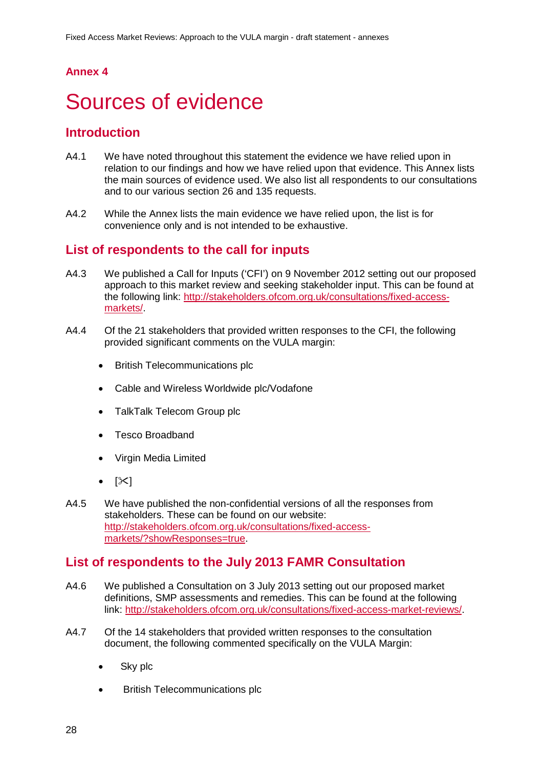# **Annex 4**

# <span id="page-29-0"></span>Sources of evidence

# **Introduction**

- A4.1 We have noted throughout this statement the evidence we have relied upon in relation to our findings and how we have relied upon that evidence. This Annex lists the main sources of evidence used. We also list all respondents to our consultations and to our various section 26 and 135 requests.
- A4.2 While the Annex lists the main evidence we have relied upon, the list is for convenience only and is not intended to be exhaustive.

# **List of respondents to the call for inputs**

- A4.3 We published a Call for Inputs ('CFI') on 9 November 2012 setting out our proposed approach to this market review and seeking stakeholder input. This can be found at the following link: [http://stakeholders.ofcom.org.uk/consultations/fixed-access](http://stakeholders.ofcom.org.uk/consultations/fixed-access-markets/)[markets/.](http://stakeholders.ofcom.org.uk/consultations/fixed-access-markets/)
- A4.4 Of the 21 stakeholders that provided written responses to the CFI, the following provided significant comments on the VULA margin:
	- British Telecommunications plc
	- Cable and Wireless Worldwide plc/Vodafone
	- TalkTalk Telecom Group plc
	- Tesco Broadband
	- Virgin Media Limited
	- $[\times]$
- A4.5 We have published the non-confidential versions of all the responses from stakeholders. These can be found on our website: [http://stakeholders.ofcom.org.uk/consultations/fixed-access](http://stakeholders.ofcom.org.uk/consultations/fixed-access-markets/?showResponses=true)[markets/?showResponses=true.](http://stakeholders.ofcom.org.uk/consultations/fixed-access-markets/?showResponses=true)

# **List of respondents to the July 2013 FAMR Consultation**

- A4.6 We published a Consultation on 3 July 2013 setting out our proposed market definitions, SMP assessments and remedies. This can be found at the following link: [http://stakeholders.ofcom.org.uk/consultations/fixed-access-market-reviews/.](http://stakeholders.ofcom.org.uk/consultations/fixed-access-market-reviews/)
- A4.7 Of the 14 stakeholders that provided written responses to the consultation document, the following commented specifically on the VULA Margin:
	- Sky plc
	- British Telecommunications plc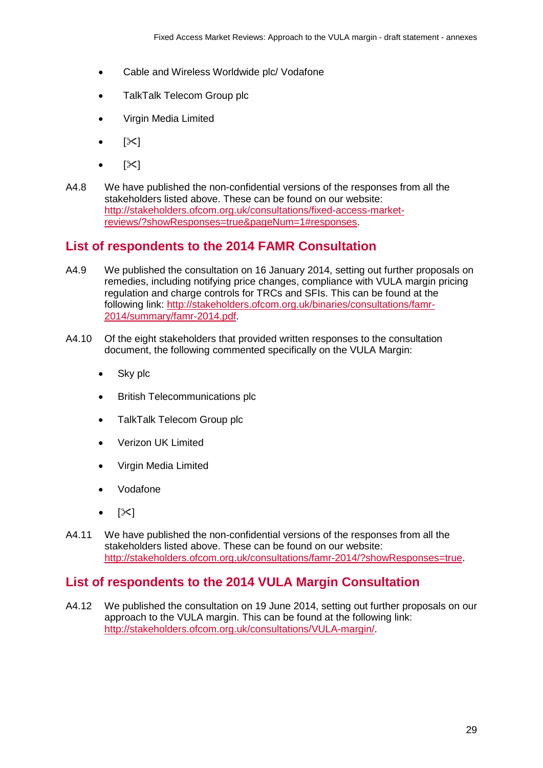- Cable and Wireless Worldwide plc/ Vodafone
- TalkTalk Telecom Group plc
- Virgin Media Limited
- $|\mathcal{X}|$
- $\geq$
- A4.8 We have published the non-confidential versions of the responses from all the stakeholders listed above. These can be found on our website: [http://stakeholders.ofcom.org.uk/consultations/fixed-access-market](http://stakeholders.ofcom.org.uk/consultations/fixed-access-market-reviews/?showResponses=true&pageNum=1%23responses)[reviews/?showResponses=true&pageNum=1#responses.](http://stakeholders.ofcom.org.uk/consultations/fixed-access-market-reviews/?showResponses=true&pageNum=1%23responses)

# **List of respondents to the 2014 FAMR Consultation**

- A4.9 We published the consultation on 16 January 2014, setting out further proposals on remedies, including notifying price changes, compliance with VULA margin pricing regulation and charge controls for TRCs and SFIs. This can be found at the following link: [http://stakeholders.ofcom.org.uk/binaries/consultations/famr-](http://stakeholders.ofcom.org.uk/binaries/consultations/famr-2014/summary/famr-2014.pdf)[2014/summary/famr-2014.pdf.](http://stakeholders.ofcom.org.uk/binaries/consultations/famr-2014/summary/famr-2014.pdf)
- A4.10 Of the eight stakeholders that provided written responses to the consultation document, the following commented specifically on the VULA Margin:
	- Sky plc
	- British Telecommunications plc
	- TalkTalk Telecom Group plc
	- Verizon UK Limited
	- Virgin Media Limited
	- Vodafone
	- $[\mathbb{X}]$
- A4.11 We have published the non-confidential versions of the responses from all the stakeholders listed above. These can be found on our website: [http://stakeholders.ofcom.org.uk/consultations/famr-2014/?showResponses=true.](http://stakeholders.ofcom.org.uk/consultations/famr-2014/?showResponses=true)

# **List of respondents to the 2014 VULA Margin Consultation**

A4.12 We published the consultation on 19 June 2014, setting out further proposals on our approach to the VULA margin. This can be found at the following link: [http://stakeholders.ofcom.org.uk/consultations/VULA-margin/.](http://stakeholders.ofcom.org.uk/consultations/VULA-margin/)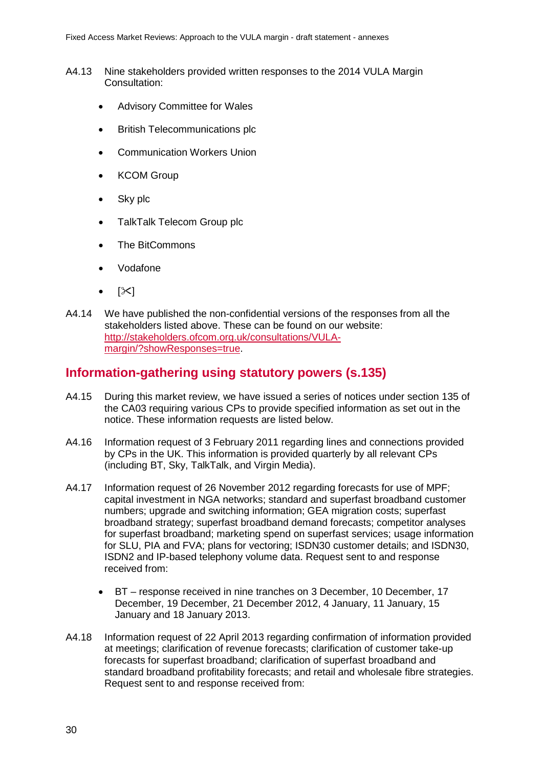- A4.13 Nine stakeholders provided written responses to the 2014 VULA Margin Consultation:
	- Advisory Committee for Wales
	- British Telecommunications plc
	- Communication Workers Union
	- **KCOM Group**
	- Sky plc
	- TalkTalk Telecom Group plc
	- The BitCommons
	- Vodafone
	- $[\mathbb{X}]$
- A4.14 We have published the non-confidential versions of the responses from all the stakeholders listed above. These can be found on our website: [http://stakeholders.ofcom.org.uk/consultations/VULA](http://stakeholders.ofcom.org.uk/consultations/VULA-margin/?showResponses=true)[margin/?showResponses=true.](http://stakeholders.ofcom.org.uk/consultations/VULA-margin/?showResponses=true)

# **Information-gathering using statutory powers (s.135)**

- A4.15 During this market review, we have issued a series of notices under section 135 of the CA03 requiring various CPs to provide specified information as set out in the notice. These information requests are listed below.
- A4.16 Information request of 3 February 2011 regarding lines and connections provided by CPs in the UK. This information is provided quarterly by all relevant CPs (including BT, Sky, TalkTalk, and Virgin Media).
- A4.17 Information request of 26 November 2012 regarding forecasts for use of MPF; capital investment in NGA networks; standard and superfast broadband customer numbers; upgrade and switching information; GEA migration costs; superfast broadband strategy; superfast broadband demand forecasts; competitor analyses for superfast broadband; marketing spend on superfast services; usage information for SLU, PIA and FVA; plans for vectoring; ISDN30 customer details; and ISDN30, ISDN2 and IP-based telephony volume data. Request sent to and response received from:
	- BT response received in nine tranches on 3 December, 10 December, 17 December, 19 December, 21 December 2012, 4 January, 11 January, 15 January and 18 January 2013.
- A4.18 Information request of 22 April 2013 regarding confirmation of information provided at meetings; clarification of revenue forecasts; clarification of customer take-up forecasts for superfast broadband; clarification of superfast broadband and standard broadband profitability forecasts; and retail and wholesale fibre strategies. Request sent to and response received from: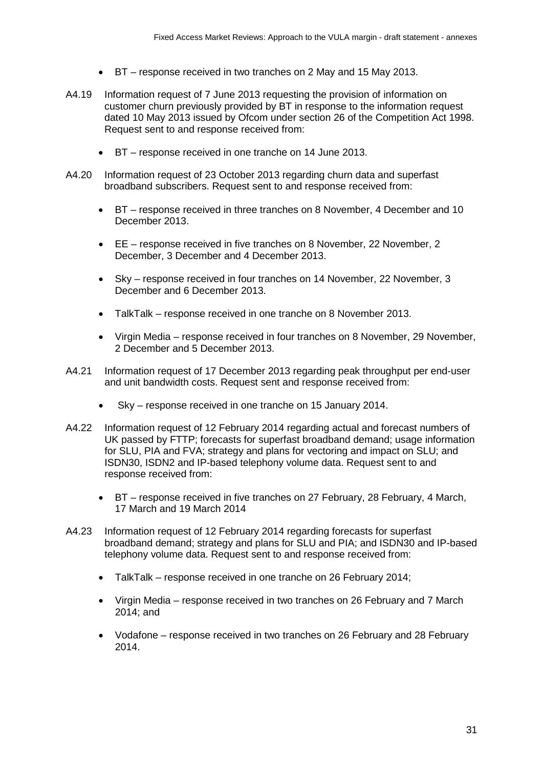- BT response received in two tranches on 2 May and 15 May 2013.
- A4.19 Information request of 7 June 2013 requesting the provision of information on customer churn previously provided by BT in response to the information request dated 10 May 2013 issued by Ofcom under section 26 of the Competition Act 1998. Request sent to and response received from:
	- BT response received in one tranche on 14 June 2013.
- A4.20 Information request of 23 October 2013 regarding churn data and superfast broadband subscribers. Request sent to and response received from:
	- BT response received in three tranches on 8 November, 4 December and 10 December 2013.
	- EE response received in five tranches on 8 November, 22 November, 2 December, 3 December and 4 December 2013.
	- Sky response received in four tranches on 14 November, 22 November, 3 December and 6 December 2013.
	- TalkTalk response received in one tranche on 8 November 2013.
	- Virgin Media response received in four tranches on 8 November, 29 November, 2 December and 5 December 2013.
- A4.21 Information request of 17 December 2013 regarding peak throughput per end-user and unit bandwidth costs. Request sent and response received from:
	- Sky response received in one tranche on 15 January 2014.
- A4.22 Information request of 12 February 2014 regarding actual and forecast numbers of UK passed by FTTP; forecasts for superfast broadband demand; usage information for SLU, PIA and FVA; strategy and plans for vectoring and impact on SLU; and ISDN30, ISDN2 and IP-based telephony volume data. Request sent to and response received from:
	- BT response received in five tranches on 27 February, 28 February, 4 March, 17 March and 19 March 2014
- A4.23 Information request of 12 February 2014 regarding forecasts for superfast broadband demand; strategy and plans for SLU and PIA; and ISDN30 and IP-based telephony volume data. Request sent to and response received from:
	- TalkTalk response received in one tranche on 26 February 2014;
	- Virgin Media response received in two tranches on 26 February and 7 March 2014; and
	- Vodafone response received in two tranches on 26 February and 28 February 2014.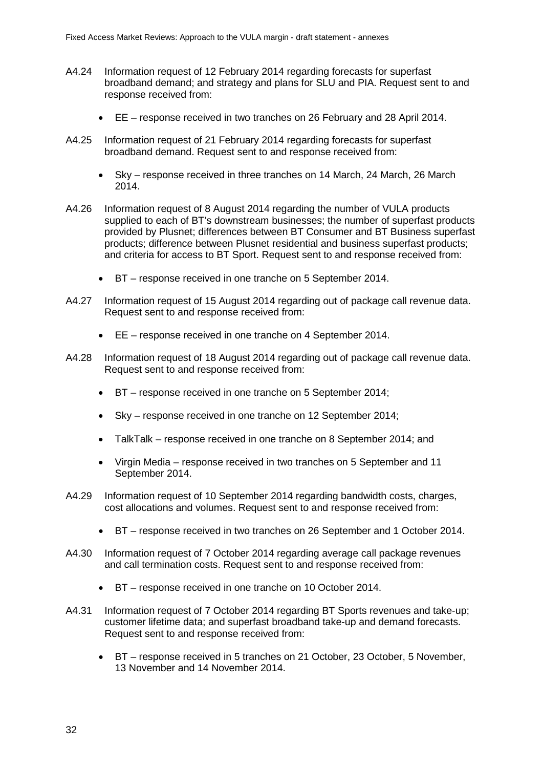- A4.24 Information request of 12 February 2014 regarding forecasts for superfast broadband demand; and strategy and plans for SLU and PIA. Request sent to and response received from:
	- EE response received in two tranches on 26 February and 28 April 2014.
- A4.25 Information request of 21 February 2014 regarding forecasts for superfast broadband demand. Request sent to and response received from:
	- Sky response received in three tranches on 14 March, 24 March, 26 March 2014.
- A4.26 Information request of 8 August 2014 regarding the number of VULA products supplied to each of BT's downstream businesses; the number of superfast products provided by Plusnet; differences between BT Consumer and BT Business superfast products; difference between Plusnet residential and business superfast products; and criteria for access to BT Sport. Request sent to and response received from:
	- BT response received in one tranche on 5 September 2014.
- A4.27 Information request of 15 August 2014 regarding out of package call revenue data. Request sent to and response received from:
	- EE response received in one tranche on 4 September 2014.
- A4.28 Information request of 18 August 2014 regarding out of package call revenue data. Request sent to and response received from:
	- BT response received in one tranche on 5 September 2014;
	- Sky response received in one tranche on 12 September 2014;
	- TalkTalk response received in one tranche on 8 September 2014; and
	- Virgin Media response received in two tranches on 5 September and 11 September 2014.
- A4.29 Information request of 10 September 2014 regarding bandwidth costs, charges, cost allocations and volumes. Request sent to and response received from:
	- BT response received in two tranches on 26 September and 1 October 2014.
- A4.30 Information request of 7 October 2014 regarding average call package revenues and call termination costs. Request sent to and response received from:
	- BT response received in one tranche on 10 October 2014.
- A4.31 Information request of 7 October 2014 regarding BT Sports revenues and take-up; customer lifetime data; and superfast broadband take-up and demand forecasts. Request sent to and response received from:
	- BT response received in 5 tranches on 21 October, 23 October, 5 November, 13 November and 14 November 2014.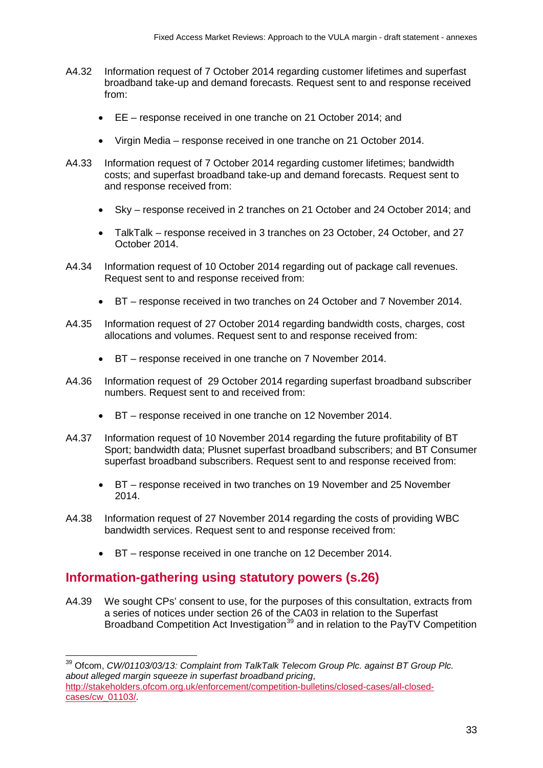- A4.32 Information request of 7 October 2014 regarding customer lifetimes and superfast broadband take-up and demand forecasts. Request sent to and response received from:
	- EE response received in one tranche on 21 October 2014; and
	- Virgin Media response received in one tranche on 21 October 2014.
- A4.33 Information request of 7 October 2014 regarding customer lifetimes; bandwidth costs; and superfast broadband take-up and demand forecasts. Request sent to and response received from:
	- Sky response received in 2 tranches on 21 October and 24 October 2014; and
	- TalkTalk response received in 3 tranches on 23 October, 24 October, and 27 October 2014.
- A4.34 Information request of 10 October 2014 regarding out of package call revenues. Request sent to and response received from:
	- BT response received in two tranches on 24 October and 7 November 2014.
- A4.35 Information request of 27 October 2014 regarding bandwidth costs, charges, cost allocations and volumes. Request sent to and response received from:
	- BT response received in one tranche on 7 November 2014.
- A4.36 Information request of 29 October 2014 regarding superfast broadband subscriber numbers. Request sent to and received from:
	- BT response received in one tranche on 12 November 2014.
- A4.37 Information request of 10 November 2014 regarding the future profitability of BT Sport; bandwidth data; Plusnet superfast broadband subscribers; and BT Consumer superfast broadband subscribers. Request sent to and response received from:
	- BT response received in two tranches on 19 November and 25 November 2014.
- A4.38 Information request of 27 November 2014 regarding the costs of providing WBC bandwidth services. Request sent to and response received from:
	- BT response received in one tranche on 12 December 2014.

# **Information-gathering using statutory powers (s.26)**

 $\overline{a}$ 

A4.39 We sought CPs' consent to use, for the purposes of this consultation, extracts from a series of notices under section 26 of the CA03 in relation to the Superfast Broadband Competition Act Investigation<sup>[39](#page-34-0)</sup> and in relation to the PayTV Competition

<span id="page-34-0"></span><sup>39</sup> Ofcom, *CW/01103/03/13: Complaint from TalkTalk Telecom Group Plc. against BT Group Plc. about alleged margin squeeze in superfast broadband pricing*, [http://stakeholders.ofcom.org.uk/enforcement/competition-bulletins/closed-cases/all-closed](http://stakeholders.ofcom.org.uk/enforcement/competition-bulletins/closed-cases/all-closed-cases/cw_01103/)[cases/cw\\_01103/.](http://stakeholders.ofcom.org.uk/enforcement/competition-bulletins/closed-cases/all-closed-cases/cw_01103/)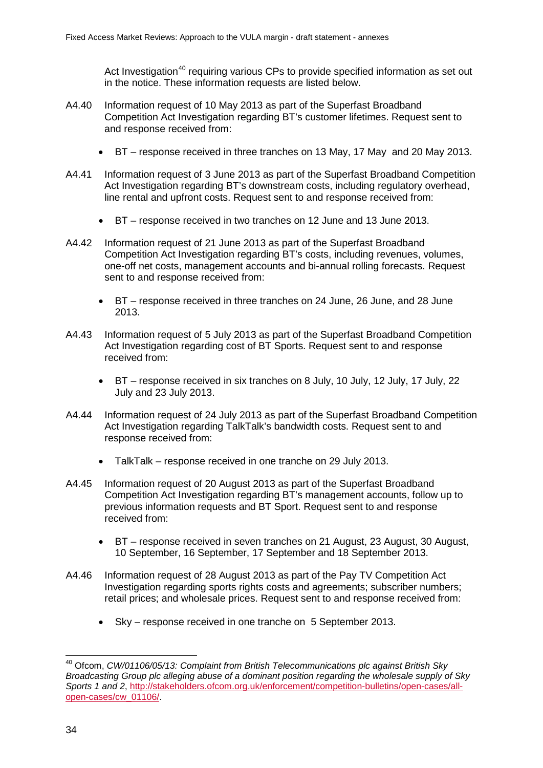Act Investigation<sup>[40](#page-35-0)</sup> requiring various CPs to provide specified information as set out in the notice. These information requests are listed below.

- A4.40 Information request of 10 May 2013 as part of the Superfast Broadband Competition Act Investigation regarding BT's customer lifetimes. Request sent to and response received from:
	- BT response received in three tranches on 13 May, 17 May and 20 May 2013.
- A4.41 Information request of 3 June 2013 as part of the Superfast Broadband Competition Act Investigation regarding BT's downstream costs, including regulatory overhead, line rental and upfront costs. Request sent to and response received from:
	- BT response received in two tranches on 12 June and 13 June 2013.
- A4.42 Information request of 21 June 2013 as part of the Superfast Broadband Competition Act Investigation regarding BT's costs, including revenues, volumes, one-off net costs, management accounts and bi-annual rolling forecasts. Request sent to and response received from:
	- BT response received in three tranches on 24 June, 26 June, and 28 June 2013.
- A4.43 Information request of 5 July 2013 as part of the Superfast Broadband Competition Act Investigation regarding cost of BT Sports. Request sent to and response received from:
	- BT response received in six tranches on 8 July, 10 July, 12 July, 17 July, 22 July and 23 July 2013.
- A4.44 Information request of 24 July 2013 as part of the Superfast Broadband Competition Act Investigation regarding TalkTalk's bandwidth costs. Request sent to and response received from:
	- TalkTalk response received in one tranche on 29 July 2013.
- A4.45 Information request of 20 August 2013 as part of the Superfast Broadband Competition Act Investigation regarding BT's management accounts, follow up to previous information requests and BT Sport. Request sent to and response received from:
	- BT response received in seven tranches on 21 August, 23 August, 30 August, 10 September, 16 September, 17 September and 18 September 2013.
- A4.46 Information request of 28 August 2013 as part of the Pay TV Competition Act Investigation regarding sports rights costs and agreements; subscriber numbers; retail prices; and wholesale prices. Request sent to and response received from:
	- Sky response received in one tranche on 5 September 2013.

<span id="page-35-0"></span><sup>40</sup> Ofcom, *CW/01106/05/13: Complaint from British Telecommunications plc against British Sky Broadcasting Group plc alleging abuse of a dominant position regarding the wholesale supply of Sky Sports 1 and 2*, [http://stakeholders.ofcom.org.uk/enforcement/competition-bulletins/open-cases/all](http://stakeholders.ofcom.org.uk/enforcement/competition-bulletins/open-cases/all-open-cases/cw_01106/)[open-cases/cw\\_01106/.](http://stakeholders.ofcom.org.uk/enforcement/competition-bulletins/open-cases/all-open-cases/cw_01106/)  $\overline{\phantom{a}}$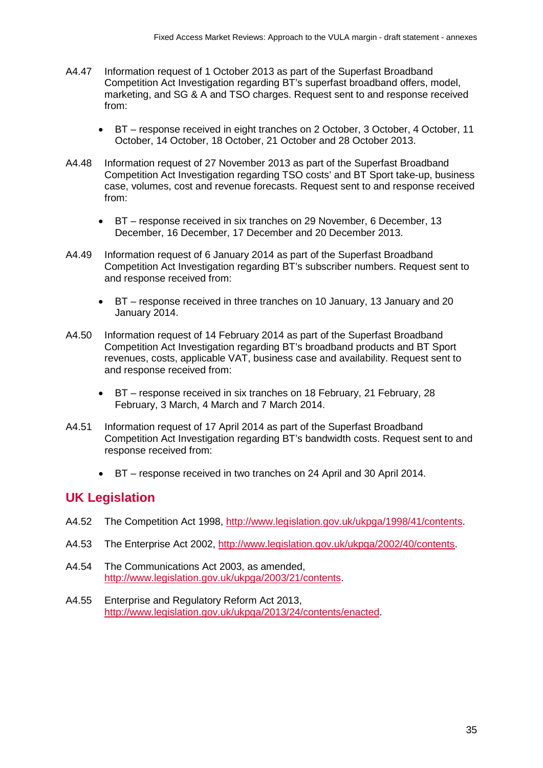- A4.47 Information request of 1 October 2013 as part of the Superfast Broadband Competition Act Investigation regarding BT's superfast broadband offers, model, marketing, and SG & A and TSO charges. Request sent to and response received from:
	- BT response received in eight tranches on 2 October, 3 October, 4 October, 11 October, 14 October, 18 October, 21 October and 28 October 2013.
- A4.48 Information request of 27 November 2013 as part of the Superfast Broadband Competition Act Investigation regarding TSO costs' and BT Sport take-up, business case, volumes, cost and revenue forecasts. Request sent to and response received from:
	- BT response received in six tranches on 29 November, 6 December, 13 December, 16 December, 17 December and 20 December 2013.
- A4.49 Information request of 6 January 2014 as part of the Superfast Broadband Competition Act Investigation regarding BT's subscriber numbers. Request sent to and response received from:
	- BT response received in three tranches on 10 January, 13 January and 20 January 2014.
- A4.50 Information request of 14 February 2014 as part of the Superfast Broadband Competition Act Investigation regarding BT's broadband products and BT Sport revenues, costs, applicable VAT, business case and availability. Request sent to and response received from:
	- BT response received in six tranches on 18 February, 21 February, 28 February, 3 March, 4 March and 7 March 2014.
- A4.51 Information request of 17 April 2014 as part of the Superfast Broadband Competition Act Investigation regarding BT's bandwidth costs. Request sent to and response received from:
	- BT response received in two tranches on 24 April and 30 April 2014.

# **UK Legislation**

- A4.52 The Competition Act 1998, [http://www.legislation.gov.uk/ukpga/1998/41/contents.](http://www.legislation.gov.uk/ukpga/1998/41/contents)
- A4.53 The Enterprise Act 2002, [http://www.legislation.gov.uk/ukpga/2002/40/contents.](http://www.legislation.gov.uk/ukpga/2002/40/contents)
- A4.54 The Communications Act 2003, as amended, [http://www.legislation.gov.uk/ukpga/2003/21/contents.](http://www.legislation.gov.uk/ukpga/2003/21/contents)
- A4.55 Enterprise and Regulatory Reform Act 2013, [http://www.legislation.gov.uk/ukpga/2013/24/contents/enacted.](http://www.legislation.gov.uk/ukpga/2013/24/contents/enacted)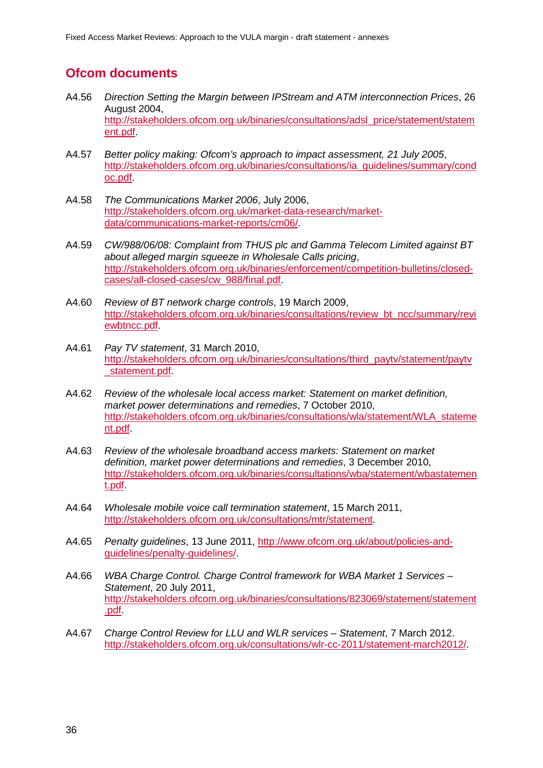# **Ofcom documents**

- A4.56 *Direction Setting the Margin between IPStream and ATM interconnection Prices*, 26 August 2004, [http://stakeholders.ofcom.org.uk/binaries/consultations/adsl\\_price/statement/statem](http://stakeholders.ofcom.org.uk/binaries/consultations/adsl_price/statement/statement.pdf) [ent.pdf.](http://stakeholders.ofcom.org.uk/binaries/consultations/adsl_price/statement/statement.pdf)
- A4.57 *Better policy making: Ofcom's approach to impact assessment, 21 July 2005*, [http://stakeholders.ofcom.org.uk/binaries/consultations/ia\\_guidelines/summary/cond](http://stakeholders.ofcom.org.uk/binaries/consultations/ia_guidelines/summary/condoc.pdf) [oc.pdf.](http://stakeholders.ofcom.org.uk/binaries/consultations/ia_guidelines/summary/condoc.pdf)
- A4.58 *The Communications Market 2006*, July 2006, [http://stakeholders.ofcom.org.uk/market-data-research/market](http://stakeholders.ofcom.org.uk/market-data-research/market-data/communications-market-reports/cm06/)[data/communications-market-reports/cm06/.](http://stakeholders.ofcom.org.uk/market-data-research/market-data/communications-market-reports/cm06/)
- A4.59 *CW/988/06/08: Complaint from THUS plc and Gamma Telecom Limited against BT about alleged margin squeeze in Wholesale Calls pricing*, [http://stakeholders.ofcom.org.uk/binaries/enforcement/competition-bulletins/closed](http://stakeholders.ofcom.org.uk/binaries/enforcement/competition-bulletins/closed-cases/all-closed-cases/cw_988/final.pdf)[cases/all-closed-cases/cw\\_988/final.pdf.](http://stakeholders.ofcom.org.uk/binaries/enforcement/competition-bulletins/closed-cases/all-closed-cases/cw_988/final.pdf)
- A4.60 *Review of BT network charge controls*, 19 March 2009, [http://stakeholders.ofcom.org.uk/binaries/consultations/review\\_bt\\_ncc/summary/revi](http://stakeholders.ofcom.org.uk/binaries/consultations/review_bt_ncc/summary/reviewbtncc.pdf) [ewbtncc.pdf.](http://stakeholders.ofcom.org.uk/binaries/consultations/review_bt_ncc/summary/reviewbtncc.pdf)
- A4.61 *Pay TV statement*, 31 March 2010, [http://stakeholders.ofcom.org.uk/binaries/consultations/third\\_paytv/statement/paytv](http://stakeholders.ofcom.org.uk/binaries/consultations/third_paytv/statement/paytv_statement.pdf) [\\_statement.pdf.](http://stakeholders.ofcom.org.uk/binaries/consultations/third_paytv/statement/paytv_statement.pdf)
- A4.62 *Review of the wholesale local access market: Statement on market definition, market power determinations and remedies*, 7 October 2010, [http://stakeholders.ofcom.org.uk/binaries/consultations/wla/statement/WLA\\_stateme](http://stakeholders.ofcom.org.uk/binaries/consultations/wla/statement/WLA_statement.pdf) [nt.pdf.](http://stakeholders.ofcom.org.uk/binaries/consultations/wla/statement/WLA_statement.pdf)
- A4.63 *Review of the wholesale broadband access markets: Statement on market definition, market power determinations and remedies*, 3 December 2010, [http://stakeholders.ofcom.org.uk/binaries/consultations/wba/statement/wbastatemen](http://stakeholders.ofcom.org.uk/binaries/consultations/wba/statement/wbastatement.pdf) [t.pdf.](http://stakeholders.ofcom.org.uk/binaries/consultations/wba/statement/wbastatement.pdf)
- A4.64 *Wholesale mobile voice call termination statement*, 15 March 2011, [http://stakeholders.ofcom.org.uk/consultations/mtr/statement.](http://stakeholders.ofcom.org.uk/consultations/mtr/statement)
- A4.65 *Penalty guidelines*, 13 June 2011, [http://www.ofcom.org.uk/about/policies-and](http://www.ofcom.org.uk/about/policies-and-guidelines/penalty-guidelines/)[guidelines/penalty-guidelines/.](http://www.ofcom.org.uk/about/policies-and-guidelines/penalty-guidelines/)
- A4.66 *WBA Charge Control. Charge Control framework for WBA Market 1 Services – Statement*, 20 July 2011, [http://stakeholders.ofcom.org.uk/binaries/consultations/823069/statement/statement](http://stakeholders.ofcom.org.uk/binaries/consultations/823069/statement/statement.pdf) [.pdf.](http://stakeholders.ofcom.org.uk/binaries/consultations/823069/statement/statement.pdf)
- A4.67 *Charge Control Review for LLU and WLR services – Statement*, 7 March 2012. [http://stakeholders.ofcom.org.uk/consultations/wlr-cc-2011/statement-march2012/.](http://stakeholders.ofcom.org.uk/consultations/wlr-cc-2011/statement-march2012/)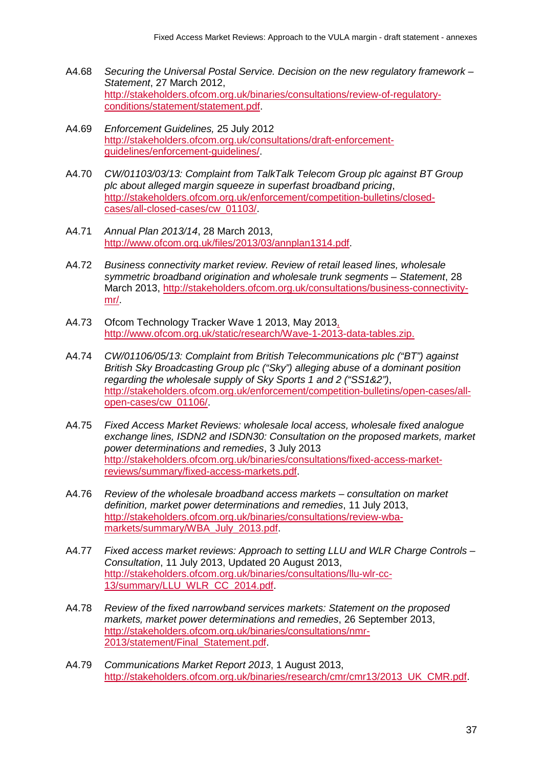- A4.68 *Securing the Universal Postal Service. Decision on the new regulatory framework – Statement*, 27 March 2012, [http://stakeholders.ofcom.org.uk/binaries/consultations/review-of-regulatory](http://stakeholders.ofcom.org.uk/binaries/consultations/review-of-regulatory-conditions/statement/statement.pdf)[conditions/statement/statement.pdf.](http://stakeholders.ofcom.org.uk/binaries/consultations/review-of-regulatory-conditions/statement/statement.pdf)
- A4.69 *Enforcement Guidelines,* 25 July 2012 [http://stakeholders.ofcom.org.uk/consultations/draft-enforcement](http://stakeholders.ofcom.org.uk/consultations/draft-enforcement-guidelines/enforcement-guidelines/)[guidelines/enforcement-guidelines/.](http://stakeholders.ofcom.org.uk/consultations/draft-enforcement-guidelines/enforcement-guidelines/)
- A4.70 *CW/01103/03/13: Complaint from TalkTalk Telecom Group plc against BT Group plc about alleged margin squeeze in superfast broadband pricing*, [http://stakeholders.ofcom.org.uk/enforcement/competition-bulletins/closed](http://stakeholders.ofcom.org.uk/enforcement/competition-bulletins/closed-cases/all-closed-cases/cw_01103/)[cases/all-closed-cases/cw\\_01103/.](http://stakeholders.ofcom.org.uk/enforcement/competition-bulletins/closed-cases/all-closed-cases/cw_01103/)
- A4.71 *Annual Plan 2013/14*, 28 March 2013, [http://www.ofcom.org.uk/files/2013/03/annplan1314.pdf.](http://www.ofcom.org.uk/files/2013/03/annplan1314.pdf)
- A4.72 *Business connectivity market review. Review of retail leased lines, wholesale symmetric broadband origination and wholesale trunk segments – Statement*, 28 March 2013, [http://stakeholders.ofcom.org.uk/consultations/business-connectivity](http://stakeholders.ofcom.org.uk/consultations/business-connectivity-mr/)[mr/.](http://stakeholders.ofcom.org.uk/consultations/business-connectivity-mr/)
- A4.73 Ofcom Technology Tracker Wave 1 2013, May 2013, [http://www.ofcom.org.uk/static/research/Wave-1-2013-data-tables.zip.](http://www.ofcom.org.uk/static/research/Wave-1-2013-data-tables.zip)
- A4.74 *CW/01106/05/13: Complaint from British Telecommunications plc ("BT") against British Sky Broadcasting Group plc ("Sky") alleging abuse of a dominant position regarding the wholesale supply of Sky Sports 1 and 2 ("SS1&2")*, [http://stakeholders.ofcom.org.uk/enforcement/competition-bulletins/open-cases/all](http://stakeholders.ofcom.org.uk/enforcement/competition-bulletins/open-cases/all-open-cases/cw_01106/)[open-cases/cw\\_01106/.](http://stakeholders.ofcom.org.uk/enforcement/competition-bulletins/open-cases/all-open-cases/cw_01106/)
- A4.75 *Fixed Access Market Reviews: wholesale local access, wholesale fixed analogue exchange lines, ISDN2 and ISDN30: Consultation on the proposed markets, market power determinations and remedies*, 3 July 2013 [http://stakeholders.ofcom.org.uk/binaries/consultations/fixed-access-market](http://stakeholders.ofcom.org.uk/binaries/consultations/fixed-access-market-reviews/summary/fixed-access-markets.pdf)[reviews/summary/fixed-access-markets.pdf.](http://stakeholders.ofcom.org.uk/binaries/consultations/fixed-access-market-reviews/summary/fixed-access-markets.pdf)
- A4.76 *Review of the wholesale broadband access markets – consultation on market definition, market power determinations and remedies*, 11 July 2013, [http://stakeholders.ofcom.org.uk/binaries/consultations/review-wba](http://stakeholders.ofcom.org.uk/binaries/consultations/review-wba-markets/summary/WBA_July_2013.pdf)[markets/summary/WBA\\_July\\_2013.pdf.](http://stakeholders.ofcom.org.uk/binaries/consultations/review-wba-markets/summary/WBA_July_2013.pdf)
- A4.77 *Fixed access market reviews: Approach to setting LLU and WLR Charge Controls – Consultation*, 11 July 2013, Updated 20 August 2013, [http://stakeholders.ofcom.org.uk/binaries/consultations/llu-wlr-cc-](http://stakeholders.ofcom.org.uk/binaries/consultations/llu-wlr-cc-13/summary/LLU_WLR_CC_2014.pdf)[13/summary/LLU\\_WLR\\_CC\\_2014.pdf.](http://stakeholders.ofcom.org.uk/binaries/consultations/llu-wlr-cc-13/summary/LLU_WLR_CC_2014.pdf)
- A4.78 *Review of the fixed narrowband services markets: Statement on the proposed markets, market power determinations and remedies*, 26 September 2013, [http://stakeholders.ofcom.org.uk/binaries/consultations/nmr-](http://stakeholders.ofcom.org.uk/binaries/consultations/nmr-2013/statement/Final_Statement.pdf)[2013/statement/Final\\_Statement.pdf.](http://stakeholders.ofcom.org.uk/binaries/consultations/nmr-2013/statement/Final_Statement.pdf)
- A4.79 *Communications Market Report 2013*, 1 August 2013, [http://stakeholders.ofcom.org.uk/binaries/research/cmr/cmr13/2013\\_UK\\_CMR.pdf.](http://stakeholders.ofcom.org.uk/binaries/research/cmr/cmr13/2013_UK_CMR.pdf)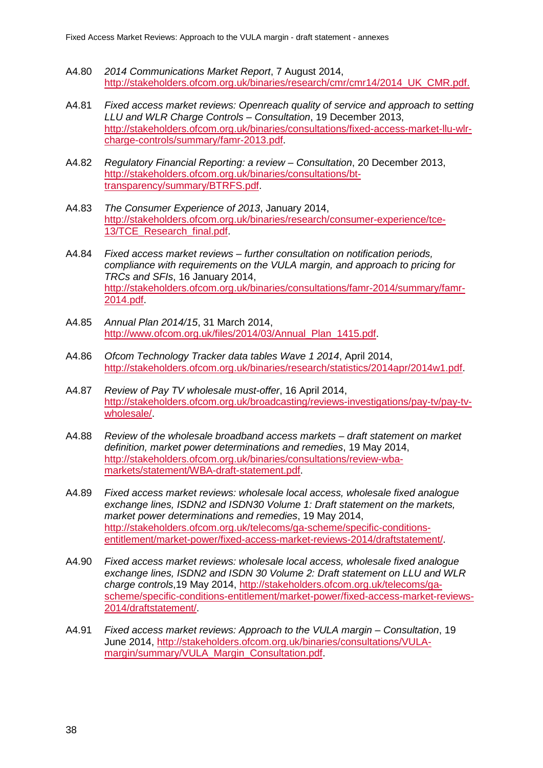- A4.80 *2014 Communications Market Report*, 7 August 2014, [http://stakeholders.ofcom.org.uk/binaries/research/cmr/cmr14/2014\\_UK\\_CMR.pdf.](http://stakeholders.ofcom.org.uk/binaries/research/cmr/cmr14/2014_UK_CMR.pdf)
- A4.81 *Fixed access market reviews: Openreach quality of service and approach to setting LLU and WLR Charge Controls – Consultation*, 19 December 2013, [http://stakeholders.ofcom.org.uk/binaries/consultations/fixed-access-market-llu-wlr](http://stakeholders.ofcom.org.uk/binaries/consultations/fixed-access-market-llu-wlr-charge-controls/summary/famr-2013.pdf)[charge-controls/summary/famr-2013.pdf.](http://stakeholders.ofcom.org.uk/binaries/consultations/fixed-access-market-llu-wlr-charge-controls/summary/famr-2013.pdf)
- A4.82 *Regulatory Financial Reporting: a review – Consultation*, 20 December 2013, [http://stakeholders.ofcom.org.uk/binaries/consultations/bt](http://stakeholders.ofcom.org.uk/binaries/consultations/bt-transparency/summary/BTRFS.pdf)[transparency/summary/BTRFS.pdf.](http://stakeholders.ofcom.org.uk/binaries/consultations/bt-transparency/summary/BTRFS.pdf)
- A4.83 *The Consumer Experience of 2013*, January 2014, [http://stakeholders.ofcom.org.uk/binaries/research/consumer-experience/tce-](http://stakeholders.ofcom.org.uk/binaries/research/consumer-experience/tce-13/TCE_Research_final.pdf)13/TCE\_Research\_final.pdf
- A4.84 *Fixed access market reviews – further consultation on notification periods, compliance with requirements on the VULA margin, and approach to pricing for TRCs and SFIs*, 16 January 2014, [http://stakeholders.ofcom.org.uk/binaries/consultations/famr-2014/summary/famr-](http://stakeholders.ofcom.org.uk/binaries/consultations/famr-2014/summary/famr-2014.pdf)[2014.pdf.](http://stakeholders.ofcom.org.uk/binaries/consultations/famr-2014/summary/famr-2014.pdf)
- A4.85 *Annual Plan 2014/15*, 31 March 2014, [http://www.ofcom.org.uk/files/2014/03/Annual\\_Plan\\_1415.pdf.](http://www.ofcom.org.uk/files/2014/03/Annual_Plan_1415.pdf)
- A4.86 *Ofcom Technology Tracker data tables Wave 1 2014*, April 2014, [http://stakeholders.ofcom.org.uk/binaries/research/statistics/2014apr/2014w1.pdf.](http://stakeholders.ofcom.org.uk/binaries/research/statistics/2014apr/2014w1.pdf)
- A4.87 *Review of Pay TV wholesale must-offer*, 16 April 2014, [http://stakeholders.ofcom.org.uk/broadcasting/reviews-investigations/pay-tv/pay-tv](http://stakeholders.ofcom.org.uk/broadcasting/reviews-investigations/pay-tv/pay-tv-wholesale/)[wholesale/.](http://stakeholders.ofcom.org.uk/broadcasting/reviews-investigations/pay-tv/pay-tv-wholesale/)
- A4.88 *Review of the wholesale broadband access markets – draft statement on market definition, market power determinations and remedies*, 19 May 2014, [http://stakeholders.ofcom.org.uk/binaries/consultations/review-wba](http://stakeholders.ofcom.org.uk/binaries/consultations/review-wba-markets/statement/WBA-draft-statement.pdf)[markets/statement/WBA-draft-statement.pdf.](http://stakeholders.ofcom.org.uk/binaries/consultations/review-wba-markets/statement/WBA-draft-statement.pdf)
- A4.89 *Fixed access market reviews: wholesale local access, wholesale fixed analogue exchange lines, ISDN2 and ISDN30 Volume 1: Draft statement on the markets, market power determinations and remedies*, 19 May 2014, [http://stakeholders.ofcom.org.uk/telecoms/ga-scheme/specific-conditions](http://stakeholders.ofcom.org.uk/telecoms/ga-scheme/specific-conditions-entitlement/market-power/fixed-access-market-reviews-2014/draftstatement/)[entitlement/market-power/fixed-access-market-reviews-2014/draftstatement/.](http://stakeholders.ofcom.org.uk/telecoms/ga-scheme/specific-conditions-entitlement/market-power/fixed-access-market-reviews-2014/draftstatement/)
- A4.90 *Fixed access market reviews: wholesale local access, wholesale fixed analogue exchange lines, ISDN2 and ISDN 30 Volume 2: Draft statement on LLU and WLR charge controls*,19 May 2014, [http://stakeholders.ofcom.org.uk/telecoms/ga](http://stakeholders.ofcom.org.uk/telecoms/ga-scheme/specific-conditions-entitlement/market-power/fixed-access-market-reviews-2014/draftstatement/)[scheme/specific-conditions-entitlement/market-power/fixed-access-market-reviews-](http://stakeholders.ofcom.org.uk/telecoms/ga-scheme/specific-conditions-entitlement/market-power/fixed-access-market-reviews-2014/draftstatement/)[2014/draftstatement/.](http://stakeholders.ofcom.org.uk/telecoms/ga-scheme/specific-conditions-entitlement/market-power/fixed-access-market-reviews-2014/draftstatement/)
- A4.91 *Fixed access market reviews: Approach to the VULA margin – Consultation*, 19 June 2014, [http://stakeholders.ofcom.org.uk/binaries/consultations/VULA](http://stakeholders.ofcom.org.uk/binaries/consultations/VULA-margin/summary/VULA_Margin_Consultation.pdf)[margin/summary/VULA\\_Margin\\_Consultation.pdf.](http://stakeholders.ofcom.org.uk/binaries/consultations/VULA-margin/summary/VULA_Margin_Consultation.pdf)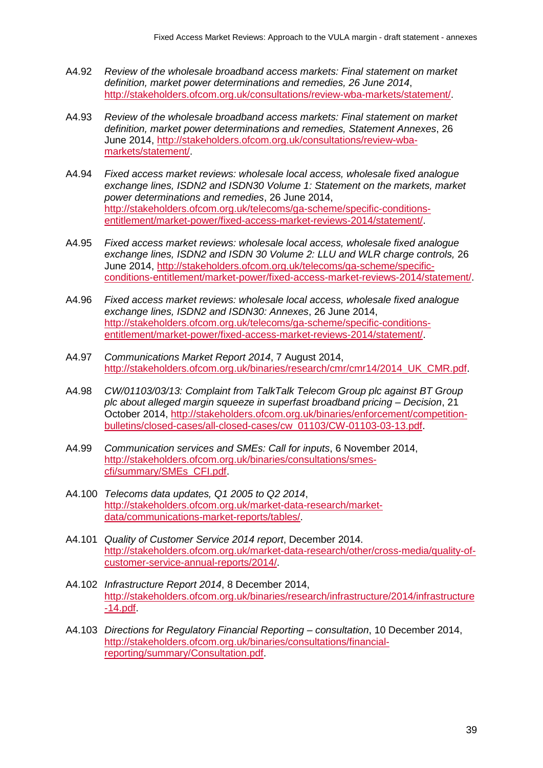- A4.92 *Review of the wholesale broadband access markets: Final statement on market definition, market power determinations and remedies, 26 June 2014*, [http://stakeholders.ofcom.org.uk/consultations/review-wba-markets/statement/.](http://stakeholders.ofcom.org.uk/consultations/review-wba-markets/statement/)
- A4.93 *Review of the wholesale broadband access markets: Final statement on market definition, market power determinations and remedies, Statement Annexes*, 26 June 2014, [http://stakeholders.ofcom.org.uk/consultations/review-wba](http://stakeholders.ofcom.org.uk/consultations/review-wba-markets/statement/)[markets/statement/.](http://stakeholders.ofcom.org.uk/consultations/review-wba-markets/statement/)
- A4.94 *Fixed access market reviews: wholesale local access, wholesale fixed analogue exchange lines, ISDN2 and ISDN30 Volume 1: Statement on the markets, market power determinations and remedies*, 26 June 2014, [http://stakeholders.ofcom.org.uk/telecoms/ga-scheme/specific-conditions](http://stakeholders.ofcom.org.uk/telecoms/ga-scheme/specific-conditions-entitlement/market-power/fixed-access-market-reviews-2014/statement/)[entitlement/market-power/fixed-access-market-reviews-2014/statement/.](http://stakeholders.ofcom.org.uk/telecoms/ga-scheme/specific-conditions-entitlement/market-power/fixed-access-market-reviews-2014/statement/)
- A4.95 *Fixed access market reviews: wholesale local access, wholesale fixed analogue exchange lines, ISDN2 and ISDN 30 Volume 2: LLU and WLR charge controls,* 26 June 2014, [http://stakeholders.ofcom.org.uk/telecoms/ga-scheme/specific](http://stakeholders.ofcom.org.uk/telecoms/ga-scheme/specific-conditions-entitlement/market-power/fixed-access-market-reviews-2014/statement/)[conditions-entitlement/market-power/fixed-access-market-reviews-2014/statement/.](http://stakeholders.ofcom.org.uk/telecoms/ga-scheme/specific-conditions-entitlement/market-power/fixed-access-market-reviews-2014/statement/)
- A4.96 *Fixed access market reviews: wholesale local access, wholesale fixed analogue exchange lines, ISDN2 and ISDN30: Annexes*, 26 June 2014, [http://stakeholders.ofcom.org.uk/telecoms/ga-scheme/specific-conditions](http://stakeholders.ofcom.org.uk/telecoms/ga-scheme/specific-conditions-entitlement/market-power/fixed-access-market-reviews-2014/statement/)[entitlement/market-power/fixed-access-market-reviews-2014/statement/.](http://stakeholders.ofcom.org.uk/telecoms/ga-scheme/specific-conditions-entitlement/market-power/fixed-access-market-reviews-2014/statement/)
- A4.97 *Communications Market Report 2014*, 7 August 2014, [http://stakeholders.ofcom.org.uk/binaries/research/cmr/cmr14/2014\\_UK\\_CMR.pdf.](http://stakeholders.ofcom.org.uk/binaries/research/cmr/cmr14/2014_UK_CMR.pdf)
- A4.98 *CW/01103/03/13: Complaint from TalkTalk Telecom Group plc against BT Group plc about alleged margin squeeze in superfast broadband pricing – Decision*, 21 October 2014, [http://stakeholders.ofcom.org.uk/binaries/enforcement/competition](http://stakeholders.ofcom.org.uk/binaries/enforcement/competition-bulletins/closed-cases/all-closed-cases/cw_01103/CW-01103-03-13.pdf)[bulletins/closed-cases/all-closed-cases/cw\\_01103/CW-01103-03-13.pdf.](http://stakeholders.ofcom.org.uk/binaries/enforcement/competition-bulletins/closed-cases/all-closed-cases/cw_01103/CW-01103-03-13.pdf)
- A4.99 *Communication services and SMEs: Call for inputs*, 6 November 2014, [http://stakeholders.ofcom.org.uk/binaries/consultations/smes](http://stakeholders.ofcom.org.uk/binaries/consultations/smes-cfi/summary/SMEs_CFI.pdf)[cfi/summary/SMEs\\_CFI.pdf.](http://stakeholders.ofcom.org.uk/binaries/consultations/smes-cfi/summary/SMEs_CFI.pdf)
- A4.100 *Telecoms data updates, Q1 2005 to Q2 2014*, [http://stakeholders.ofcom.org.uk/market-data-research/market](http://stakeholders.ofcom.org.uk/market-data-research/market-data/communications-market-reports/tables/)[data/communications-market-reports/tables/.](http://stakeholders.ofcom.org.uk/market-data-research/market-data/communications-market-reports/tables/)
- A4.101 *Quality of Customer Service 2014 report*, December 2014. [http://stakeholders.ofcom.org.uk/market-data-research/other/cross-media/quality-of](http://stakeholders.ofcom.org.uk/market-data-research/other/cross-media/quality-of-customer-service-annual-reports/2014/)[customer-service-annual-reports/2014/.](http://stakeholders.ofcom.org.uk/market-data-research/other/cross-media/quality-of-customer-service-annual-reports/2014/)
- A4.102 *Infrastructure Report 2014*, 8 December 2014, [http://stakeholders.ofcom.org.uk/binaries/research/infrastructure/2014/infrastructure](http://stakeholders.ofcom.org.uk/binaries/research/infrastructure/2014/infrastructure-14.pdf) [-14.pdf.](http://stakeholders.ofcom.org.uk/binaries/research/infrastructure/2014/infrastructure-14.pdf)
- A4.103 *Directions for Regulatory Financial Reporting – consultation*, 10 December 2014, [http://stakeholders.ofcom.org.uk/binaries/consultations/financial](http://stakeholders.ofcom.org.uk/binaries/consultations/financial-reporting/summary/Consultation.pdf)[reporting/summary/Consultation.pdf.](http://stakeholders.ofcom.org.uk/binaries/consultations/financial-reporting/summary/Consultation.pdf)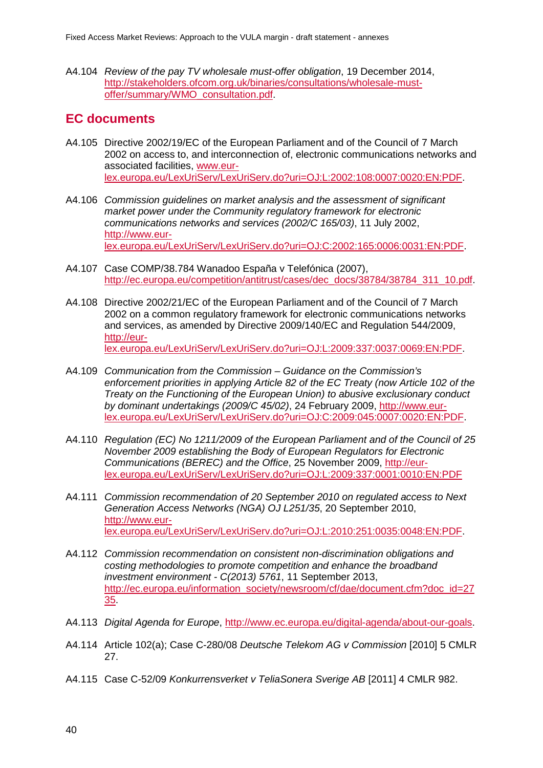A4.104 *Review of the pay TV wholesale must-offer obligation*, 19 December 2014, [http://stakeholders.ofcom.org.uk/binaries/consultations/wholesale-must](http://stakeholders.ofcom.org.uk/binaries/consultations/wholesale-must-offer/summary/WMO_consultation.pdf)[offer/summary/WMO\\_consultation.pdf.](http://stakeholders.ofcom.org.uk/binaries/consultations/wholesale-must-offer/summary/WMO_consultation.pdf)

# **EC documents**

- A4.105 Directive 2002/19/EC of the European Parliament and of the Council of 7 March 2002 on access to, and interconnection of, electronic communications networks and associated facilities, [www.eur](http://www.eur-lex.europa.eu/LexUriServ/LexUriServ.do?uri=OJ:L:2002:108:0007:0020:EN:PDF)[lex.europa.eu/LexUriServ/LexUriServ.do?uri=OJ:L:2002:108:0007:0020:EN:PDF.](http://www.eur-lex.europa.eu/LexUriServ/LexUriServ.do?uri=OJ:L:2002:108:0007:0020:EN:PDF)
- A4.106 *Commission guidelines on market analysis and the assessment of significant market power under the Community regulatory framework for electronic communications networks and services (2002/C 165/03)*, 11 July 2002, [http://www.eur](http://www.eur-lex.europa.eu/LexUriServ/LexUriServ.do?uri=OJ:C:2002:165:0006:0031:EN:PDF)[lex.europa.eu/LexUriServ/LexUriServ.do?uri=OJ:C:2002:165:0006:0031:EN:PDF.](http://www.eur-lex.europa.eu/LexUriServ/LexUriServ.do?uri=OJ:C:2002:165:0006:0031:EN:PDF)
- A4.107 Case COMP/38.784 Wanadoo España v Telefónica (2007), [http://ec.europa.eu/competition/antitrust/cases/dec\\_docs/38784/38784\\_311\\_10.pdf.](http://ec.europa.eu/competition/antitrust/cases/dec_docs/38784/38784_311_10.pdf)
- A4.108 Directive 2002/21/EC of the European Parliament and of the Council of 7 March 2002 on a common regulatory framework for electronic communications networks and services, as amended by Directive 2009/140/EC and Regulation 544/2009, [http://eur](http://eur-lex.europa.eu/LexUriServ/LexUriServ.do?uri=OJ:L:2009:337:0037:0069:EN:PDF)[lex.europa.eu/LexUriServ/LexUriServ.do?uri=OJ:L:2009:337:0037:0069:EN:PDF.](http://eur-lex.europa.eu/LexUriServ/LexUriServ.do?uri=OJ:L:2009:337:0037:0069:EN:PDF)
- A4.109 *Communication from the Commission – Guidance on the Commission's enforcement priorities in applying Article 82 of the EC Treaty (now Article 102 of the Treaty on the Functioning of the European Union) to abusive exclusionary conduct by dominant undertakings (2009/C 45/02)*, 24 February 2009, [http://www.eur](http://www.eur-lex.europa.eu/LexUriServ/LexUriServ.do?uri=OJ:C:2009:045:0007:0020:EN:PDF)[lex.europa.eu/LexUriServ/LexUriServ.do?uri=OJ:C:2009:045:0007:0020:EN:PDF.](http://www.eur-lex.europa.eu/LexUriServ/LexUriServ.do?uri=OJ:C:2009:045:0007:0020:EN:PDF)
- A4.110 *Regulation (EC) No 1211/2009 of the European Parliament and of the Council of 25 November 2009 establishing the Body of European Regulators for Electronic Communications (BEREC) and the Office*, 25 November 2009, [http://eur](http://eur-lex.europa.eu/LexUriServ/LexUriServ.do?uri=OJ:L:2009:337:0001:0010:EN:PDF)[lex.europa.eu/LexUriServ/LexUriServ.do?uri=OJ:L:2009:337:0001:0010:EN:PDF](http://eur-lex.europa.eu/LexUriServ/LexUriServ.do?uri=OJ:L:2009:337:0001:0010:EN:PDF)
- A4.111 *Commission recommendation of 20 September 2010 on regulated access to Next Generation Access Networks (NGA) OJ L251/35*, 20 September 2010, [http://www.eur](http://www.eur-lex.europa.eu/LexUriServ/LexUriServ.do?uri=OJ:L:2010:251:0035:0048:EN:PDF)[lex.europa.eu/LexUriServ/LexUriServ.do?uri=OJ:L:2010:251:0035:0048:EN:PDF.](http://www.eur-lex.europa.eu/LexUriServ/LexUriServ.do?uri=OJ:L:2010:251:0035:0048:EN:PDF)
- A4.112 *Commission recommendation on consistent non-discrimination obligations and costing methodologies to promote competition and enhance the broadband investment environment - C(2013) 5761*, 11 September 2013, [http://ec.europa.eu/information\\_society/newsroom/cf/dae/document.cfm?doc\\_id=27](http://ec.europa.eu/information_society/newsroom/cf/dae/document.cfm?doc_id=2735) [35.](http://ec.europa.eu/information_society/newsroom/cf/dae/document.cfm?doc_id=2735)
- A4.113 *Digital Agenda for Europe*, [http://www.ec.europa.eu/digital-agenda/about-our-goals.](http://www.ec.europa.eu/digital-agenda/about-our-goals)
- A4.114 Article 102(a); Case C-280/08 *Deutsche Telekom AG v Commission* [2010] 5 CMLR 27.
- A4.115 Case C-52/09 *Konkurrensverket v TeliaSonera Sverige AB* [2011] 4 CMLR 982.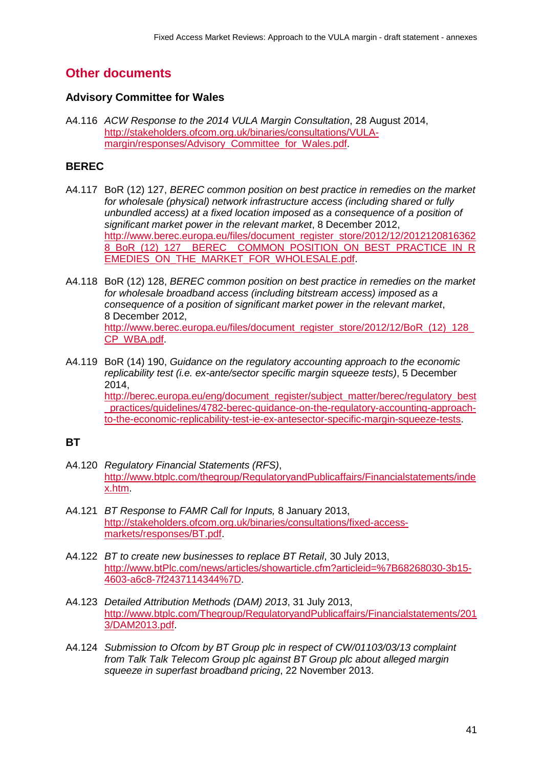# **Other documents**

## **Advisory Committee for Wales**

A4.116 *ACW Response to the 2014 VULA Margin Consultation*, 28 August 2014, [http://stakeholders.ofcom.org.uk/binaries/consultations/VULA](http://stakeholders.ofcom.org.uk/binaries/consultations/VULA-margin/responses/Advisory_Committee_for_Wales.pdf)margin/responses/Advisory Committee for Wales.pdf.

## **BEREC**

- A4.117 BoR (12) 127, *BEREC common position on best practice in remedies on the market for wholesale (physical) network infrastructure access (including shared or fully unbundled access) at a fixed location imposed as a consequence of a position of significant market power in the relevant market*, 8 December 2012, [http://www.berec.europa.eu/files/document\\_register\\_store/2012/12/2012120816362](http://www.berec.europa.eu/files/document_register_store/2012/12/20121208163628_BoR_(12)_127__BEREC__COMMON_POSITION_ON_BEST_PRACTICE_IN_REMEDIES_ON_THE_MARKET_FOR_WHOLESALE.pdf) [8\\_BoR\\_\(12\)\\_127\\_\\_BEREC\\_\\_COMMON\\_POSITION\\_ON\\_BEST\\_PRACTICE\\_IN\\_R](http://www.berec.europa.eu/files/document_register_store/2012/12/20121208163628_BoR_(12)_127__BEREC__COMMON_POSITION_ON_BEST_PRACTICE_IN_REMEDIES_ON_THE_MARKET_FOR_WHOLESALE.pdf) EMEDIES ON THE MARKET FOR WHOLESALE.pdf.
- A4.118 BoR (12) 128, *BEREC common position on best practice in remedies on the market for wholesale broadband access (including bitstream access) imposed as a consequence of a position of significant market power in the relevant market*, 8 December 2012, [http://www.berec.europa.eu/files/document\\_register\\_store/2012/12/BoR\\_\(12\)\\_128\\_](http://www.berec.europa.eu/files/document_register_store/2012/12/BoR_(12)_128_CP_WBA.pdf) [CP\\_WBA.pdf.](http://www.berec.europa.eu/files/document_register_store/2012/12/BoR_(12)_128_CP_WBA.pdf)
- A4.119 BoR (14) 190, *Guidance on the regulatory accounting approach to the economic replicability test (i.e. ex-ante/sector specific margin squeeze tests)*, 5 December 2014, [http://berec.europa.eu/eng/document\\_register/subject\\_matter/berec/regulatory\\_best](http://berec.europa.eu/eng/document_register/subject_matter/berec/regulatory_best_practices/guidelines/4782-berec-guidance-on-the-regulatory-accounting-approach-to-the-economic-replicability-test-ie-ex-antesector-specific-margin-squeeze-tests) [\\_practices/guidelines/4782-berec-guidance-on-the-regulatory-accounting-approach](http://berec.europa.eu/eng/document_register/subject_matter/berec/regulatory_best_practices/guidelines/4782-berec-guidance-on-the-regulatory-accounting-approach-to-the-economic-replicability-test-ie-ex-antesector-specific-margin-squeeze-tests)[to-the-economic-replicability-test-ie-ex-antesector-specific-margin-squeeze-tests.](http://berec.europa.eu/eng/document_register/subject_matter/berec/regulatory_best_practices/guidelines/4782-berec-guidance-on-the-regulatory-accounting-approach-to-the-economic-replicability-test-ie-ex-antesector-specific-margin-squeeze-tests)

## **BT**

- A4.120 *Regulatory Financial Statements (RFS)*, [http://www.btplc.com/thegroup/RegulatoryandPublicaffairs/Financialstatements/inde](http://www.btplc.com/thegroup/RegulatoryandPublicaffairs/Financialstatements/index.htm) [x.htm.](http://www.btplc.com/thegroup/RegulatoryandPublicaffairs/Financialstatements/index.htm)
- A4.121 *BT Response to FAMR Call for Inputs,* 8 January 2013, [http://stakeholders.ofcom.org.uk/binaries/consultations/fixed-access](http://stakeholders.ofcom.org.uk/binaries/consultations/fixed-access-markets/responses/BT.pdf)[markets/responses/BT.pdf.](http://stakeholders.ofcom.org.uk/binaries/consultations/fixed-access-markets/responses/BT.pdf)
- A4.122 *BT to create new businesses to replace BT Retail*, 30 July 2013, [http://www.btPlc.com/news/articles/showarticle.cfm?articleid=%7B68268030-3b15-](http://www.btplc.com/news/articles/showarticle.cfm?articleid=%7B68268030-3b15-4603-a6c8-7f2437114344%7D) [4603-a6c8-7f2437114344%7D.](http://www.btplc.com/news/articles/showarticle.cfm?articleid=%7B68268030-3b15-4603-a6c8-7f2437114344%7D)
- A4.123 *Detailed Attribution Methods (DAM) 2013*, 31 July 2013, [http://www.btplc.com/Thegroup/RegulatoryandPublicaffairs/Financialstatements/201](http://www.btplc.com/Thegroup/RegulatoryandPublicaffairs/Financialstatements/2013/DAM2013.pdf) [3/DAM2013.pdf.](http://www.btplc.com/Thegroup/RegulatoryandPublicaffairs/Financialstatements/2013/DAM2013.pdf)
- A4.124 *Submission to Ofcom by BT Group plc in respect of CW/01103/03/13 complaint from Talk Talk Telecom Group plc against BT Group plc about alleged margin squeeze in superfast broadband pricing*, 22 November 2013.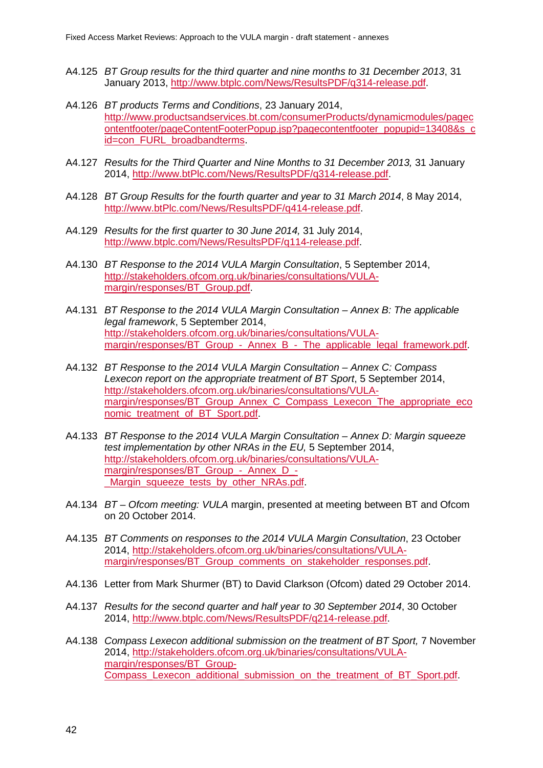- A4.125 *BT Group results for the third quarter and nine months to 31 December 2013*, 31 January 2013, [http://www.btplc.com/News/ResultsPDF/q314-release.pdf.](http://www.btplc.com/News/ResultsPDF/q314-release.pdf)
- A4.126 *BT products Terms and Conditions*, 23 January 2014, [http://www.productsandservices.bt.com/consumerProducts/dynamicmodules/pagec](http://www.productsandservices.bt.com/consumerProducts/dynamicmodules/pagecontentfooter/pageContentFooterPopup.jsp?pagecontentfooter_popupid=13408&s_cid=con_FURL_broadbandterms) [ontentfooter/pageContentFooterPopup.jsp?pagecontentfooter\\_popupid=13408&s\\_c](http://www.productsandservices.bt.com/consumerProducts/dynamicmodules/pagecontentfooter/pageContentFooterPopup.jsp?pagecontentfooter_popupid=13408&s_cid=con_FURL_broadbandterms) [id=con\\_FURL\\_broadbandterms.](http://www.productsandservices.bt.com/consumerProducts/dynamicmodules/pagecontentfooter/pageContentFooterPopup.jsp?pagecontentfooter_popupid=13408&s_cid=con_FURL_broadbandterms)
- A4.127 *Results for the Third Quarter and Nine Months to 31 December 2013,* 31 January 2014, [http://www.btPlc.com/News/ResultsPDF/q314-release.pdf.](http://www.btplc.com/News/ResultsPDF/q314-release.pdf)
- A4.128 *BT Group Results for the fourth quarter and year to 31 March 2014*, 8 May 2014, [http://www.btPlc.com/News/ResultsPDF/q414-release.pdf.](http://www.btplc.com/News/ResultsPDF/q414-release.pdf)
- A4.129 *Results for the first quarter to 30 June 2014,* 31 July 2014, [http://www.btplc.com/News/ResultsPDF/q114-release.pdf.](http://www.btplc.com/News/ResultsPDF/q114-release.pdf)
- A4.130 *BT Response to the 2014 VULA Margin Consultation*, 5 September 2014, [http://stakeholders.ofcom.org.uk/binaries/consultations/VULA](http://stakeholders.ofcom.org.uk/binaries/consultations/VULA-margin/responses/BT_Group.pdf)[margin/responses/BT\\_Group.pdf.](http://stakeholders.ofcom.org.uk/binaries/consultations/VULA-margin/responses/BT_Group.pdf)
- A4.131 *BT Response to the 2014 VULA Margin Consultation – Annex B: The applicable legal framework*, 5 September 2014, [http://stakeholders.ofcom.org.uk/binaries/consultations/VULA](http://stakeholders.ofcom.org.uk/binaries/consultations/VULA-margin/responses/BT_Group_-_Annex_B_-_The_applicable_legal_framework.pdf)margin/responses/BT\_Group - Annex\_B\_-\_The\_applicable\_legal\_framework.pdf.
- A4.132 *BT Response to the 2014 VULA Margin Consultation – Annex C: Compass Lexecon report on the appropriate treatment of BT Sport*, 5 September 2014, [http://stakeholders.ofcom.org.uk/binaries/consultations/VULA](http://stakeholders.ofcom.org.uk/binaries/consultations/VULA-margin/responses/BT_Group_Annex_C_Compass_Lexecon_The_appropriate_economic_treatment_of_BT_Sport.pdf)[margin/responses/BT\\_Group\\_Annex\\_C\\_Compass\\_Lexecon\\_The\\_appropriate\\_eco](http://stakeholders.ofcom.org.uk/binaries/consultations/VULA-margin/responses/BT_Group_Annex_C_Compass_Lexecon_The_appropriate_economic_treatment_of_BT_Sport.pdf) [nomic\\_treatment\\_of\\_BT\\_Sport.pdf.](http://stakeholders.ofcom.org.uk/binaries/consultations/VULA-margin/responses/BT_Group_Annex_C_Compass_Lexecon_The_appropriate_economic_treatment_of_BT_Sport.pdf)
- A4.133 *BT Response to the 2014 VULA Margin Consultation – Annex D: Margin squeeze test implementation by other NRAs in the EU,* 5 September 2014, [http://stakeholders.ofcom.org.uk/binaries/consultations/VULA](http://stakeholders.ofcom.org.uk/binaries/consultations/VULA-margin/responses/BT_Group_-_Annex_D_-_Margin_squeeze_tests_by_other_NRAs.pdf)[margin/responses/BT\\_Group\\_-\\_Annex\\_D\\_-](http://stakeholders.ofcom.org.uk/binaries/consultations/VULA-margin/responses/BT_Group_-_Annex_D_-_Margin_squeeze_tests_by_other_NRAs.pdf) [\\_Margin\\_squeeze\\_tests\\_by\\_other\\_NRAs.pdf.](http://stakeholders.ofcom.org.uk/binaries/consultations/VULA-margin/responses/BT_Group_-_Annex_D_-_Margin_squeeze_tests_by_other_NRAs.pdf)
- A4.134 *BT – Ofcom meeting: VULA* margin, presented at meeting between BT and Ofcom on 20 October 2014.
- A4.135 *BT Comments on responses to the 2014 VULA Margin Consultation*, 23 October 2014, [http://stakeholders.ofcom.org.uk/binaries/consultations/VULA](http://stakeholders.ofcom.org.uk/binaries/consultations/VULA-margin/responses/BT_Group_comments_on_stakeholder_responses.pdf)[margin/responses/BT\\_Group\\_comments\\_on\\_stakeholder\\_responses.pdf.](http://stakeholders.ofcom.org.uk/binaries/consultations/VULA-margin/responses/BT_Group_comments_on_stakeholder_responses.pdf)
- A4.136 Letter from Mark Shurmer (BT) to David Clarkson (Ofcom) dated 29 October 2014.
- A4.137 *Results for the second quarter and half year to 30 September 2014*, 30 October 2014, [http://www.btplc.com/News/ResultsPDF/q214-release.pdf.](http://www.btplc.com/News/ResultsPDF/q214-release.pdf)
- A4.138 *Compass Lexecon additional submission on the treatment of BT Sport,* 7 November 2014, [http://stakeholders.ofcom.org.uk/binaries/consultations/VULA](http://stakeholders.ofcom.org.uk/binaries/consultations/VULA-margin/responses/BT_Group-Compass_Lexecon_additional_submission_on_the_treatment_of_BT_Sport.pdf)[margin/responses/BT\\_Group-](http://stakeholders.ofcom.org.uk/binaries/consultations/VULA-margin/responses/BT_Group-Compass_Lexecon_additional_submission_on_the_treatment_of_BT_Sport.pdf)[Compass\\_Lexecon\\_additional\\_submission\\_on\\_the\\_treatment\\_of\\_BT\\_Sport.pdf.](http://stakeholders.ofcom.org.uk/binaries/consultations/VULA-margin/responses/BT_Group-Compass_Lexecon_additional_submission_on_the_treatment_of_BT_Sport.pdf)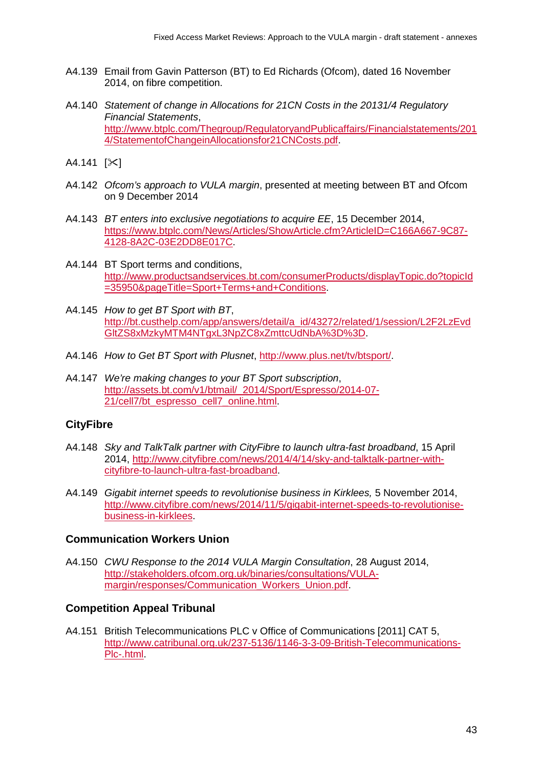- A4.139 Email from Gavin Patterson (BT) to Ed Richards (Ofcom), dated 16 November 2014, on fibre competition.
- A4.140 *Statement of change in Allocations for 21CN Costs in the 20131/4 Regulatory Financial Statements*, [http://www.btplc.com/Thegroup/RegulatoryandPublicaffairs/Financialstatements/201](http://www.btplc.com/Thegroup/RegulatoryandPublicaffairs/Financialstatements/2014/StatementofChangeinAllocationsfor21CNCosts.pdf) [4/StatementofChangeinAllocationsfor21CNCosts.pdf.](http://www.btplc.com/Thegroup/RegulatoryandPublicaffairs/Financialstatements/2014/StatementofChangeinAllocationsfor21CNCosts.pdf)
- $A4.141$   $[\times]$
- A4.142 *Ofcom's approach to VULA margin*, presented at meeting between BT and Ofcom on 9 December 2014
- A4.143 *BT enters into exclusive negotiations to acquire EE*, 15 December 2014, [https://www.btplc.com/News/Articles/ShowArticle.cfm?ArticleID=C166A667-9C87-](https://www.btplc.com/News/Articles/ShowArticle.cfm?ArticleID=C166A667-9C87-4128-8A2C-03E2DD8E017C) [4128-8A2C-03E2DD8E017C.](https://www.btplc.com/News/Articles/ShowArticle.cfm?ArticleID=C166A667-9C87-4128-8A2C-03E2DD8E017C)
- A4.144 BT Sport terms and conditions, [http://www.productsandservices.bt.com/consumerProducts/displayTopic.do?topicId](http://www.productsandservices.bt.com/consumerProducts/displayTopic.do?topicId=35950&pageTitle=Sport+Terms+and+Conditions) [=35950&pageTitle=Sport+Terms+and+Conditions.](http://www.productsandservices.bt.com/consumerProducts/displayTopic.do?topicId=35950&pageTitle=Sport+Terms+and+Conditions)
- A4.145 *How to get BT Sport with BT*, [http://bt.custhelp.com/app/answers/detail/a\\_id/43272/related/1/session/L2F2LzEvd](http://bt.custhelp.com/app/answers/detail/a_id/43272/related/1/session/L2F2LzEvdGltZS8xMzkyMTM4NTgxL3NpZC8xZmttcUdNbA%3D%3D) [GltZS8xMzkyMTM4NTgxL3NpZC8xZmttcUdNbA%3D%3D.](http://bt.custhelp.com/app/answers/detail/a_id/43272/related/1/session/L2F2LzEvdGltZS8xMzkyMTM4NTgxL3NpZC8xZmttcUdNbA%3D%3D)
- A4.146 *How to Get BT Sport with Plusnet*, [http://www.plus.net/tv/btsport/.](http://www.plus.net/tv/btsport/)
- A4.147 *We're making changes to your BT Sport subscription*, [http://assets.bt.com/v1/btmail/\\_2014/Sport/Espresso/2014-07-](http://assets.bt.com/v1/btmail/_2014/Sport/Espresso/2014-07-21/cell7/bt_espresso_cell7_online.html) [21/cell7/bt\\_espresso\\_cell7\\_online.html.](http://assets.bt.com/v1/btmail/_2014/Sport/Espresso/2014-07-21/cell7/bt_espresso_cell7_online.html)

#### **CityFibre**

- A4.148 *Sky and TalkTalk partner with CityFibre to launch ultra-fast broadband*, 15 April 2014, [http://www.cityfibre.com/news/2014/4/14/sky-and-talktalk-partner-with](http://www.cityfibre.com/news/2014/4/14/sky-and-talktalk-partner-with-cityfibre-to-launch-ultra-fast-broadband)[cityfibre-to-launch-ultra-fast-broadband.](http://www.cityfibre.com/news/2014/4/14/sky-and-talktalk-partner-with-cityfibre-to-launch-ultra-fast-broadband)
- A4.149 *Gigabit internet speeds to revolutionise business in Kirklees,* 5 November 2014, [http://www.cityfibre.com/news/2014/11/5/gigabit-internet-speeds-to-revolutionise](http://www.cityfibre.com/news/2014/11/5/gigabit-internet-speeds-to-revolutionise-business-in-kirklees)[business-in-kirklees.](http://www.cityfibre.com/news/2014/11/5/gigabit-internet-speeds-to-revolutionise-business-in-kirklees)

#### **Communication Workers Union**

A4.150 *CWU Response to the 2014 VULA Margin Consultation*, 28 August 2014, [http://stakeholders.ofcom.org.uk/binaries/consultations/VULA](http://stakeholders.ofcom.org.uk/binaries/consultations/VULA-margin/responses/Communication_Workers_Union.pdf)[margin/responses/Communication\\_Workers\\_Union.pdf.](http://stakeholders.ofcom.org.uk/binaries/consultations/VULA-margin/responses/Communication_Workers_Union.pdf)

#### **Competition Appeal Tribunal**

A4.151 British Telecommunications PLC v Office of Communications [2011] CAT 5, [http://www.catribunal.org.uk/237-5136/1146-3-3-09-British-Telecommunications-](http://www.catribunal.org.uk/237-5136/1146-3-3-09-British-Telecommunications-Plc-.html)[Plc-.html.](http://www.catribunal.org.uk/237-5136/1146-3-3-09-British-Telecommunications-Plc-.html)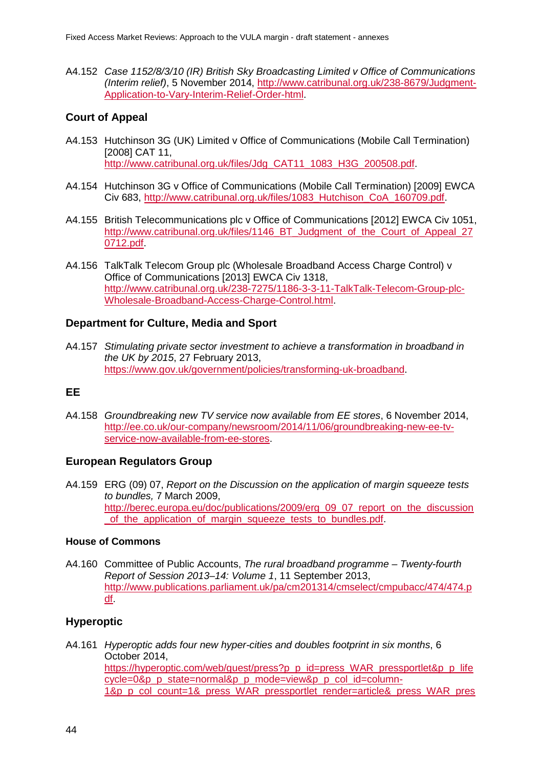A4.152 *Case 1152/8/3/10 (IR) British Sky Broadcasting Limited v Office of Communications (Interim relief)*, 5 November 2014, [http://www.catribunal.org.uk/238-8679/Judgment-](http://www.catribunal.org.uk/238-8679/Judgment-Application-to-Vary-Interim-Relief-Order-html)[Application-to-Vary-Interim-Relief-Order-html.](http://www.catribunal.org.uk/238-8679/Judgment-Application-to-Vary-Interim-Relief-Order-html)

## **Court of Appeal**

- A4.153 Hutchinson 3G (UK) Limited v Office of Communications (Mobile Call Termination) [2008] CAT 11, [http://www.catribunal.org.uk/files/Jdg\\_CAT11\\_1083\\_H3G\\_200508.pdf.](http://www.catribunal.org.uk/files/Jdg_CAT11_1083_H3G_200508.pdf)
- A4.154 Hutchinson 3G v Office of Communications (Mobile Call Termination) [2009] EWCA Civ 683, [http://www.catribunal.org.uk/files/1083\\_Hutchison\\_CoA\\_160709.pdf.](http://www.catribunal.org.uk/files/1083_Hutchison_CoA_160709.pdf)
- A4.155 British Telecommunications plc v Office of Communications [2012] EWCA Civ 1051, http://www.catribunal.org.uk/files/1146 BT Judgment of the Court of Appeal 27 [0712.pdf.](http://www.catribunal.org.uk/files/1146_BT_Judgment_of_the_Court_of_Appeal_270712.pdf)
- A4.156 TalkTalk Telecom Group plc (Wholesale Broadband Access Charge Control) v Office of Communications [2013] EWCA Civ 1318, [http://www.catribunal.org.uk/238-7275/1186-3-3-11-TalkTalk-Telecom-Group-plc-](http://www.catribunal.org.uk/238-7275/1186-3-3-11-TalkTalk-Telecom-Group-plc-Wholesale-Broadband-Access-Charge-Control.html)[Wholesale-Broadband-Access-Charge-Control.html.](http://www.catribunal.org.uk/238-7275/1186-3-3-11-TalkTalk-Telecom-Group-plc-Wholesale-Broadband-Access-Charge-Control.html)

#### **Department for Culture, Media and Sport**

A4.157 *Stimulating private sector investment to achieve a transformation in broadband in the UK by 2015*, 27 February 2013, [https://www.gov.uk/government/policies/transforming-uk-broadband.](https://www.gov.uk/government/policies/transforming-uk-broadband)

#### **EE**

A4.158 *Groundbreaking new TV service now available from EE stores*, 6 November 2014, [http://ee.co.uk/our-company/newsroom/2014/11/06/groundbreaking-new-ee-tv](http://ee.co.uk/our-company/newsroom/2014/11/06/groundbreaking-new-ee-tv-service-now-available-from-ee-stores)[service-now-available-from-ee-stores.](http://ee.co.uk/our-company/newsroom/2014/11/06/groundbreaking-new-ee-tv-service-now-available-from-ee-stores)

#### **European Regulators Group**

A4.159 ERG (09) 07, *Report on the Discussion on the application of margin squeeze tests to bundles,* 7 March 2009, [http://berec.europa.eu/doc/publications/2009/erg\\_09\\_07\\_report\\_on\\_the\\_discussion](http://berec.europa.eu/doc/publications/2009/erg_09_07_report_on_the_discussion_of_the_application_of_margin_squeeze_tests_to_bundles.pdf) of the application of margin squeeze tests to bundles.pdf.

#### **House of Commons**

A4.160 Committee of Public Accounts, *The rural broadband programme – Twenty-fourth Report of Session 2013–14: Volume 1*, 11 September 2013, [http://www.publications.parliament.uk/pa/cm201314/cmselect/cmpubacc/474/474.p](http://www.publications.parliament.uk/pa/cm201314/cmselect/cmpubacc/474/474.pdf) [df.](http://www.publications.parliament.uk/pa/cm201314/cmselect/cmpubacc/474/474.pdf)

## **Hyperoptic**

A4.161 *Hyperoptic adds four new hyper-cities and doubles footprint in six months*, 6 October 2014, [https://hyperoptic.com/web/guest/press?p\\_p\\_id=press\\_WAR\\_pressportlet&p\\_p\\_life](https://hyperoptic.com/web/guest/press?p_p_id=press_WAR_pressportlet&p_p_lifecycle=0&p_p_state=normal&p_p_mode=view&p_p_col_id=column-1&p_p_col_count=1&_press_WAR_pressportlet_render=article&_press_WAR_pressportlet_urlTitle=hyperoptic-adds-four-new-hyper-cities-and-doubles-footprint-in-six-months) [cycle=0&p\\_p\\_state=normal&p\\_p\\_mode=view&p\\_p\\_col\\_id=column-](https://hyperoptic.com/web/guest/press?p_p_id=press_WAR_pressportlet&p_p_lifecycle=0&p_p_state=normal&p_p_mode=view&p_p_col_id=column-1&p_p_col_count=1&_press_WAR_pressportlet_render=article&_press_WAR_pressportlet_urlTitle=hyperoptic-adds-four-new-hyper-cities-and-doubles-footprint-in-six-months)[1&p\\_p\\_col\\_count=1&\\_press\\_WAR\\_pressportlet\\_render=article&\\_press\\_WAR\\_pres](https://hyperoptic.com/web/guest/press?p_p_id=press_WAR_pressportlet&p_p_lifecycle=0&p_p_state=normal&p_p_mode=view&p_p_col_id=column-1&p_p_col_count=1&_press_WAR_pressportlet_render=article&_press_WAR_pressportlet_urlTitle=hyperoptic-adds-four-new-hyper-cities-and-doubles-footprint-in-six-months)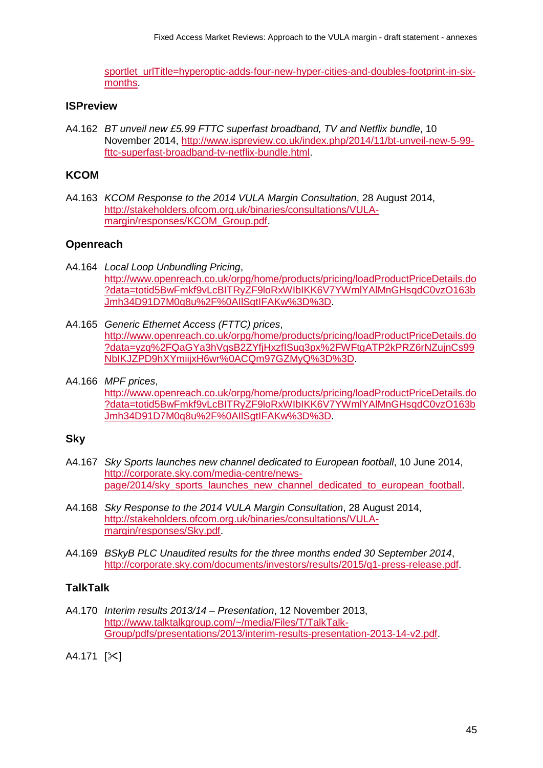[sportlet\\_urlTitle=hyperoptic-adds-four-new-hyper-cities-and-doubles-footprint-in-six](https://hyperoptic.com/web/guest/press?p_p_id=press_WAR_pressportlet&p_p_lifecycle=0&p_p_state=normal&p_p_mode=view&p_p_col_id=column-1&p_p_col_count=1&_press_WAR_pressportlet_render=article&_press_WAR_pressportlet_urlTitle=hyperoptic-adds-four-new-hyper-cities-and-doubles-footprint-in-six-months)[months.](https://hyperoptic.com/web/guest/press?p_p_id=press_WAR_pressportlet&p_p_lifecycle=0&p_p_state=normal&p_p_mode=view&p_p_col_id=column-1&p_p_col_count=1&_press_WAR_pressportlet_render=article&_press_WAR_pressportlet_urlTitle=hyperoptic-adds-four-new-hyper-cities-and-doubles-footprint-in-six-months)

## **ISPreview**

A4.162 *BT unveil new £5.99 FTTC superfast broadband, TV and Netflix bundle*, 10 November 2014, [http://www.ispreview.co.uk/index.php/2014/11/bt-unveil-new-5-99](http://www.ispreview.co.uk/index.php/2014/11/bt-unveil-new-5-99-fttc-superfast-broadband-tv-netflix-bundle.html) [fttc-superfast-broadband-tv-netflix-bundle.html.](http://www.ispreview.co.uk/index.php/2014/11/bt-unveil-new-5-99-fttc-superfast-broadband-tv-netflix-bundle.html)

## **KCOM**

A4.163 *KCOM Response to the 2014 VULA Margin Consultation*, 28 August 2014, [http://stakeholders.ofcom.org.uk/binaries/consultations/VULA](http://stakeholders.ofcom.org.uk/binaries/consultations/VULA-margin/responses/KCOM_Group.pdf)[margin/responses/KCOM\\_Group.pdf.](http://stakeholders.ofcom.org.uk/binaries/consultations/VULA-margin/responses/KCOM_Group.pdf)

## **Openreach**

- A4.164 *Local Loop Unbundling Pricing*, [http://www.openreach.co.uk/orpg/home/products/pricing/loadProductPriceDetails.do](http://www.openreach.co.uk/orpg/home/products/pricing/loadProductPriceDetails.do?data=totid5BwFmkf9vLcBITRyZF9loRxWIbIKK6V7YWmlYAlMnGHsqdC0vzO163bJmh34D91D7M0q8u%2F%0AIlSgtIFAKw%3D%3D) [?data=totid5BwFmkf9vLcBITRyZF9loRxWIbIKK6V7YWmlYAlMnGHsqdC0vzO163b](http://www.openreach.co.uk/orpg/home/products/pricing/loadProductPriceDetails.do?data=totid5BwFmkf9vLcBITRyZF9loRxWIbIKK6V7YWmlYAlMnGHsqdC0vzO163bJmh34D91D7M0q8u%2F%0AIlSgtIFAKw%3D%3D) [Jmh34D91D7M0q8u%2F%0AIlSgtIFAKw%3D%3D.](http://www.openreach.co.uk/orpg/home/products/pricing/loadProductPriceDetails.do?data=totid5BwFmkf9vLcBITRyZF9loRxWIbIKK6V7YWmlYAlMnGHsqdC0vzO163bJmh34D91D7M0q8u%2F%0AIlSgtIFAKw%3D%3D)
- A4.165 *Generic Ethernet Access (FTTC) prices*, [http://www.openreach.co.uk/orpg/home/products/pricing/loadProductPriceDetails.do](http://www.openreach.co.uk/orpg/home/products/pricing/loadProductPriceDetails.do?data=yzq%2FQaGYa3hVgsB2ZYfjHxzfISuq3px%2FWFtgATP2kPRZ6rNZujnCs99NbIKJZPD9hXYmiijxH6wr%0ACQm97GZMyQ%3D%3D) [?data=yzq%2FQaGYa3hVgsB2ZYfjHxzfISuq3px%2FWFtgATP2kPRZ6rNZujnCs99](http://www.openreach.co.uk/orpg/home/products/pricing/loadProductPriceDetails.do?data=yzq%2FQaGYa3hVgsB2ZYfjHxzfISuq3px%2FWFtgATP2kPRZ6rNZujnCs99NbIKJZPD9hXYmiijxH6wr%0ACQm97GZMyQ%3D%3D) [NbIKJZPD9hXYmiijxH6wr%0ACQm97GZMyQ%3D%3D.](http://www.openreach.co.uk/orpg/home/products/pricing/loadProductPriceDetails.do?data=yzq%2FQaGYa3hVgsB2ZYfjHxzfISuq3px%2FWFtgATP2kPRZ6rNZujnCs99NbIKJZPD9hXYmiijxH6wr%0ACQm97GZMyQ%3D%3D)
- A4.166 *MPF prices*, [http://www.openreach.co.uk/orpg/home/products/pricing/loadProductPriceDetails.do](http://www.openreach.co.uk/orpg/home/products/pricing/loadProductPriceDetails.do?data=totid5BwFmkf9vLcBITRyZF9loRxWIbIKK6V7YWmlYAlMnGHsqdC0vzO163bJmh34D91D7M0q8u%2F%0AIlSgtIFAKw%3D%3D) [?data=totid5BwFmkf9vLcBITRyZF9loRxWIbIKK6V7YWmlYAlMnGHsqdC0vzO163b](http://www.openreach.co.uk/orpg/home/products/pricing/loadProductPriceDetails.do?data=totid5BwFmkf9vLcBITRyZF9loRxWIbIKK6V7YWmlYAlMnGHsqdC0vzO163bJmh34D91D7M0q8u%2F%0AIlSgtIFAKw%3D%3D) [Jmh34D91D7M0q8u%2F%0AIlSgtIFAKw%3D%3D.](http://www.openreach.co.uk/orpg/home/products/pricing/loadProductPriceDetails.do?data=totid5BwFmkf9vLcBITRyZF9loRxWIbIKK6V7YWmlYAlMnGHsqdC0vzO163bJmh34D91D7M0q8u%2F%0AIlSgtIFAKw%3D%3D)

## **Sky**

- A4.167 *Sky Sports launches new channel dedicated to European football*, 10 June 2014, [http://corporate.sky.com/media-centre/news](http://corporate.sky.com/media-centre/news-page/2014/sky_sports_launches_new_channel_dedicated_to_european_football)[page/2014/sky\\_sports\\_launches\\_new\\_channel\\_dedicated\\_to\\_european\\_football.](http://corporate.sky.com/media-centre/news-page/2014/sky_sports_launches_new_channel_dedicated_to_european_football)
- A4.168 *Sky Response to the 2014 VULA Margin Consultation*, 28 August 2014, [http://stakeholders.ofcom.org.uk/binaries/consultations/VULA](http://stakeholders.ofcom.org.uk/binaries/consultations/VULA-margin/responses/Sky.pdf)[margin/responses/Sky.pdf.](http://stakeholders.ofcom.org.uk/binaries/consultations/VULA-margin/responses/Sky.pdf)
- A4.169 *BSkyB PLC Unaudited results for the three months ended 30 September 2014*, [http://corporate.sky.com/documents/investors/results/2015/q1-press-release.pdf.](http://corporate.sky.com/documents/investors/results/2015/q1-press-release.pdf)

# **TalkTalk**

A4.170 *Interim results 2013/14 – Presentation*, 12 November 2013, [http://www.talktalkgroup.com/~/media/Files/T/TalkTalk-](http://www.talktalkgroup.com/%7E/media/Files/T/TalkTalk-Group/pdfs/presentations/2013/interim-results-presentation-2013-14-v2.pdf)[Group/pdfs/presentations/2013/interim-results-presentation-2013-14-v2.pdf.](http://www.talktalkgroup.com/%7E/media/Files/T/TalkTalk-Group/pdfs/presentations/2013/interim-results-presentation-2013-14-v2.pdf)

 $A4.171$   $[\times]$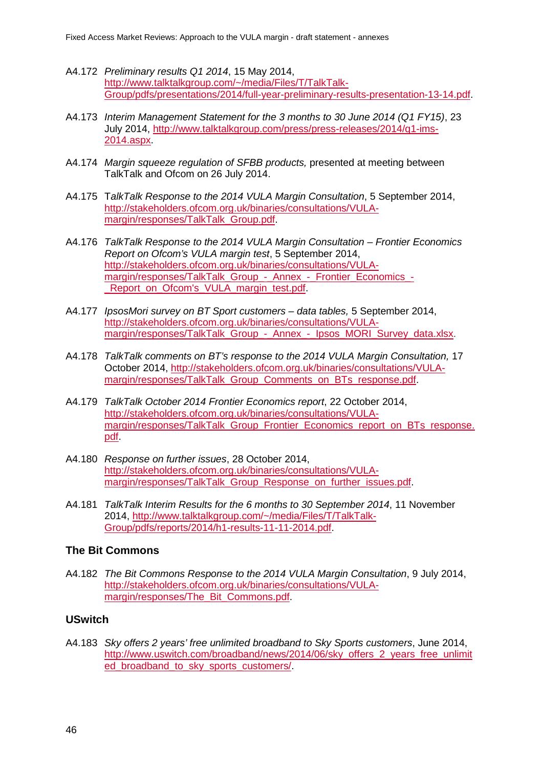- A4.172 *Preliminary results Q1 2014*, 15 May 2014, [http://www.talktalkgroup.com/~/media/Files/T/TalkTalk-](http://www.talktalkgroup.com/%7E/media/Files/T/TalkTalk-Group/pdfs/presentations/2014/full-year-preliminary-results-presentation-13-14.pdf)[Group/pdfs/presentations/2014/full-year-preliminary-results-presentation-13-14.pdf.](http://www.talktalkgroup.com/%7E/media/Files/T/TalkTalk-Group/pdfs/presentations/2014/full-year-preliminary-results-presentation-13-14.pdf)
- A4.173 *Interim Management Statement for the 3 months to 30 June 2014 (Q1 FY15)*, 23 July 2014, [http://www.talktalkgroup.com/press/press-releases/2014/q1-ims-](http://www.talktalkgroup.com/press/press-releases/2014/q1-ims-2014.aspx)[2014.aspx.](http://www.talktalkgroup.com/press/press-releases/2014/q1-ims-2014.aspx)
- A4.174 *Margin squeeze regulation of SFBB products,* presented at meeting between TalkTalk and Ofcom on 26 July 2014.
- A4.175 T*alkTalk Response to the 2014 VULA Margin Consultation*, 5 September 2014, [http://stakeholders.ofcom.org.uk/binaries/consultations/VULA](http://stakeholders.ofcom.org.uk/binaries/consultations/VULA-margin/responses/TalkTalk_Group.pdf)[margin/responses/TalkTalk\\_Group.pdf.](http://stakeholders.ofcom.org.uk/binaries/consultations/VULA-margin/responses/TalkTalk_Group.pdf)
- A4.176 *TalkTalk Response to the 2014 VULA Margin Consultation – Frontier Economics Report on Ofcom's VULA margin test*, 5 September 2014, [http://stakeholders.ofcom.org.uk/binaries/consultations/VULA](http://stakeholders.ofcom.org.uk/binaries/consultations/VULA-margin/responses/TalkTalk_Group_-_Annex_-_Frontier_Economics_-_Report_on_Ofcom)[margin/responses/TalkTalk\\_Group\\_-\\_Annex\\_-\\_Frontier\\_Economics\\_-](http://stakeholders.ofcom.org.uk/binaries/consultations/VULA-margin/responses/TalkTalk_Group_-_Annex_-_Frontier_Economics_-_Report_on_Ofcom) Report on Ofcom's VULA margin test.pdf.
- A4.177 *IpsosMori survey on BT Sport customers – data tables,* 5 September 2014, [http://stakeholders.ofcom.org.uk/binaries/consultations/VULA](http://stakeholders.ofcom.org.uk/binaries/consultations/VULA-margin/responses/TalkTalk_Group_-_Annex_-_Ipsos_MORI_Survey_data.xlsx)margin/responses/TalkTalk Group - Annex - Ipsos MORI Survey data.xlsx.
- A4.178 *TalkTalk comments on BT's response to the 2014 VULA Margin Consultation,* 17 October 2014, [http://stakeholders.ofcom.org.uk/binaries/consultations/VULA](http://stakeholders.ofcom.org.uk/binaries/consultations/VULA-margin/responses/TalkTalk_Group_Comments_on_BTs_response.pdf)margin/responses/TalkTalk Group Comments on BTs response.pdf.
- A4.179 *TalkTalk October 2014 Frontier Economics report*, 22 October 2014, [http://stakeholders.ofcom.org.uk/binaries/consultations/VULA](http://stakeholders.ofcom.org.uk/binaries/consultations/VULA-margin/responses/TalkTalk_Group_Frontier_Economics_report_on_BTs_response.pdf)[margin/responses/TalkTalk\\_Group\\_Frontier\\_Economics\\_report\\_on\\_BTs\\_response.](http://stakeholders.ofcom.org.uk/binaries/consultations/VULA-margin/responses/TalkTalk_Group_Frontier_Economics_report_on_BTs_response.pdf) [pdf.](http://stakeholders.ofcom.org.uk/binaries/consultations/VULA-margin/responses/TalkTalk_Group_Frontier_Economics_report_on_BTs_response.pdf)
- A4.180 *Response on further issues*, 28 October 2014, [http://stakeholders.ofcom.org.uk/binaries/consultations/VULA](http://stakeholders.ofcom.org.uk/binaries/consultations/VULA-margin/responses/TalkTalk_Group_Response_on_further_issues.pdf)margin/responses/TalkTalk Group Response on further issues.pdf.
- A4.181 *TalkTalk Interim Results for the 6 months to 30 September 2014*, 11 November 2014, [http://www.talktalkgroup.com/~/media/Files/T/TalkTalk-](http://www.talktalkgroup.com/%7E/media/Files/T/TalkTalk-Group/pdfs/reports/2014/h1-results-11-11-2014.pdf)[Group/pdfs/reports/2014/h1-results-11-11-2014.pdf.](http://www.talktalkgroup.com/%7E/media/Files/T/TalkTalk-Group/pdfs/reports/2014/h1-results-11-11-2014.pdf)

#### **The Bit Commons**

A4.182 *The Bit Commons Response to the 2014 VULA Margin Consultation*, 9 July 2014, [http://stakeholders.ofcom.org.uk/binaries/consultations/VULA](http://stakeholders.ofcom.org.uk/binaries/consultations/VULA-margin/responses/The_Bit_Commons.pdf)[margin/responses/The\\_Bit\\_Commons.pdf.](http://stakeholders.ofcom.org.uk/binaries/consultations/VULA-margin/responses/The_Bit_Commons.pdf)

#### **USwitch**

A4.183 *Sky offers 2 years' free unlimited broadband to Sky Sports customers*, June 2014, [http://www.uswitch.com/broadband/news/2014/06/sky\\_offers\\_2\\_years\\_free\\_unlimit](http://www.uswitch.com/broadband/news/2014/06/sky_offers_2_years_free_unlimited_broadband_to_sky_sports_customers/) [ed\\_broadband\\_to\\_sky\\_sports\\_customers/.](http://www.uswitch.com/broadband/news/2014/06/sky_offers_2_years_free_unlimited_broadband_to_sky_sports_customers/)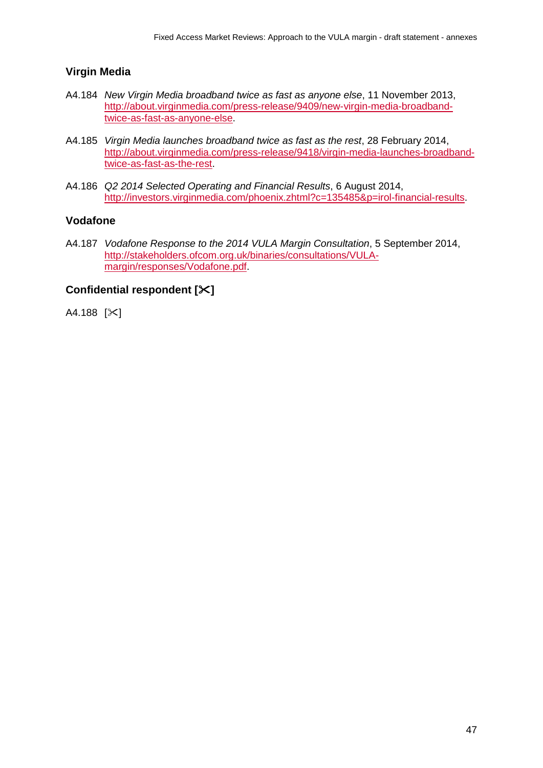# **Virgin Media**

- A4.184 *New Virgin Media broadband twice as fast as anyone else*, 11 November 2013, [http://about.virginmedia.com/press-release/9409/new-virgin-media-broadband](http://about.virginmedia.com/press-release/9409/new-virgin-media-broadband-twice-as-fast-as-anyone-else)[twice-as-fast-as-anyone-else.](http://about.virginmedia.com/press-release/9409/new-virgin-media-broadband-twice-as-fast-as-anyone-else)
- A4.185 *Virgin Media launches broadband twice as fast as the rest*, 28 February 2014, [http://about.virginmedia.com/press-release/9418/virgin-media-launches-broadband](http://about.virginmedia.com/press-release/9418/virgin-media-launches-broadband-twice-as-fast-as-the-rest)[twice-as-fast-as-the-rest.](http://about.virginmedia.com/press-release/9418/virgin-media-launches-broadband-twice-as-fast-as-the-rest)
- A4.186 *Q2 2014 Selected Operating and Financial Results*, 6 August 2014, [http://investors.virginmedia.com/phoenix.zhtml?c=135485&p=irol-financial-results.](http://investors.virginmedia.com/phoenix.zhtml?c=135485&p=irol-financial-results)

## **Vodafone**

A4.187 *Vodafone Response to the 2014 VULA Margin Consultation*, 5 September 2014, [http://stakeholders.ofcom.org.uk/binaries/consultations/VULA](http://stakeholders.ofcom.org.uk/binaries/consultations/VULA-margin/responses/Vodafone.pdf)[margin/responses/Vodafone.pdf.](http://stakeholders.ofcom.org.uk/binaries/consultations/VULA-margin/responses/Vodafone.pdf)

## **Confidential respondent []**

 $A4.188$  [ $\angle$ ]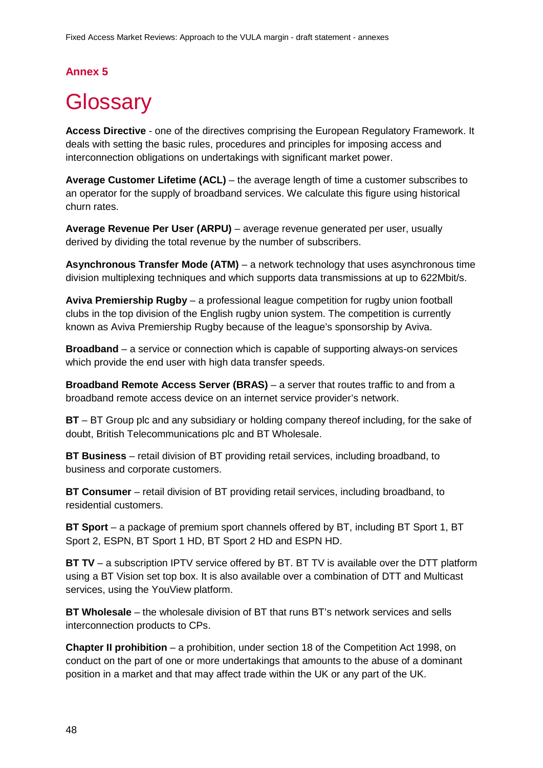# **Annex 5**

# <span id="page-49-0"></span>**Glossary**

**Access Directive** - one of the directives comprising the European Regulatory Framework. It deals with setting the basic rules, procedures and principles for imposing access and interconnection obligations on undertakings with significant market power.

**Average Customer Lifetime (ACL)** – the average length of time a customer subscribes to an operator for the supply of broadband services. We calculate this figure using historical churn rates.

**Average Revenue Per User (ARPU)** – average revenue generated per user, usually derived by dividing the total revenue by the number of subscribers.

**Asynchronous Transfer Mode (ATM)** – a network technology that uses asynchronous time division multiplexing techniques and which supports data transmissions at up to 622Mbit/s.

**Aviva Premiership Rugby** – a professional league competition for rugby union football clubs in the top division of the English rugby union system. The competition is currently known as Aviva Premiership Rugby because of the league's sponsorship by Aviva.

**Broadband** – a service or connection which is capable of supporting always-on services which provide the end user with high data transfer speeds.

**Broadband Remote Access Server (BRAS)** – a server that routes traffic to and from a broadband remote access device on an internet service provider's network.

**BT** – BT Group plc and any subsidiary or holding company thereof including, for the sake of doubt, British Telecommunications plc and BT Wholesale.

**BT Business** – retail division of BT providing retail services, including broadband, to business and corporate customers.

**BT Consumer** – retail division of BT providing retail services, including broadband, to residential customers.

**BT Sport** – a package of premium sport channels offered by BT, including BT Sport 1, BT Sport 2, ESPN, BT Sport 1 HD, BT Sport 2 HD and ESPN HD.

**BT TV** – a subscription IPTV service offered by BT. BT TV is available over the DTT platform using a BT Vision set top box. It is also available over a combination of DTT and Multicast services, using the YouView platform.

**BT Wholesale** – the wholesale division of BT that runs BT's network services and sells interconnection products to CPs.

**Chapter II prohibition** – a prohibition, under section 18 of the Competition Act 1998, on conduct on the part of one or more undertakings that amounts to the abuse of a dominant position in a market and that may affect trade within the UK or any part of the UK.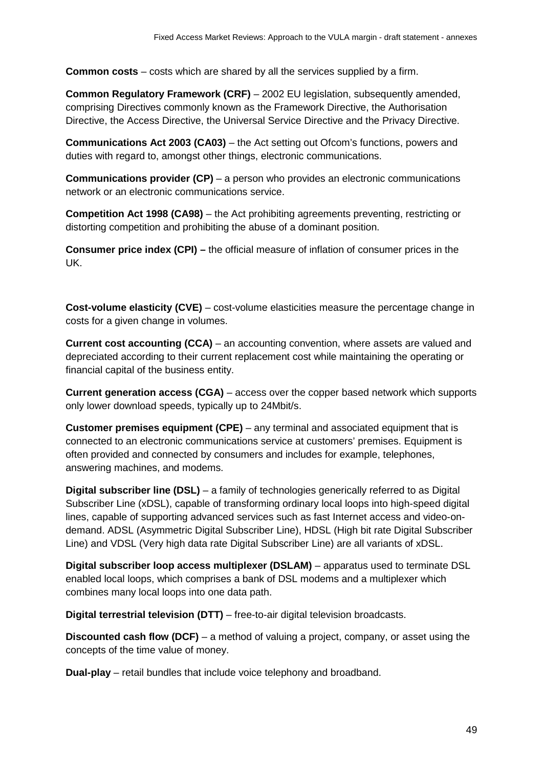**Common costs** – costs which are shared by all the services supplied by a firm.

**Common Regulatory Framework (CRF)** – 2002 EU legislation, subsequently amended, comprising Directives commonly known as the Framework Directive, the Authorisation Directive, the Access Directive, the Universal Service Directive and the Privacy Directive.

**Communications Act 2003 (CA03)** – the Act setting out Ofcom's functions, powers and duties with regard to, amongst other things, electronic communications.

**Communications provider (CP)** – a person who provides an electronic communications network or an electronic communications service.

**Competition Act 1998 (CA98)** – the Act prohibiting agreements preventing, restricting or distorting competition and prohibiting the abuse of a dominant position.

**Consumer price index (CPI) –** the official measure of inflation of consumer prices in the UK.

**Cost-volume elasticity (CVE)** – cost-volume elasticities measure the percentage change in costs for a given change in volumes.

**Current cost accounting (CCA)** – an accounting convention, where assets are valued and depreciated according to their current replacement cost while maintaining the operating or financial capital of the business entity.

**Current generation access (CGA)** – access over the copper based network which supports only lower download speeds, typically up to 24Mbit/s.

**Customer premises equipment (CPE)** – any terminal and associated equipment that is connected to an electronic communications service at customers' premises. Equipment is often provided and connected by consumers and includes for example, telephones, answering machines, and modems.

**Digital subscriber line (DSL)** – a family of technologies generically referred to as Digital Subscriber Line (xDSL), capable of transforming ordinary local loops into high-speed digital lines, capable of supporting advanced services such as fast Internet access and video-ondemand. ADSL (Asymmetric Digital Subscriber Line), HDSL (High bit rate Digital Subscriber Line) and VDSL (Very high data rate Digital Subscriber Line) are all variants of xDSL.

**Digital subscriber loop access multiplexer (DSLAM)** – apparatus used to terminate DSL enabled local loops, which comprises a bank of DSL modems and a multiplexer which combines many local loops into one data path.

**Digital terrestrial television (DTT)** – free-to-air digital television broadcasts.

**Discounted cash flow (DCF)** – a method of valuing a project, company, or asset using the concepts of the time value of money.

**Dual-play** – retail bundles that include voice telephony and broadband.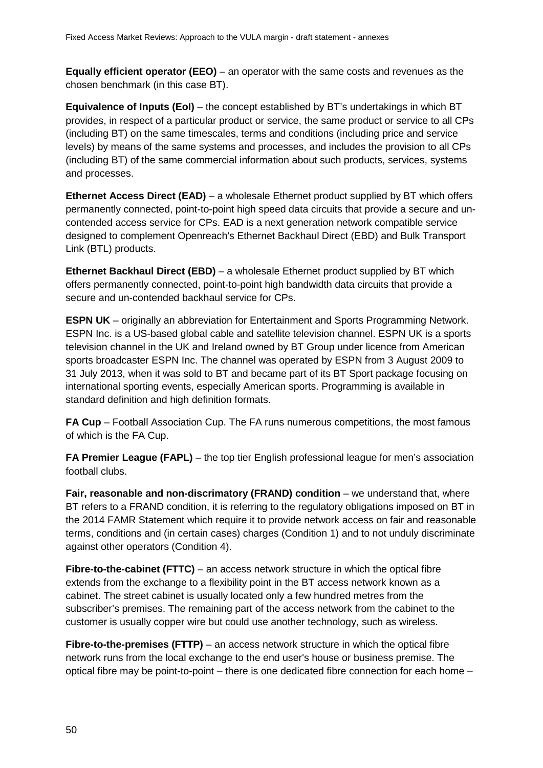**Equally efficient operator (EEO)** – an operator with the same costs and revenues as the chosen benchmark (in this case BT).

**Equivalence of Inputs (EoI)** – the concept established by BT's undertakings in which BT provides, in respect of a particular product or service, the same product or service to all CPs (including BT) on the same timescales, terms and conditions (including price and service levels) by means of the same systems and processes, and includes the provision to all CPs (including BT) of the same commercial information about such products, services, systems and processes.

**Ethernet Access Direct (EAD)** – a wholesale Ethernet product supplied by BT which offers permanently connected, point-to-point high speed data circuits that provide a secure and uncontended access service for CPs. EAD is a next generation network compatible service designed to complement Openreach's Ethernet Backhaul Direct (EBD) and Bulk Transport Link (BTL) products.

**Ethernet Backhaul Direct (EBD)** – a wholesale Ethernet product supplied by BT which offers permanently connected, point-to-point high bandwidth data circuits that provide a secure and un-contended backhaul service for CPs.

**ESPN UK** – originally an abbreviation for Entertainment and Sports Programming Network. ESPN Inc. is a US-based global cable and satellite television channel. ESPN UK is a sports television channel in the UK and Ireland owned by BT Group under licence from American sports broadcaster ESPN Inc. The channel was operated by ESPN from 3 August 2009 to 31 July 2013, when it was sold to BT and became part of its BT Sport package focusing on international sporting events, especially American sports. Programming is available in standard definition and high definition formats.

**FA Cup** – Football Association Cup. The FA runs numerous competitions, the most famous of which is the FA Cup.

**FA Premier League (FAPL)** – the top tier English professional league for men's association football clubs.

**Fair, reasonable and non-discrimatory (FRAND) condition** – we understand that, where BT refers to a FRAND condition, it is referring to the regulatory obligations imposed on BT in the 2014 FAMR Statement which require it to provide network access on fair and reasonable terms, conditions and (in certain cases) charges (Condition 1) and to not unduly discriminate against other operators (Condition 4).

**Fibre-to-the-cabinet (FTTC)** – an access network structure in which the optical fibre extends from the exchange to a flexibility point in the BT access network known as a cabinet. The street cabinet is usually located only a few hundred metres from the subscriber's premises. The remaining part of the access network from the cabinet to the customer is usually copper wire but could use another technology, such as wireless.

**Fibre-to-the-premises (FTTP)** – an access network structure in which the optical fibre network runs from the local exchange to the end user's house or business premise. The optical fibre may be point-to-point – there is one dedicated fibre connection for each home –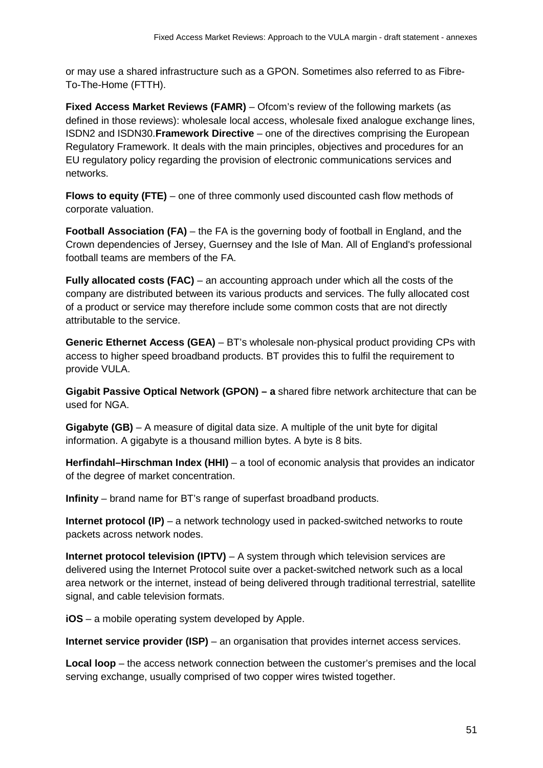or may use a shared infrastructure such as a GPON. Sometimes also referred to as Fibre-To-The-Home (FTTH).

**Fixed Access Market Reviews (FAMR)** – Ofcom's review of the following markets (as defined in those reviews): wholesale local access, wholesale fixed analogue exchange lines, ISDN2 and ISDN30.**Framework Directive** – one of the directives comprising the European Regulatory Framework. It deals with the main principles, objectives and procedures for an EU regulatory policy regarding the provision of electronic communications services and networks.

**Flows to equity (FTE)** – one of three commonly used discounted cash flow methods of corporate valuation.

**Football Association (FA)** – the FA is the governing body of football in England, and the Crown dependencies of Jersey, Guernsey and the Isle of Man. All of England's professional football teams are members of the FA.

**Fully allocated costs (FAC)** – an accounting approach under which all the costs of the company are distributed between its various products and services. The fully allocated cost of a product or service may therefore include some common costs that are not directly attributable to the service.

**Generic Ethernet Access (GEA)** – BT's wholesale non-physical product providing CPs with access to higher speed broadband products. BT provides this to fulfil the requirement to provide VULA.

**Gigabit Passive Optical Network (GPON) – a** shared fibre network architecture that can be used for NGA.

**Gigabyte (GB)** – A measure of digital data size. A multiple of the unit byte for digital information. A gigabyte is a thousand million bytes. A byte is 8 bits.

**Herfindahl–Hirschman Index (HHI)** – a tool of economic analysis that provides an indicator of the degree of market concentration.

**Infinity** – brand name for BT's range of superfast broadband products.

**Internet protocol (IP)** – a network technology used in packed-switched networks to route packets across network nodes.

**Internet protocol television (IPTV)** – A system through which television services are delivered using the Internet Protocol suite over a packet-switched network such as a local area network or the internet, instead of being delivered through traditional terrestrial, satellite signal, and cable television formats.

**iOS** – a mobile operating system developed by Apple.

**Internet service provider (ISP)** – an organisation that provides internet access services.

**Local loop** – the access network connection between the customer's premises and the local serving exchange, usually comprised of two copper wires twisted together.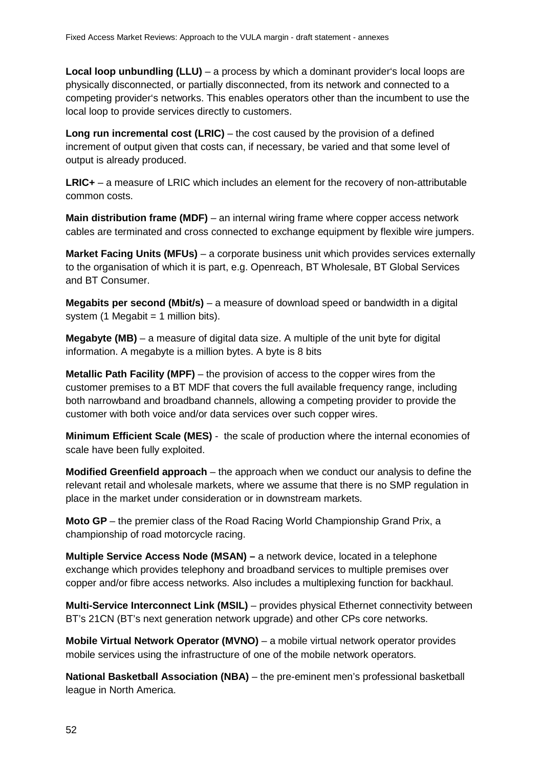**Local loop unbundling (LLU)** – a process by which a dominant provider's local loops are physically disconnected, or partially disconnected, from its network and connected to a competing provider's networks. This enables operators other than the incumbent to use the local loop to provide services directly to customers.

**Long run incremental cost (LRIC)** – the cost caused by the provision of a defined increment of output given that costs can, if necessary, be varied and that some level of output is already produced.

**LRIC+** – a measure of LRIC which includes an element for the recovery of non-attributable common costs.

**Main distribution frame (MDF)** – an internal wiring frame where copper access network cables are terminated and cross connected to exchange equipment by flexible wire jumpers.

**Market Facing Units (MFUs)** – a corporate business unit which provides services externally to the organisation of which it is part, e.g. Openreach, BT Wholesale, BT Global Services and BT Consumer.

**Megabits per second (Mbit/s)** – a measure of download speed or bandwidth in a digital system  $(1$  Megabit = 1 million bits).

**Megabyte (MB)** – a measure of digital data size. A multiple of the unit byte for digital information. A megabyte is a million bytes. A byte is 8 bits

**Metallic Path Facility (MPF)** – the provision of access to the copper wires from the customer premises to a BT MDF that covers the full available frequency range, including both narrowband and broadband channels, allowing a competing provider to provide the customer with both voice and/or data services over such copper wires.

**Minimum Efficient Scale (MES)** - the scale of production where the internal economies of scale have been fully exploited.

**Modified Greenfield approach** – the approach when we conduct our analysis to define the relevant retail and wholesale markets, where we assume that there is no SMP regulation in place in the market under consideration or in downstream markets.

**Moto GP** – the premier class of the Road Racing World Championship Grand Prix, a championship of road motorcycle racing.

**Multiple Service Access Node (MSAN) –** a network device, located in a telephone exchange which provides telephony and broadband services to multiple premises over copper and/or fibre access networks. Also includes a multiplexing function for backhaul.

**Multi-Service Interconnect Link (MSIL)** – provides physical Ethernet connectivity between BT's 21CN (BT's next generation network upgrade) and other CPs core networks.

**Mobile Virtual Network Operator (MVNO)** – a mobile virtual network operator provides mobile services using the infrastructure of one of the mobile network operators.

**National Basketball Association (NBA)** – the pre-eminent men's professional basketball league in North America.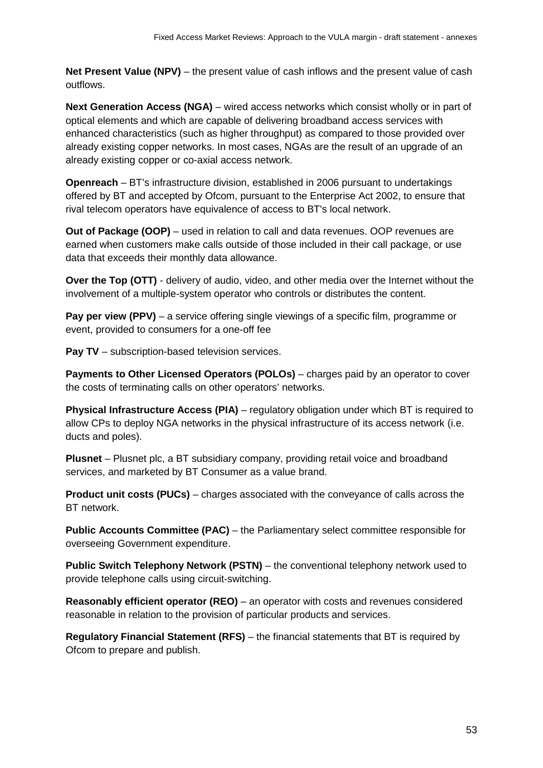**Net Present Value (NPV)** – the present value of cash inflows and the present value of cash outflows.

**Next Generation Access (NGA)** – wired access networks which consist wholly or in part of optical elements and which are capable of delivering broadband access services with enhanced characteristics (such as higher throughput) as compared to those provided over already existing copper networks. In most cases, NGAs are the result of an upgrade of an already existing copper or co-axial access network.

**Openreach** – BT's infrastructure division, established in 2006 pursuant to undertakings offered by BT and accepted by Ofcom, pursuant to the Enterprise Act 2002, to ensure that rival telecom operators have equivalence of access to BT's local network.

**Out of Package (OOP)** – used in relation to call and data revenues. OOP revenues are earned when customers make calls outside of those included in their call package, or use data that exceeds their monthly data allowance.

**Over the Top (OTT)** - delivery of audio, video, and other media over the Internet without the involvement of a multiple-system operator who controls or distributes the content.

**Pay per view (PPV)** – a service offering single viewings of a specific film, programme or event, provided to consumers for a one-off fee

**Pay TV** – subscription-based television services.

**Payments to Other Licensed Operators (POLOs)** – charges paid by an operator to cover the costs of terminating calls on other operators' networks.

**Physical Infrastructure Access (PIA)** – regulatory obligation under which BT is required to allow CPs to deploy NGA networks in the physical infrastructure of its access network (i.e. ducts and poles).

**Plusnet** – Plusnet plc, a BT subsidiary company, providing retail voice and broadband services, and marketed by BT Consumer as a value brand.

**Product unit costs (PUCs)** – charges associated with the conveyance of calls across the BT network.

**Public Accounts Committee (PAC)** – the Parliamentary select committee responsible for overseeing Government expenditure.

**Public Switch Telephony Network (PSTN)** – the conventional telephony network used to provide telephone calls using circuit-switching.

**Reasonably efficient operator (REO)** – an operator with costs and revenues considered reasonable in relation to the provision of particular products and services.

**Regulatory Financial Statement (RFS)** – the financial statements that BT is required by Ofcom to prepare and publish.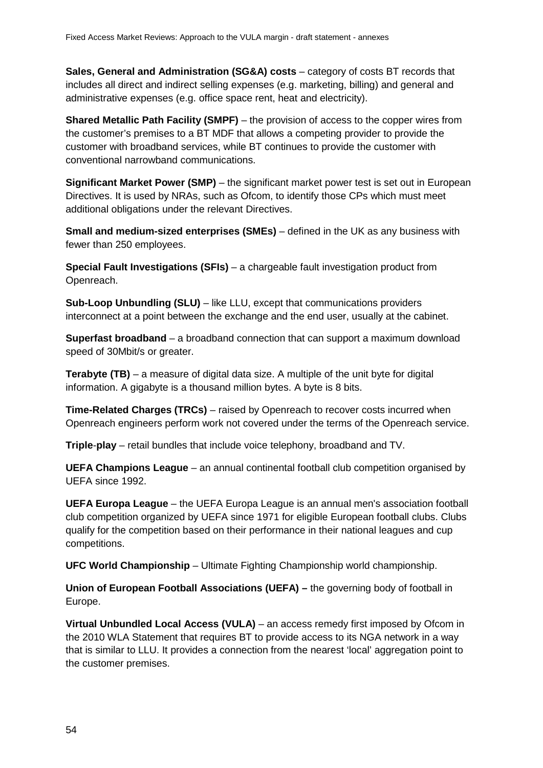**Sales, General and Administration (SG&A) costs** – category of costs BT records that includes all direct and indirect selling expenses (e.g. marketing, billing) and general and administrative expenses (e.g. office space rent, heat and electricity).

**Shared Metallic Path Facility (SMPF)** – the provision of access to the copper wires from the customer's premises to a BT MDF that allows a competing provider to provide the customer with broadband services, while BT continues to provide the customer with conventional narrowband communications.

**Significant Market Power (SMP)** – the significant market power test is set out in European Directives. It is used by NRAs, such as Ofcom, to identify those CPs which must meet additional obligations under the relevant Directives.

**Small and medium-sized enterprises (SMEs)** – defined in the UK as any business with fewer than 250 employees.

**Special Fault Investigations (SFIs)** – a chargeable fault investigation product from Openreach.

**Sub-Loop Unbundling (SLU)** – like LLU, except that communications providers interconnect at a point between the exchange and the end user, usually at the cabinet.

**Superfast broadband** – a broadband connection that can support a maximum download speed of 30Mbit/s or greater.

**Terabyte (TB)** – a measure of digital data size. A multiple of the unit byte for digital information. A gigabyte is a thousand million bytes. A byte is 8 bits.

**Time-Related Charges (TRCs)** – raised by Openreach to recover costs incurred when Openreach engineers perform work not covered under the terms of the Openreach service.

**Triple**-**play** – retail bundles that include voice telephony, broadband and TV.

**UEFA Champions League** – an annual continental football club competition organised by UEFA since 1992.

**UEFA Europa League** – the UEFA Europa League is an annual men's association football club competition organized by UEFA since 1971 for eligible European football clubs. Clubs qualify for the competition based on their performance in their national leagues and cup competitions.

**UFC World Championship** – Ultimate Fighting Championship world championship.

**Union of European Football Associations (UEFA) –** the governing body of football in Europe.

**Virtual Unbundled Local Access (VULA)** – an access remedy first imposed by Ofcom in the 2010 WLA Statement that requires BT to provide access to its NGA network in a way that is similar to LLU. It provides a connection from the nearest 'local' aggregation point to the customer premises.